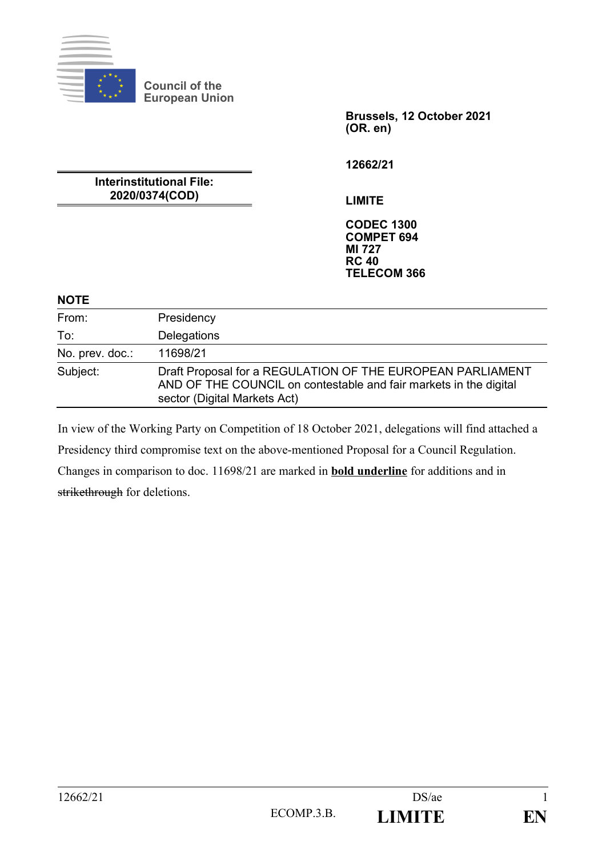

**Council of the European Union**

**Interinstitutional File: 2020/0374(COD)**

**Brussels, 12 October 2021 (OR. en)**

**12662/21**

**LIMITE**

**CODEC 1300 COMPET 694 MI 727 RC 40 TELECOM 366**

### **NOTE**

| From:           | Presidency                                                                                                                                                      |
|-----------------|-----------------------------------------------------------------------------------------------------------------------------------------------------------------|
| To:             | Delegations                                                                                                                                                     |
| No. prev. doc.: | 11698/21                                                                                                                                                        |
| Subject:        | Draft Proposal for a REGULATION OF THE EUROPEAN PARLIAMENT<br>AND OF THE COUNCIL on contestable and fair markets in the digital<br>sector (Digital Markets Act) |

In view of the Working Party on Competition of 18 October 2021, delegations will find attached a Presidency third compromise text on the above-mentioned Proposal for a Council Regulation. Changes in comparison to doc. 11698/21 are marked in **bold underline** for additions and in strikethrough for deletions.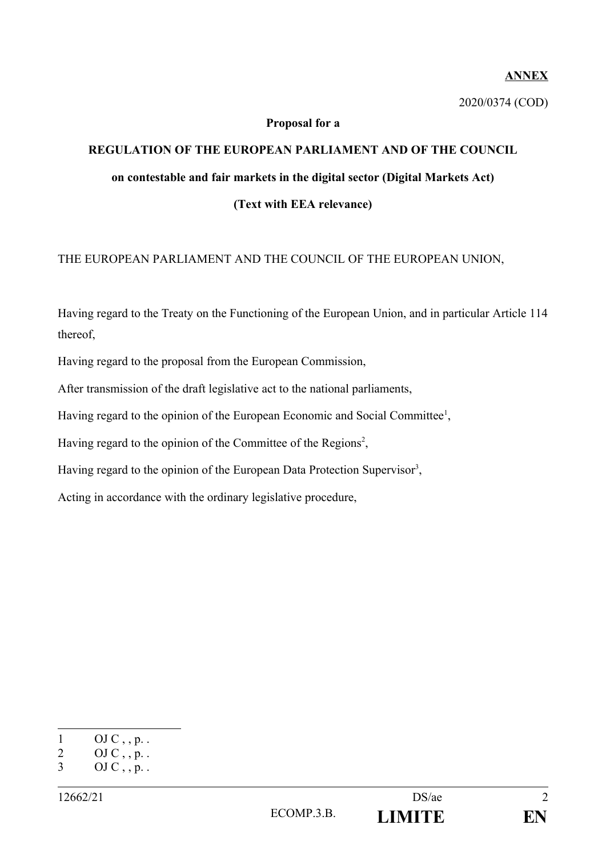### **ANNEX**

2020/0374 (COD)

### **Proposal for a**

# **REGULATION OF THE EUROPEAN PARLIAMENT AND OF THE COUNCIL on contestable and fair markets in the digital sector (Digital Markets Act) (Text with EEA relevance)**

## THE EUROPEAN PARLIAMENT AND THE COUNCIL OF THE EUROPEAN UNION,

Having regard to the Treaty on the Functioning of the European Union, and in particular Article 114 thereof,

Having regard to the proposal from the European Commission,

After transmission of the draft legislative act to the national parliaments,

Having regard to the opinion of the European Economic and Social Committee<sup>[1](#page-1-0)</sup>,

Having regard to the opinion of the Committee of the Regions<sup>[2](#page-1-1)</sup>,

Having regard to the opinion of the European Data Protection Supervisor<sup>[3](#page-1-2)</sup>,

Acting in accordance with the ordinary legislative procedure,

<span id="page-1-0"></span> $1$  OJ C, , p. .

<span id="page-1-1"></span><sup>2</sup> OJ C, , p. .

<span id="page-1-2"></span><sup>3</sup> OJ C, , p. .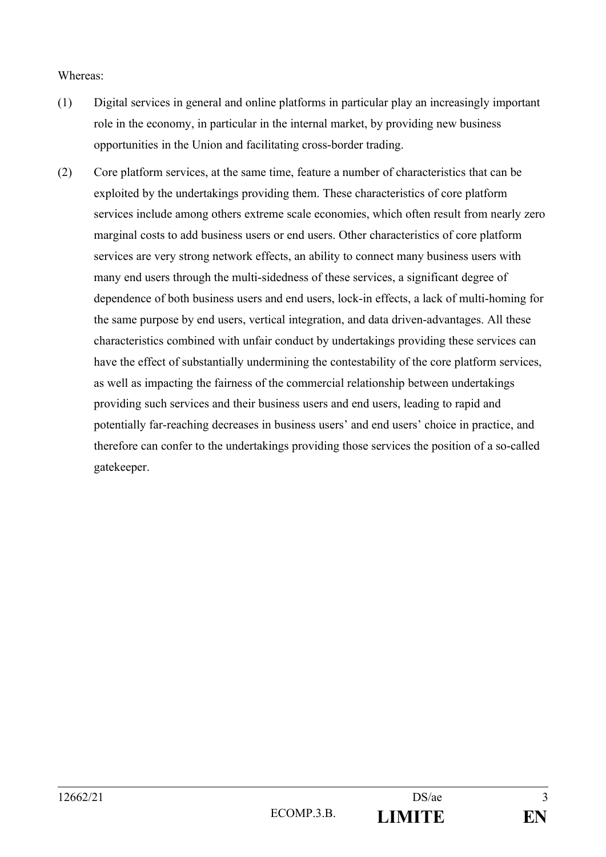#### Whereas:

- (1) Digital services in general and online platforms in particular play an increasingly important role in the economy, in particular in the internal market, by providing new business opportunities in the Union and facilitating cross-border trading.
- (2) Core platform services, at the same time, feature a number of characteristics that can be exploited by the undertakings providing them. These characteristics of core platform services include among others extreme scale economies, which often result from nearly zero marginal costs to add business users or end users. Other characteristics of core platform services are very strong network effects, an ability to connect many business users with many end users through the multi-sidedness of these services, a significant degree of dependence of both business users and end users, lock-in effects, a lack of multi-homing for the same purpose by end users, vertical integration, and data driven-advantages. All these characteristics combined with unfair conduct by undertakings providing these services can have the effect of substantially undermining the contestability of the core platform services, as well as impacting the fairness of the commercial relationship between undertakings providing such services and their business users and end users, leading to rapid and potentially far-reaching decreases in business users' and end users' choice in practice, and therefore can confer to the undertakings providing those services the position of a so-called gatekeeper.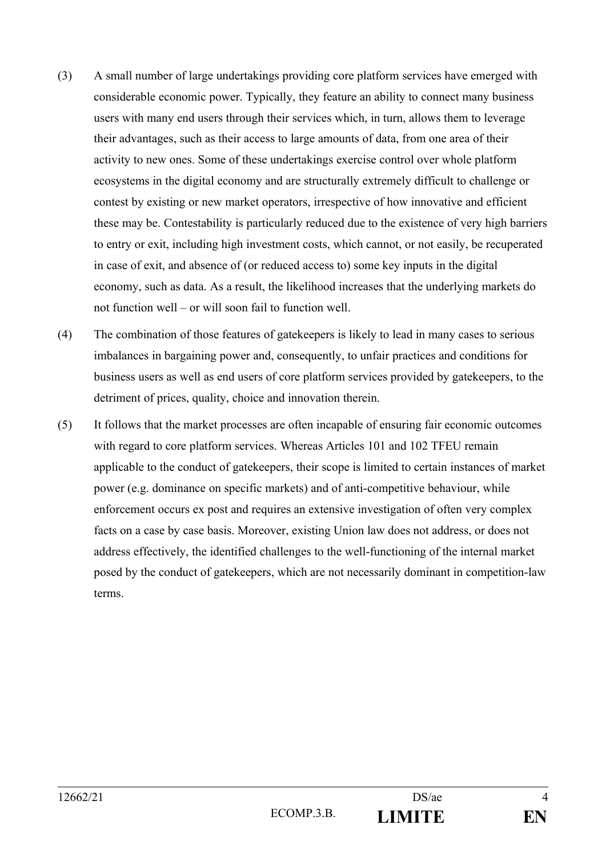- (3) A small number of large undertakings providing core platform services have emerged with considerable economic power. Typically, they feature an ability to connect many business users with many end users through their services which, in turn, allows them to leverage their advantages, such as their access to large amounts of data, from one area of their activity to new ones. Some of these undertakings exercise control over whole platform ecosystems in the digital economy and are structurally extremely difficult to challenge or contest by existing or new market operators, irrespective of how innovative and efficient these may be. Contestability is particularly reduced due to the existence of very high barriers to entry or exit, including high investment costs, which cannot, or not easily, be recuperated in case of exit, and absence of (or reduced access to) some key inputs in the digital economy, such as data. As a result, the likelihood increases that the underlying markets do not function well – or will soon fail to function well.
- (4) The combination of those features of gatekeepers is likely to lead in many cases to serious imbalances in bargaining power and, consequently, to unfair practices and conditions for business users as well as end users of core platform services provided by gatekeepers, to the detriment of prices, quality, choice and innovation therein.
- (5) It follows that the market processes are often incapable of ensuring fair economic outcomes with regard to core platform services. Whereas Articles 101 and 102 TFEU remain applicable to the conduct of gatekeepers, their scope is limited to certain instances of market power (e.g. dominance on specific markets) and of anti-competitive behaviour, while enforcement occurs ex post and requires an extensive investigation of often very complex facts on a case by case basis. Moreover, existing Union law does not address, or does not address effectively, the identified challenges to the well-functioning of the internal market posed by the conduct of gatekeepers, which are not necessarily dominant in competition-law terms.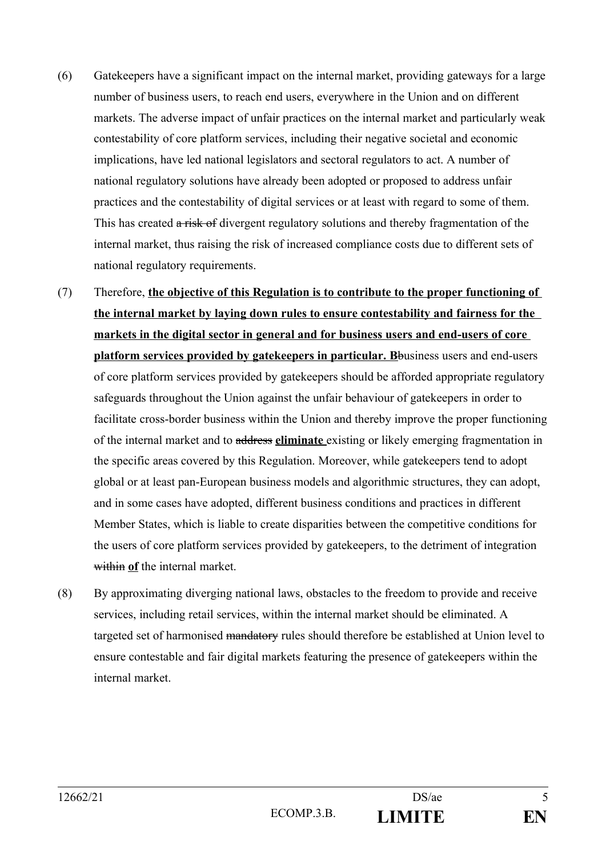- (6) Gatekeepers have a significant impact on the internal market, providing gateways for a large number of business users, to reach end users, everywhere in the Union and on different markets. The adverse impact of unfair practices on the internal market and particularly weak contestability of core platform services, including their negative societal and economic implications, have led national legislators and sectoral regulators to act. A number of national regulatory solutions have already been adopted or proposed to address unfair practices and the contestability of digital services or at least with regard to some of them. This has created a risk of divergent regulatory solutions and thereby fragmentation of the internal market, thus raising the risk of increased compliance costs due to different sets of national regulatory requirements.
- (7) Therefore, **the objective of this Regulation is to contribute to the proper functioning of the internal market by laying down rules to ensure contestability and fairness for the markets in the digital sector in general and for business users and end-users of core platform services provided by gatekeepers in particular. B**business users and end-users of core platform services provided by gatekeepers should be afforded appropriate regulatory safeguards throughout the Union against the unfair behaviour of gatekeepers in order to facilitate cross-border business within the Union and thereby improve the proper functioning of the internal market and to address **eliminate** existing or likely emerging fragmentation in the specific areas covered by this Regulation. Moreover, while gatekeepers tend to adopt global or at least pan-European business models and algorithmic structures, they can adopt, and in some cases have adopted, different business conditions and practices in different Member States, which is liable to create disparities between the competitive conditions for the users of core platform services provided by gatekeepers, to the detriment of integration within **of** the internal market.
- (8) By approximating diverging national laws, obstacles to the freedom to provide and receive services, including retail services, within the internal market should be eliminated. A targeted set of harmonised mandatory rules should therefore be established at Union level to ensure contestable and fair digital markets featuring the presence of gatekeepers within the internal market.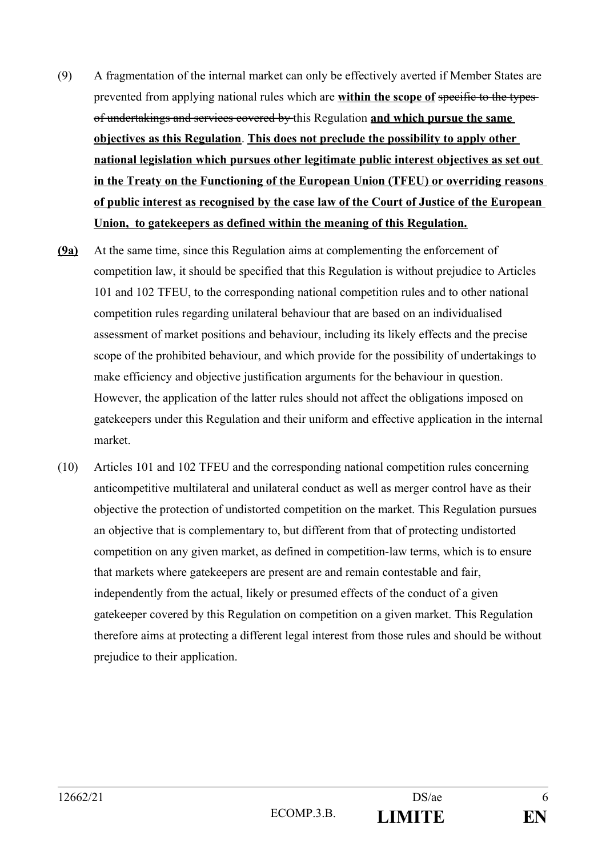- (9) A fragmentation of the internal market can only be effectively averted if Member States are prevented from applying national rules which are **within the scope of** specific to the types of undertakings and services covered by this Regulation **and which pursue the same objectives as this Regulation**. **This does not preclude the possibility to apply other national legislation which pursues other legitimate public interest objectives as set out in the Treaty on the Functioning of the European Union (TFEU) or overriding reasons of public interest as recognised by the case law of the Court of Justice of the European Union, to gatekeepers as defined within the meaning of this Regulation.**
- **(9a)** At the same time, since this Regulation aims at complementing the enforcement of competition law, it should be specified that this Regulation is without prejudice to Articles 101 and 102 TFEU, to the corresponding national competition rules and to other national competition rules regarding unilateral behaviour that are based on an individualised assessment of market positions and behaviour, including its likely effects and the precise scope of the prohibited behaviour, and which provide for the possibility of undertakings to make efficiency and objective justification arguments for the behaviour in question. However, the application of the latter rules should not affect the obligations imposed on gatekeepers under this Regulation and their uniform and effective application in the internal market.
- (10) Articles 101 and 102 TFEU and the corresponding national competition rules concerning anticompetitive multilateral and unilateral conduct as well as merger control have as their objective the protection of undistorted competition on the market. This Regulation pursues an objective that is complementary to, but different from that of protecting undistorted competition on any given market, as defined in competition-law terms, which is to ensure that markets where gatekeepers are present are and remain contestable and fair, independently from the actual, likely or presumed effects of the conduct of a given gatekeeper covered by this Regulation on competition on a given market. This Regulation therefore aims at protecting a different legal interest from those rules and should be without prejudice to their application.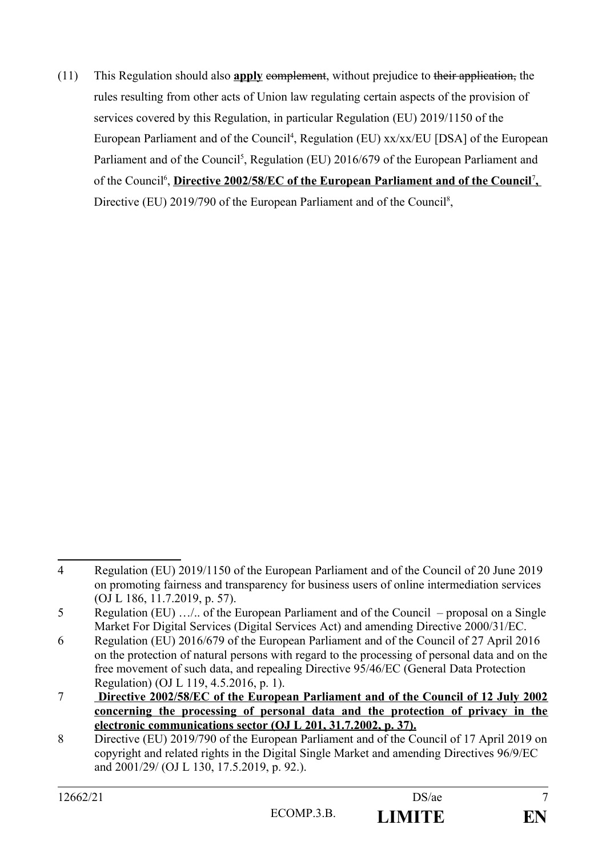(11) This Regulation should also **apply** complement, without prejudice to their application, the rules resulting from other acts of Union law regulating certain aspects of the provision of services covered by this Regulation, in particular Regulation (EU) 2019/1150 of the European Parliament and of the Council<sup>[4](#page-6-0)</sup>, Regulation (EU) xx/xx/EU [DSA] of the European Parliament and of the Council<sup>[5](#page-6-1)</sup>, Regulation (EU) 2016/679 of the European Parliament and of the Council<sup>[6](#page-6-2)</sup>,Directive 2002/58/EC of the European Parliament and of the Council<sup>7</sup>, Directive (EU) 2019/790 of the European Parliament and of the Council<sup>[8](#page-6-4)</sup>,

<span id="page-6-0"></span><sup>4</sup> Regulation (EU) 2019/1150 of the European Parliament and of the Council of 20 June 2019 on promoting fairness and transparency for business users of online intermediation services (OJ L 186, 11.7.2019, p. 57).

<span id="page-6-1"></span><sup>5</sup> Regulation (EU) …/.. of the European Parliament and of the Council – proposal on a Single Market For Digital Services (Digital Services Act) and amending Directive 2000/31/EC.

<span id="page-6-2"></span><sup>6</sup> Regulation (EU) 2016/679 of the European Parliament and of the Council of 27 April 2016 on the protection of natural persons with regard to the processing of personal data and on the free movement of such data, and repealing Directive 95/46/EC (General Data Protection Regulation) (OJ L 119, 4.5.2016, p. 1).

<span id="page-6-3"></span><sup>7</sup> **Directive 2002/58/EC of the European Parliament and of the Council of 12 July 2002 concerning the processing of personal data and the protection of privacy in the electronic communications sector (OJ L 201, 31.7.2002, p. 37).**

<span id="page-6-4"></span><sup>8</sup> Directive (EU) 2019/790 of the European Parliament and of the Council of 17 April 2019 on copyright and related rights in the Digital Single Market and amending Directives 96/9/EC and 2001/29/ (OJ L 130, 17.5.2019, p. 92.).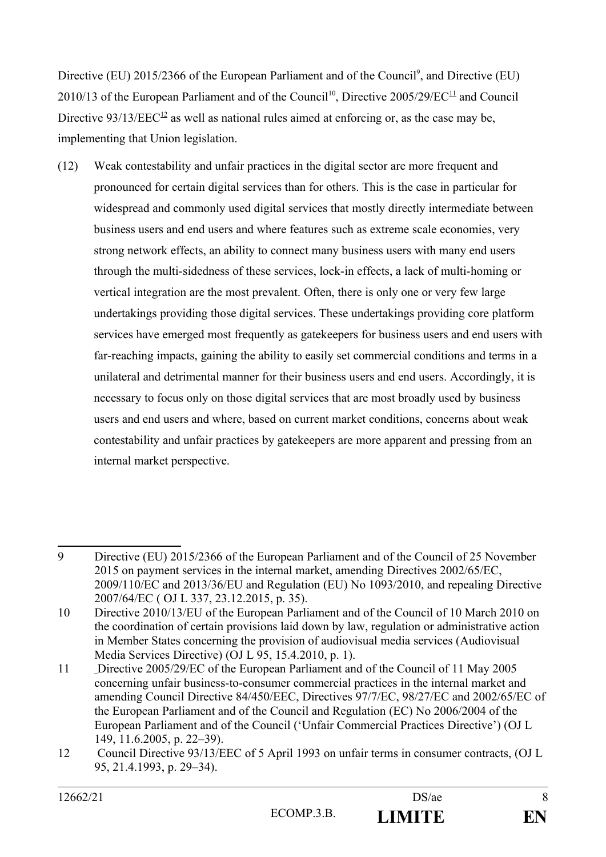Directive (EU) 2015/2366 of the European Parliament and of the Council<sup>[9](#page-7-0)</sup>, and Directive (EU) 20[10](#page-7-1)/13 of the European Parliament and of the Council<sup>10</sup>, Directive 2005/29/EC<sup>[11](#page-7-2)</sup> and Council Directive  $93/13/EEC^{12}$  $93/13/EEC^{12}$  $93/13/EEC^{12}$  as well as national rules aimed at enforcing or, as the case may be, implementing that Union legislation.

(12) Weak contestability and unfair practices in the digital sector are more frequent and pronounced for certain digital services than for others. This is the case in particular for widespread and commonly used digital services that mostly directly intermediate between business users and end users and where features such as extreme scale economies, very strong network effects, an ability to connect many business users with many end users through the multi-sidedness of these services, lock-in effects, a lack of multi-homing or vertical integration are the most prevalent. Often, there is only one or very few large undertakings providing those digital services. These undertakings providing core platform services have emerged most frequently as gatekeepers for business users and end users with far-reaching impacts, gaining the ability to easily set commercial conditions and terms in a unilateral and detrimental manner for their business users and end users. Accordingly, it is necessary to focus only on those digital services that are most broadly used by business users and end users and where, based on current market conditions, concerns about weak contestability and unfair practices by gatekeepers are more apparent and pressing from an internal market perspective.

<span id="page-7-0"></span><sup>9</sup> Directive (EU) 2015/2366 of the European Parliament and of the Council of 25 November 2015 on payment services in the internal market, amending Directives 2002/65/EC, 2009/110/EC and 2013/36/EU and Regulation (EU) No 1093/2010, and repealing Directive 2007/64/EC ( OJ L 337, 23.12.2015, p. 35).

<span id="page-7-1"></span><sup>10</sup> Directive 2010/13/EU of the European Parliament and of the Council of 10 March 2010 on the coordination of certain provisions laid down by law, regulation or administrative action in Member States concerning the provision of audiovisual media services (Audiovisual Media Services Directive) (OJ L 95, 15.4.2010, p. 1).

<span id="page-7-2"></span><sup>11</sup> Directive 2005/29/EC of the European Parliament and of the Council of 11 May 2005 concerning unfair business-to-consumer commercial practices in the internal market and amending Council Directive 84/450/EEC, Directives 97/7/EC, 98/27/EC and 2002/65/EC of the European Parliament and of the Council and Regulation (EC) No 2006/2004 of the European Parliament and of the Council ('Unfair Commercial Practices Directive') (OJ L 149, 11.6.2005, p. 22–39).

<span id="page-7-3"></span><sup>12</sup> Council Directive 93/13/EEC of 5 April 1993 on unfair terms in consumer contracts, (OJ L 95, 21.4.1993, p. 29–34).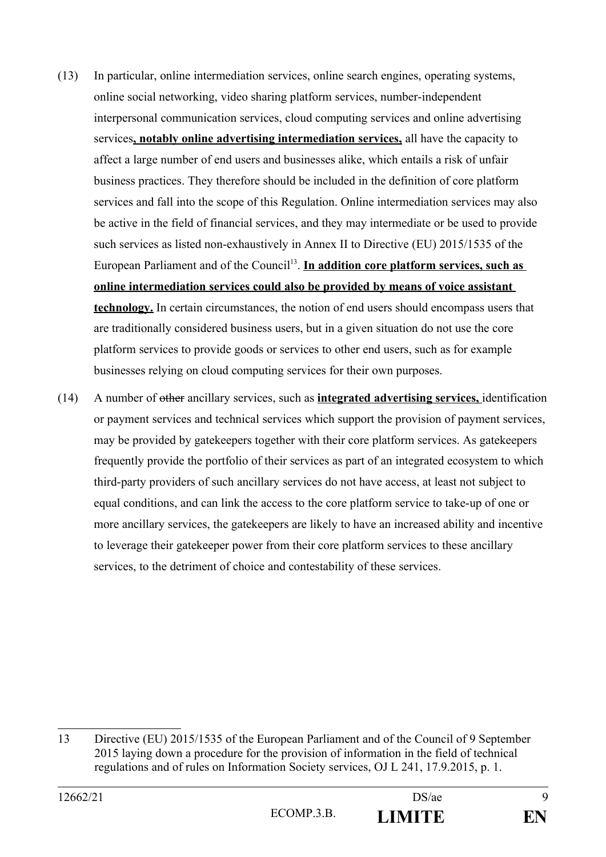- (13) In particular, online intermediation services, online search engines, operating systems, online social networking, video sharing platform services, number-independent interpersonal communication services, cloud computing services and online advertising services**, notably online advertising intermediation services,** all have the capacity to affect a large number of end users and businesses alike, which entails a risk of unfair business practices. They therefore should be included in the definition of core platform services and fall into the scope of this Regulation. Online intermediation services may also be active in the field of financial services, and they may intermediate or be used to provide such services as listed non-exhaustively in Annex II to Directive (EU) 2015/1535 of the European Parliament and of the Council<sup>[13](#page-8-0)</sup>. In addition core platform services, such as **online intermediation services could also be provided by means of voice assistant technology.** In certain circumstances, the notion of end users should encompass users that are traditionally considered business users, but in a given situation do not use the core platform services to provide goods or services to other end users, such as for example businesses relying on cloud computing services for their own purposes.
- (14) A number of other ancillary services, such as **integrated advertising services,** identification or payment services and technical services which support the provision of payment services, may be provided by gatekeepers together with their core platform services. As gatekeepers frequently provide the portfolio of their services as part of an integrated ecosystem to which third-party providers of such ancillary services do not have access, at least not subject to equal conditions, and can link the access to the core platform service to take-up of one or more ancillary services, the gatekeepers are likely to have an increased ability and incentive to leverage their gatekeeper power from their core platform services to these ancillary services, to the detriment of choice and contestability of these services.

<span id="page-8-0"></span><sup>13</sup> Directive (EU) 2015/1535 of the European Parliament and of the Council of 9 September 2015 laying down a procedure for the provision of information in the field of technical regulations and of rules on Information Society services, OJ L 241, 17.9.2015, p. 1.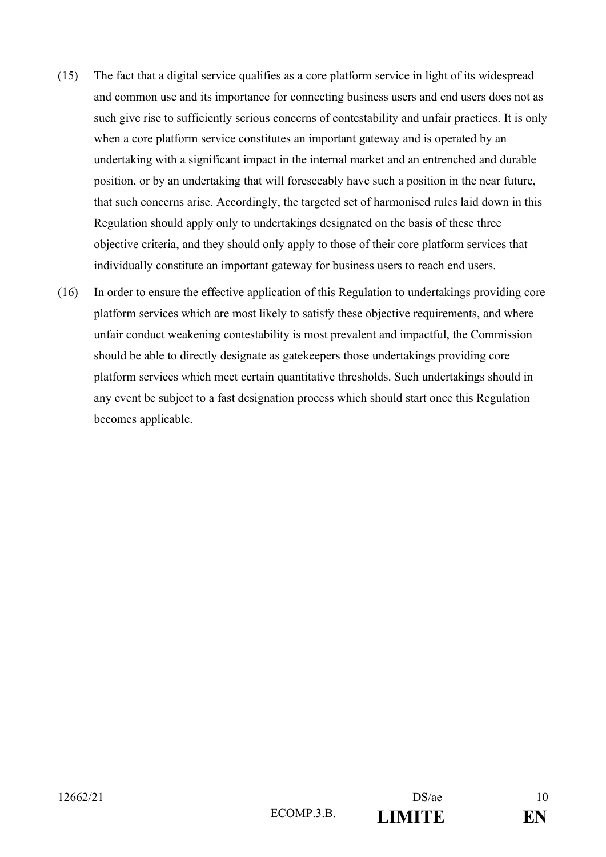- (15) The fact that a digital service qualifies as a core platform service in light of its widespread and common use and its importance for connecting business users and end users does not as such give rise to sufficiently serious concerns of contestability and unfair practices. It is only when a core platform service constitutes an important gateway and is operated by an undertaking with a significant impact in the internal market and an entrenched and durable position, or by an undertaking that will foreseeably have such a position in the near future, that such concerns arise. Accordingly, the targeted set of harmonised rules laid down in this Regulation should apply only to undertakings designated on the basis of these three objective criteria, and they should only apply to those of their core platform services that individually constitute an important gateway for business users to reach end users.
- (16) In order to ensure the effective application of this Regulation to undertakings providing core platform services which are most likely to satisfy these objective requirements, and where unfair conduct weakening contestability is most prevalent and impactful, the Commission should be able to directly designate as gatekeepers those undertakings providing core platform services which meet certain quantitative thresholds. Such undertakings should in any event be subject to a fast designation process which should start once this Regulation becomes applicable.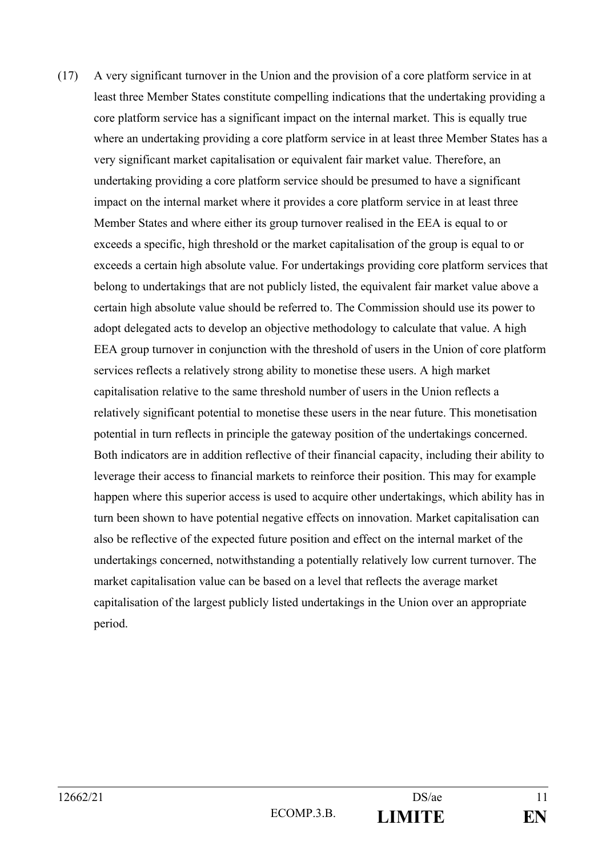(17) A very significant turnover in the Union and the provision of a core platform service in at least three Member States constitute compelling indications that the undertaking providing a core platform service has a significant impact on the internal market. This is equally true where an undertaking providing a core platform service in at least three Member States has a very significant market capitalisation or equivalent fair market value. Therefore, an undertaking providing a core platform service should be presumed to have a significant impact on the internal market where it provides a core platform service in at least three Member States and where either its group turnover realised in the EEA is equal to or exceeds a specific, high threshold or the market capitalisation of the group is equal to or exceeds a certain high absolute value. For undertakings providing core platform services that belong to undertakings that are not publicly listed, the equivalent fair market value above a certain high absolute value should be referred to. The Commission should use its power to adopt delegated acts to develop an objective methodology to calculate that value. A high EEA group turnover in conjunction with the threshold of users in the Union of core platform services reflects a relatively strong ability to monetise these users. A high market capitalisation relative to the same threshold number of users in the Union reflects a relatively significant potential to monetise these users in the near future. This monetisation potential in turn reflects in principle the gateway position of the undertakings concerned. Both indicators are in addition reflective of their financial capacity, including their ability to leverage their access to financial markets to reinforce their position. This may for example happen where this superior access is used to acquire other undertakings, which ability has in turn been shown to have potential negative effects on innovation. Market capitalisation can also be reflective of the expected future position and effect on the internal market of the undertakings concerned, notwithstanding a potentially relatively low current turnover. The market capitalisation value can be based on a level that reflects the average market capitalisation of the largest publicly listed undertakings in the Union over an appropriate period.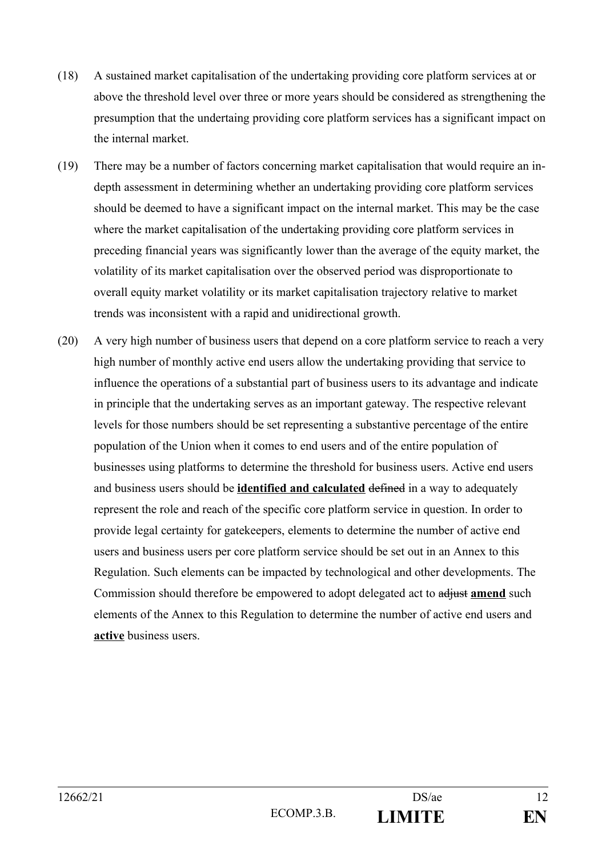- (18) A sustained market capitalisation of the undertaking providing core platform services at or above the threshold level over three or more years should be considered as strengthening the presumption that the undertaing providing core platform services has a significant impact on the internal market.
- (19) There may be a number of factors concerning market capitalisation that would require an indepth assessment in determining whether an undertaking providing core platform services should be deemed to have a significant impact on the internal market. This may be the case where the market capitalisation of the undertaking providing core platform services in preceding financial years was significantly lower than the average of the equity market, the volatility of its market capitalisation over the observed period was disproportionate to overall equity market volatility or its market capitalisation trajectory relative to market trends was inconsistent with a rapid and unidirectional growth.
- (20) A very high number of business users that depend on a core platform service to reach a very high number of monthly active end users allow the undertaking providing that service to influence the operations of a substantial part of business users to its advantage and indicate in principle that the undertaking serves as an important gateway. The respective relevant levels for those numbers should be set representing a substantive percentage of the entire population of the Union when it comes to end users and of the entire population of businesses using platforms to determine the threshold for business users. Active end users and business users should be **identified and calculated** defined in a way to adequately represent the role and reach of the specific core platform service in question. In order to provide legal certainty for gatekeepers, elements to determine the number of active end users and business users per core platform service should be set out in an Annex to this Regulation. Such elements can be impacted by technological and other developments. The Commission should therefore be empowered to adopt delegated act to adjust **amend** such elements of the Annex to this Regulation to determine the number of active end users and **active** business users.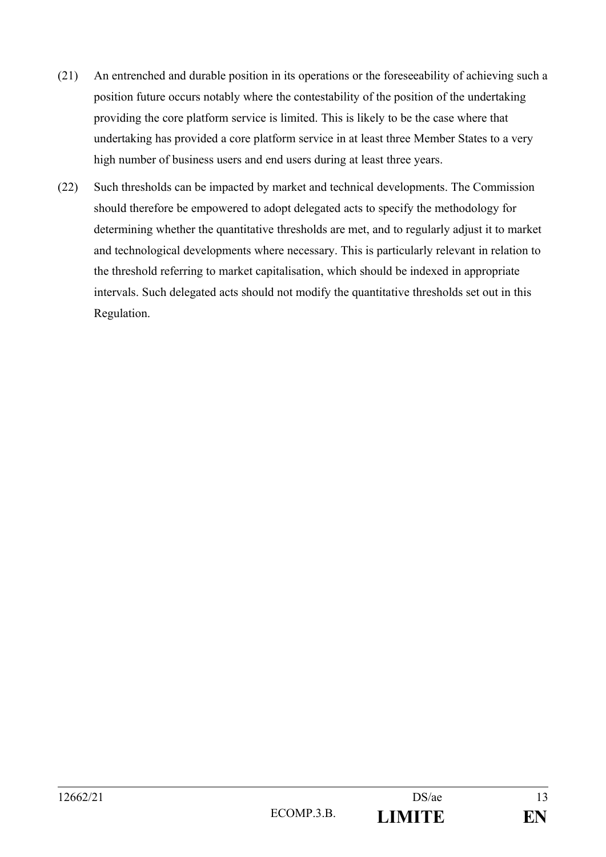- (21) An entrenched and durable position in its operations or the foreseeability of achieving such a position future occurs notably where the contestability of the position of the undertaking providing the core platform service is limited. This is likely to be the case where that undertaking has provided a core platform service in at least three Member States to a very high number of business users and end users during at least three years.
- (22) Such thresholds can be impacted by market and technical developments. The Commission should therefore be empowered to adopt delegated acts to specify the methodology for determining whether the quantitative thresholds are met, and to regularly adjust it to market and technological developments where necessary. This is particularly relevant in relation to the threshold referring to market capitalisation, which should be indexed in appropriate intervals. Such delegated acts should not modify the quantitative thresholds set out in this Regulation.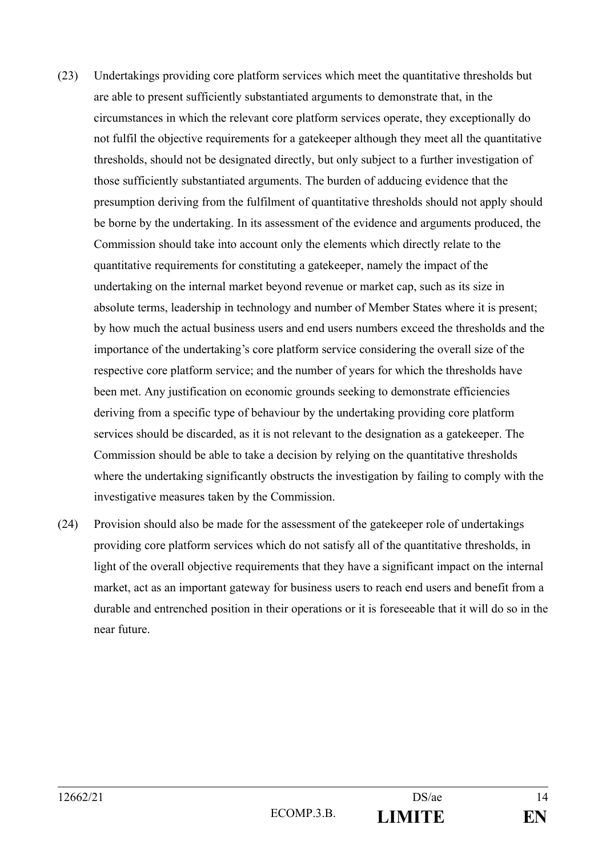- (23) Undertakings providing core platform services which meet the quantitative thresholds but are able to present sufficiently substantiated arguments to demonstrate that, in the circumstances in which the relevant core platform services operate, they exceptionally do not fulfil the objective requirements for a gatekeeper although they meet all the quantitative thresholds, should not be designated directly, but only subject to a further investigation of those sufficiently substantiated arguments. The burden of adducing evidence that the presumption deriving from the fulfilment of quantitative thresholds should not apply should be borne by the undertaking. In its assessment of the evidence and arguments produced, the Commission should take into account only the elements which directly relate to the quantitative requirements for constituting a gatekeeper, namely the impact of the undertaking on the internal market beyond revenue or market cap, such as its size in absolute terms, leadership in technology and number of Member States where it is present; by how much the actual business users and end users numbers exceed the thresholds and the importance of the undertaking's core platform service considering the overall size of the respective core platform service; and the number of years for which the thresholds have been met. Any justification on economic grounds seeking to demonstrate efficiencies deriving from a specific type of behaviour by the undertaking providing core platform services should be discarded, as it is not relevant to the designation as a gatekeeper. The Commission should be able to take a decision by relying on the quantitative thresholds where the undertaking significantly obstructs the investigation by failing to comply with the investigative measures taken by the Commission.
- (24) Provision should also be made for the assessment of the gatekeeper role of undertakings providing core platform services which do not satisfy all of the quantitative thresholds, in light of the overall objective requirements that they have a significant impact on the internal market, act as an important gateway for business users to reach end users and benefit from a durable and entrenched position in their operations or it is foreseeable that it will do so in the near future.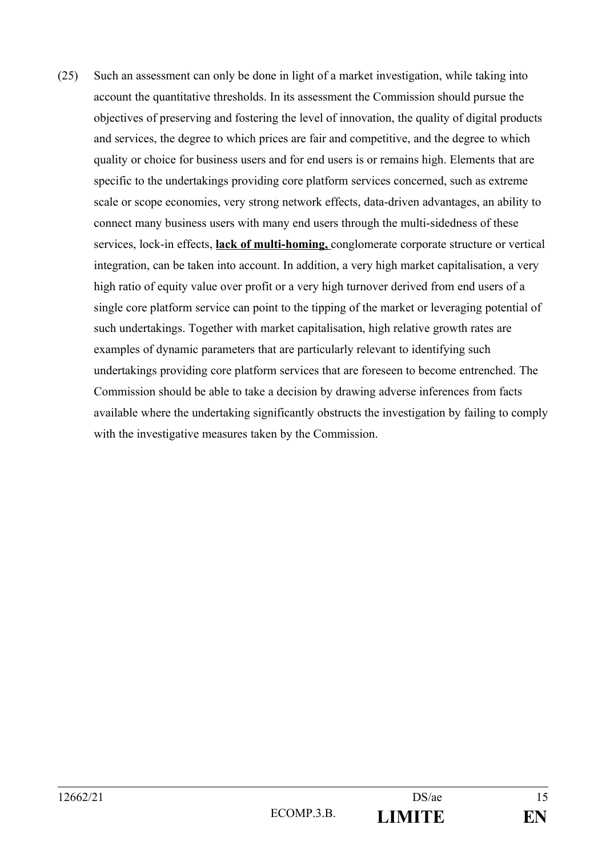(25) Such an assessment can only be done in light of a market investigation, while taking into account the quantitative thresholds. In its assessment the Commission should pursue the objectives of preserving and fostering the level of innovation, the quality of digital products and services, the degree to which prices are fair and competitive, and the degree to which quality or choice for business users and for end users is or remains high. Elements that are specific to the undertakings providing core platform services concerned, such as extreme scale or scope economies, very strong network effects, data-driven advantages, an ability to connect many business users with many end users through the multi-sidedness of these services, lock-in effects, **lack of multi-homing,** conglomerate corporate structure or vertical integration, can be taken into account. In addition, a very high market capitalisation, a very high ratio of equity value over profit or a very high turnover derived from end users of a single core platform service can point to the tipping of the market or leveraging potential of such undertakings. Together with market capitalisation, high relative growth rates are examples of dynamic parameters that are particularly relevant to identifying such undertakings providing core platform services that are foreseen to become entrenched. The Commission should be able to take a decision by drawing adverse inferences from facts available where the undertaking significantly obstructs the investigation by failing to comply with the investigative measures taken by the Commission.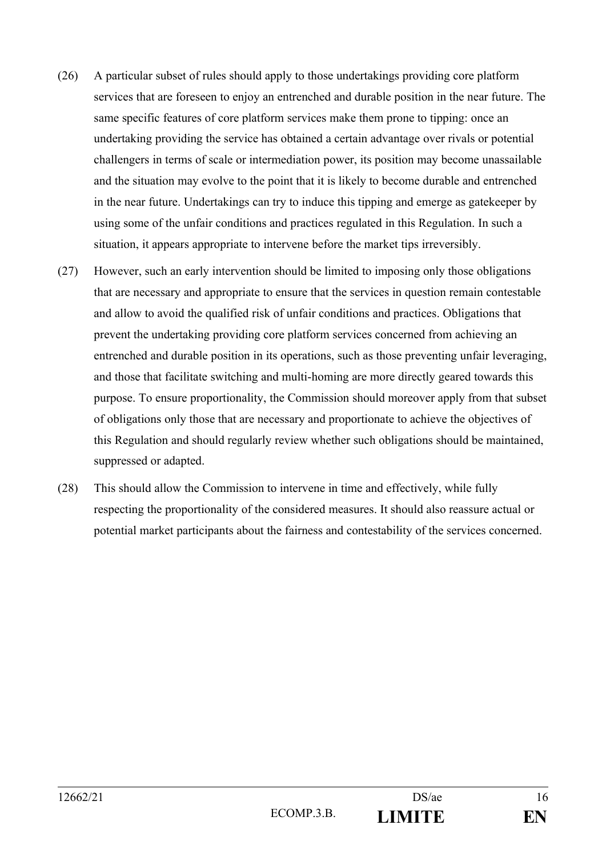- (26) A particular subset of rules should apply to those undertakings providing core platform services that are foreseen to enjoy an entrenched and durable position in the near future. The same specific features of core platform services make them prone to tipping: once an undertaking providing the service has obtained a certain advantage over rivals or potential challengers in terms of scale or intermediation power, its position may become unassailable and the situation may evolve to the point that it is likely to become durable and entrenched in the near future. Undertakings can try to induce this tipping and emerge as gatekeeper by using some of the unfair conditions and practices regulated in this Regulation. In such a situation, it appears appropriate to intervene before the market tips irreversibly.
- (27) However, such an early intervention should be limited to imposing only those obligations that are necessary and appropriate to ensure that the services in question remain contestable and allow to avoid the qualified risk of unfair conditions and practices. Obligations that prevent the undertaking providing core platform services concerned from achieving an entrenched and durable position in its operations, such as those preventing unfair leveraging, and those that facilitate switching and multi-homing are more directly geared towards this purpose. To ensure proportionality, the Commission should moreover apply from that subset of obligations only those that are necessary and proportionate to achieve the objectives of this Regulation and should regularly review whether such obligations should be maintained, suppressed or adapted.
- (28) This should allow the Commission to intervene in time and effectively, while fully respecting the proportionality of the considered measures. It should also reassure actual or potential market participants about the fairness and contestability of the services concerned.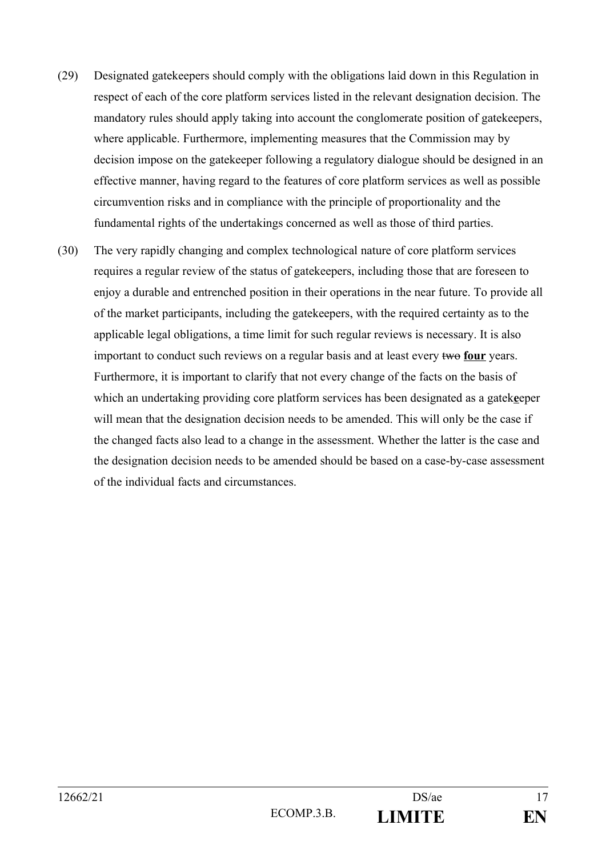- (29) Designated gatekeepers should comply with the obligations laid down in this Regulation in respect of each of the core platform services listed in the relevant designation decision. The mandatory rules should apply taking into account the conglomerate position of gatekeepers, where applicable. Furthermore, implementing measures that the Commission may by decision impose on the gatekeeper following a regulatory dialogue should be designed in an effective manner, having regard to the features of core platform services as well as possible circumvention risks and in compliance with the principle of proportionality and the fundamental rights of the undertakings concerned as well as those of third parties.
- (30) The very rapidly changing and complex technological nature of core platform services requires a regular review of the status of gatekeepers, including those that are foreseen to enjoy a durable and entrenched position in their operations in the near future. To provide all of the market participants, including the gatekeepers, with the required certainty as to the applicable legal obligations, a time limit for such regular reviews is necessary. It is also important to conduct such reviews on a regular basis and at least every two **four** years. Furthermore, it is important to clarify that not every change of the facts on the basis of which an undertaking providing core platform services has been designated as a gatek**e**eper will mean that the designation decision needs to be amended. This will only be the case if the changed facts also lead to a change in the assessment. Whether the latter is the case and the designation decision needs to be amended should be based on a case-by-case assessment of the individual facts and circumstances.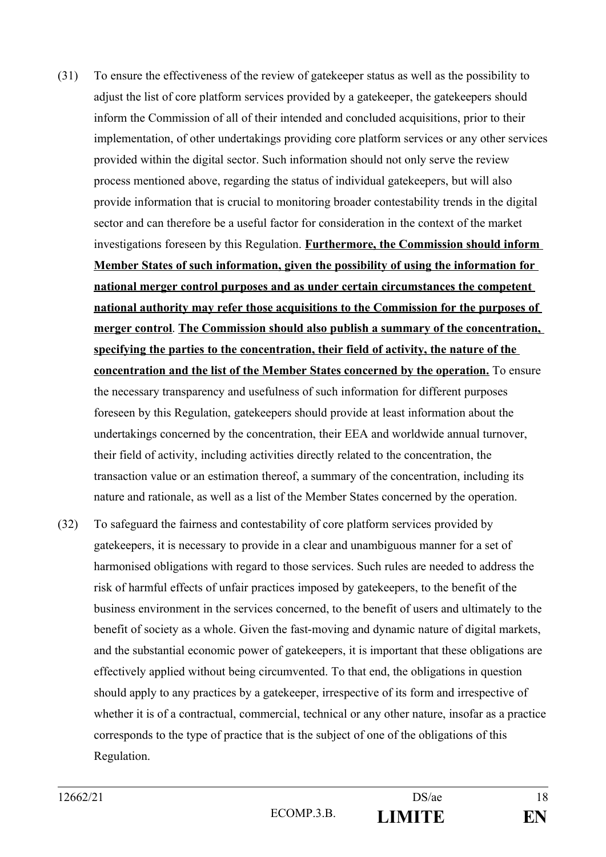- (31) To ensure the effectiveness of the review of gatekeeper status as well as the possibility to adjust the list of core platform services provided by a gatekeeper, the gatekeepers should inform the Commission of all of their intended and concluded acquisitions, prior to their implementation, of other undertakings providing core platform services or any other services provided within the digital sector. Such information should not only serve the review process mentioned above, regarding the status of individual gatekeepers, but will also provide information that is crucial to monitoring broader contestability trends in the digital sector and can therefore be a useful factor for consideration in the context of the market investigations foreseen by this Regulation. **Furthermore, the Commission should inform Member States of such information, given the possibility of using the information for national merger control purposes and as under certain circumstances the competent national authority may refer those acquisitions to the Commission for the purposes of merger control**. **The Commission should also publish a summary of the concentration, specifying the parties to the concentration, their field of activity, the nature of the concentration and the list of the Member States concerned by the operation.** To ensure the necessary transparency and usefulness of such information for different purposes foreseen by this Regulation, gatekeepers should provide at least information about the undertakings concerned by the concentration, their EEA and worldwide annual turnover, their field of activity, including activities directly related to the concentration, the transaction value or an estimation thereof, a summary of the concentration, including its nature and rationale, as well as a list of the Member States concerned by the operation.
- (32) To safeguard the fairness and contestability of core platform services provided by gatekeepers, it is necessary to provide in a clear and unambiguous manner for a set of harmonised obligations with regard to those services. Such rules are needed to address the risk of harmful effects of unfair practices imposed by gatekeepers, to the benefit of the business environment in the services concerned, to the benefit of users and ultimately to the benefit of society as a whole. Given the fast-moving and dynamic nature of digital markets, and the substantial economic power of gatekeepers, it is important that these obligations are effectively applied without being circumvented. To that end, the obligations in question should apply to any practices by a gatekeeper, irrespective of its form and irrespective of whether it is of a contractual, commercial, technical or any other nature, insofar as a practice corresponds to the type of practice that is the subject of one of the obligations of this Regulation.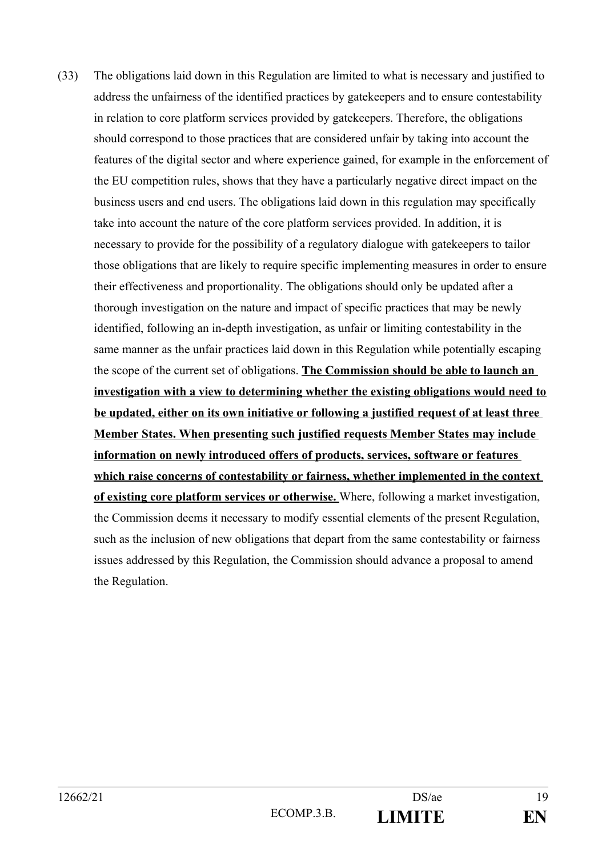(33) The obligations laid down in this Regulation are limited to what is necessary and justified to address the unfairness of the identified practices by gatekeepers and to ensure contestability in relation to core platform services provided by gatekeepers. Therefore, the obligations should correspond to those practices that are considered unfair by taking into account the features of the digital sector and where experience gained, for example in the enforcement of the EU competition rules, shows that they have a particularly negative direct impact on the business users and end users. The obligations laid down in this regulation may specifically take into account the nature of the core platform services provided. In addition, it is necessary to provide for the possibility of a regulatory dialogue with gatekeepers to tailor those obligations that are likely to require specific implementing measures in order to ensure their effectiveness and proportionality. The obligations should only be updated after a thorough investigation on the nature and impact of specific practices that may be newly identified, following an in-depth investigation, as unfair or limiting contestability in the same manner as the unfair practices laid down in this Regulation while potentially escaping the scope of the current set of obligations. **The Commission should be able to launch an investigation with a view to determining whether the existing obligations would need to be updated, either on its own initiative or following a justified request of at least three Member States. When presenting such justified requests Member States may include information on newly introduced offers of products, services, software or features**  which raise concerns of contestability or fairness, whether implemented in the context **of existing core platform services or otherwise.** Where, following a market investigation, the Commission deems it necessary to modify essential elements of the present Regulation, such as the inclusion of new obligations that depart from the same contestability or fairness issues addressed by this Regulation, the Commission should advance a proposal to amend the Regulation.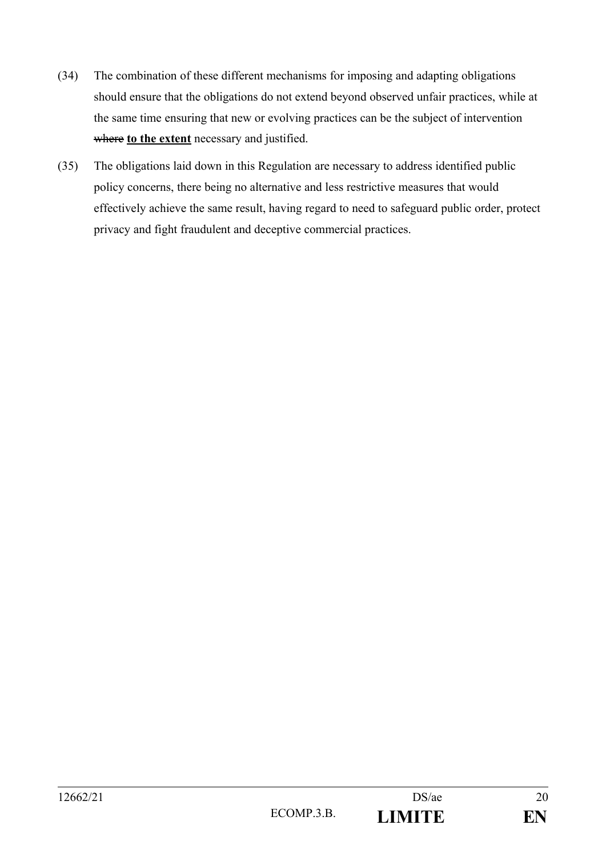- (34) The combination of these different mechanisms for imposing and adapting obligations should ensure that the obligations do not extend beyond observed unfair practices, while at the same time ensuring that new or evolving practices can be the subject of intervention where **to the extent** necessary and justified.
- (35) The obligations laid down in this Regulation are necessary to address identified public policy concerns, there being no alternative and less restrictive measures that would effectively achieve the same result, having regard to need to safeguard public order, protect privacy and fight fraudulent and deceptive commercial practices.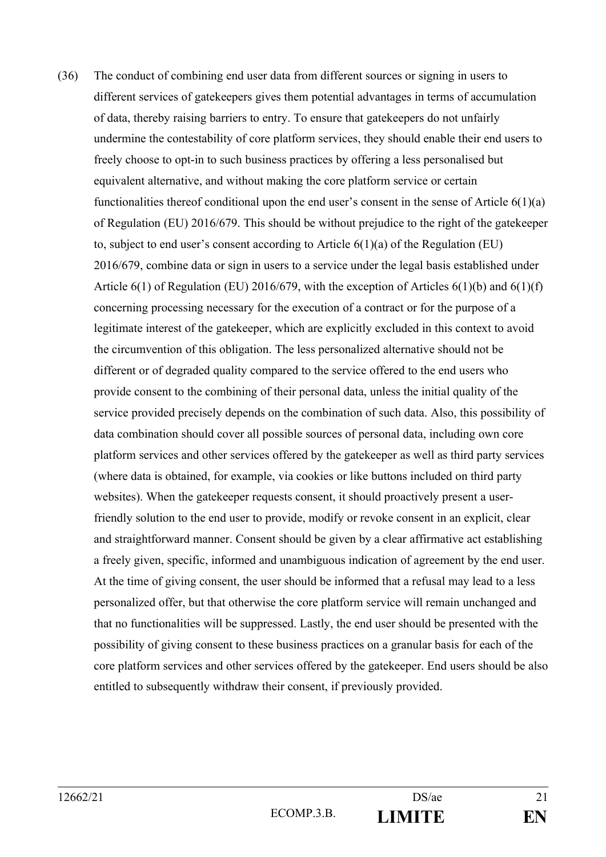(36) The conduct of combining end user data from different sources or signing in users to different services of gatekeepers gives them potential advantages in terms of accumulation of data, thereby raising barriers to entry. To ensure that gatekeepers do not unfairly undermine the contestability of core platform services, they should enable their end users to freely choose to opt-in to such business practices by offering a less personalised but equivalent alternative, and without making the core platform service or certain functionalities thereof conditional upon the end user's consent in the sense of Article  $6(1)(a)$ of Regulation (EU) 2016/679. This should be without prejudice to the right of the gatekeeper to, subject to end user's consent according to Article 6(1)(a) of the Regulation (EU) 2016/679, combine data or sign in users to a service under the legal basis established under Article  $6(1)$  of Regulation (EU) 2016/679, with the exception of Articles  $6(1)(b)$  and  $6(1)(f)$ concerning processing necessary for the execution of a contract or for the purpose of a legitimate interest of the gatekeeper, which are explicitly excluded in this context to avoid the circumvention of this obligation. The less personalized alternative should not be different or of degraded quality compared to the service offered to the end users who provide consent to the combining of their personal data, unless the initial quality of the service provided precisely depends on the combination of such data. Also, this possibility of data combination should cover all possible sources of personal data, including own core platform services and other services offered by the gatekeeper as well as third party services (where data is obtained, for example, via cookies or like buttons included on third party websites). When the gatekeeper requests consent, it should proactively present a userfriendly solution to the end user to provide, modify or revoke consent in an explicit, clear and straightforward manner. Consent should be given by a clear affirmative act establishing a freely given, specific, informed and unambiguous indication of agreement by the end user. At the time of giving consent, the user should be informed that a refusal may lead to a less personalized offer, but that otherwise the core platform service will remain unchanged and that no functionalities will be suppressed. Lastly, the end user should be presented with the possibility of giving consent to these business practices on a granular basis for each of the core platform services and other services offered by the gatekeeper. End users should be also entitled to subsequently withdraw their consent, if previously provided.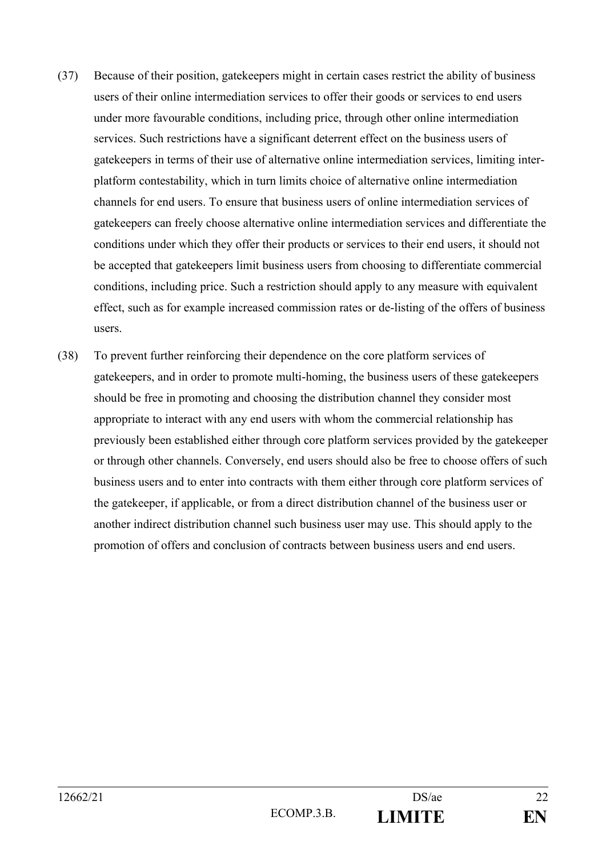- (37) Because of their position, gatekeepers might in certain cases restrict the ability of business users of their online intermediation services to offer their goods or services to end users under more favourable conditions, including price, through other online intermediation services. Such restrictions have a significant deterrent effect on the business users of gatekeepers in terms of their use of alternative online intermediation services, limiting interplatform contestability, which in turn limits choice of alternative online intermediation channels for end users. To ensure that business users of online intermediation services of gatekeepers can freely choose alternative online intermediation services and differentiate the conditions under which they offer their products or services to their end users, it should not be accepted that gatekeepers limit business users from choosing to differentiate commercial conditions, including price. Such a restriction should apply to any measure with equivalent effect, such as for example increased commission rates or de-listing of the offers of business users.
- (38) To prevent further reinforcing their dependence on the core platform services of gatekeepers, and in order to promote multi-homing, the business users of these gatekeepers should be free in promoting and choosing the distribution channel they consider most appropriate to interact with any end users with whom the commercial relationship has previously been established either through core platform services provided by the gatekeeper or through other channels. Conversely, end users should also be free to choose offers of such business users and to enter into contracts with them either through core platform services of the gatekeeper, if applicable, or from a direct distribution channel of the business user or another indirect distribution channel such business user may use. This should apply to the promotion of offers and conclusion of contracts between business users and end users.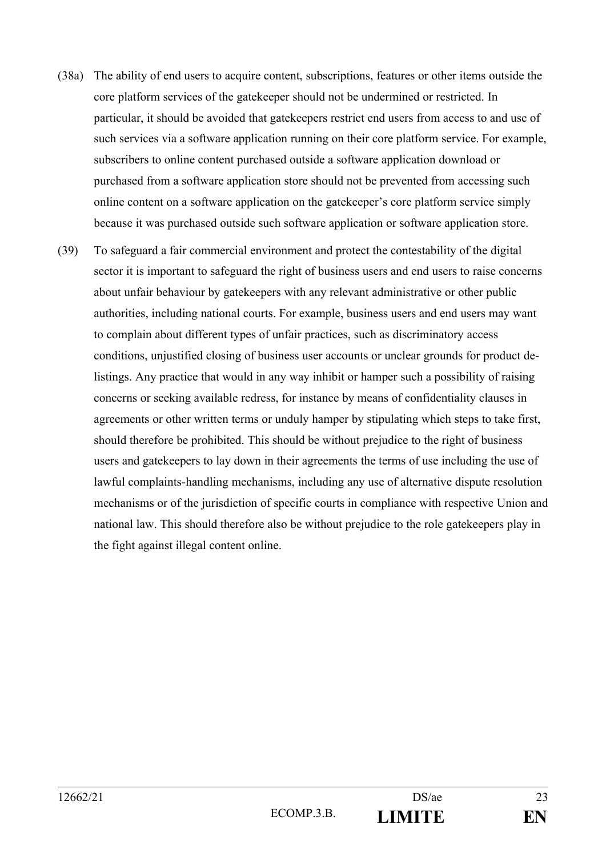- (38a) The ability of end users to acquire content, subscriptions, features or other items outside the core platform services of the gatekeeper should not be undermined or restricted. In particular, it should be avoided that gatekeepers restrict end users from access to and use of such services via a software application running on their core platform service. For example, subscribers to online content purchased outside a software application download or purchased from a software application store should not be prevented from accessing such online content on a software application on the gatekeeper's core platform service simply because it was purchased outside such software application or software application store.
- (39) To safeguard a fair commercial environment and protect the contestability of the digital sector it is important to safeguard the right of business users and end users to raise concerns about unfair behaviour by gatekeepers with any relevant administrative or other public authorities, including national courts. For example, business users and end users may want to complain about different types of unfair practices, such as discriminatory access conditions, unjustified closing of business user accounts or unclear grounds for product delistings. Any practice that would in any way inhibit or hamper such a possibility of raising concerns or seeking available redress, for instance by means of confidentiality clauses in agreements or other written terms or unduly hamper by stipulating which steps to take first, should therefore be prohibited. This should be without prejudice to the right of business users and gatekeepers to lay down in their agreements the terms of use including the use of lawful complaints-handling mechanisms, including any use of alternative dispute resolution mechanisms or of the jurisdiction of specific courts in compliance with respective Union and national law. This should therefore also be without prejudice to the role gatekeepers play in the fight against illegal content online.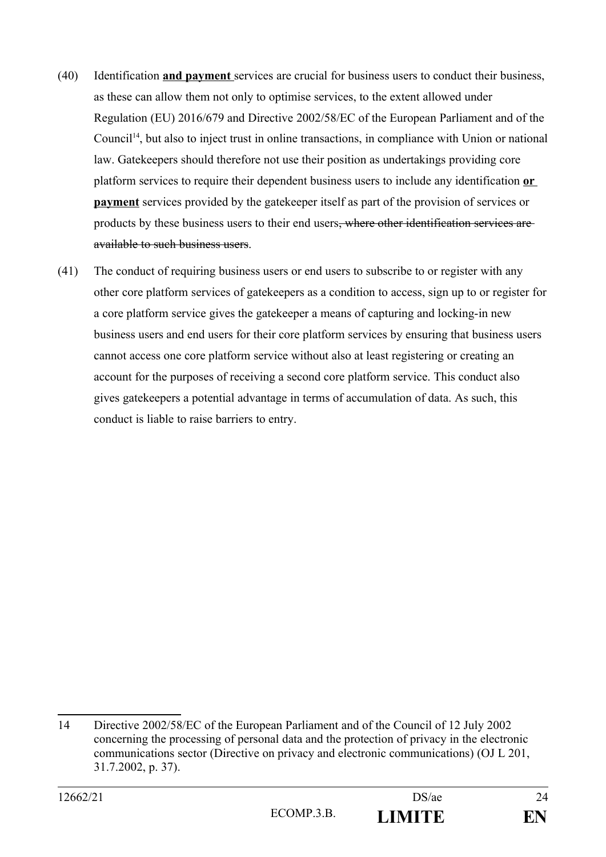- (40) Identification **and payment** services are crucial for business users to conduct their business, as these can allow them not only to optimise services, to the extent allowed under Regulation (EU) 2016/679 and Directive 2002/58/EC of the European Parliament and of the Council<sup>[14](#page-23-0)</sup>, but also to inject trust in online transactions, in compliance with Union or national law. Gatekeepers should therefore not use their position as undertakings providing core platform services to require their dependent business users to include any identification **or payment** services provided by the gatekeeper itself as part of the provision of services or products by these business users to their end users, where other identification services are available to such business users.
- (41) The conduct of requiring business users or end users to subscribe to or register with any other core platform services of gatekeepers as a condition to access, sign up to or register for a core platform service gives the gatekeeper a means of capturing and locking-in new business users and end users for their core platform services by ensuring that business users cannot access one core platform service without also at least registering or creating an account for the purposes of receiving a second core platform service. This conduct also gives gatekeepers a potential advantage in terms of accumulation of data. As such, this conduct is liable to raise barriers to entry.

<span id="page-23-0"></span><sup>14</sup> Directive 2002/58/EC of the European Parliament and of the Council of 12 July 2002 concerning the processing of personal data and the protection of privacy in the electronic communications sector (Directive on privacy and electronic communications) (OJ L 201, 31.7.2002, p. 37).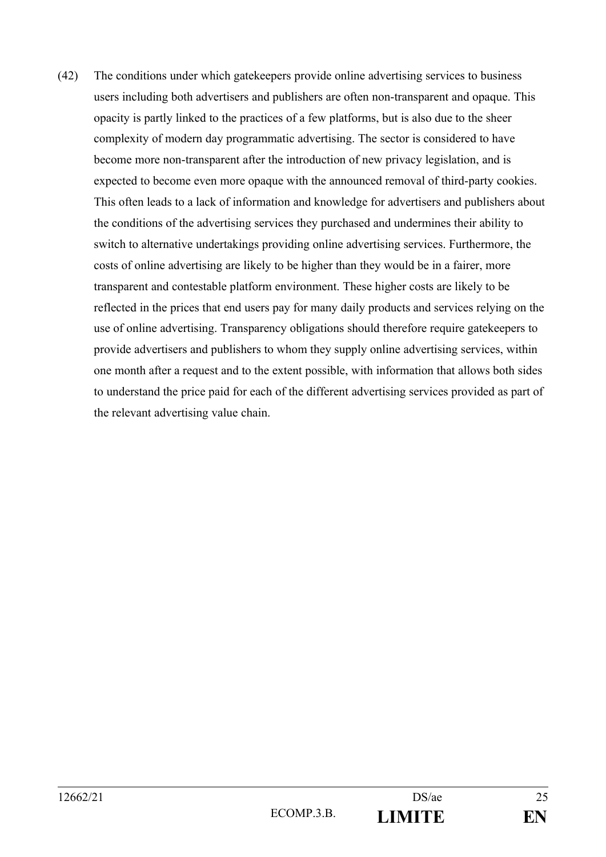(42) The conditions under which gatekeepers provide online advertising services to business users including both advertisers and publishers are often non-transparent and opaque. This opacity is partly linked to the practices of a few platforms, but is also due to the sheer complexity of modern day programmatic advertising. The sector is considered to have become more non-transparent after the introduction of new privacy legislation, and is expected to become even more opaque with the announced removal of third-party cookies. This often leads to a lack of information and knowledge for advertisers and publishers about the conditions of the advertising services they purchased and undermines their ability to switch to alternative undertakings providing online advertising services. Furthermore, the costs of online advertising are likely to be higher than they would be in a fairer, more transparent and contestable platform environment. These higher costs are likely to be reflected in the prices that end users pay for many daily products and services relying on the use of online advertising. Transparency obligations should therefore require gatekeepers to provide advertisers and publishers to whom they supply online advertising services, within one month after a request and to the extent possible, with information that allows both sides to understand the price paid for each of the different advertising services provided as part of the relevant advertising value chain.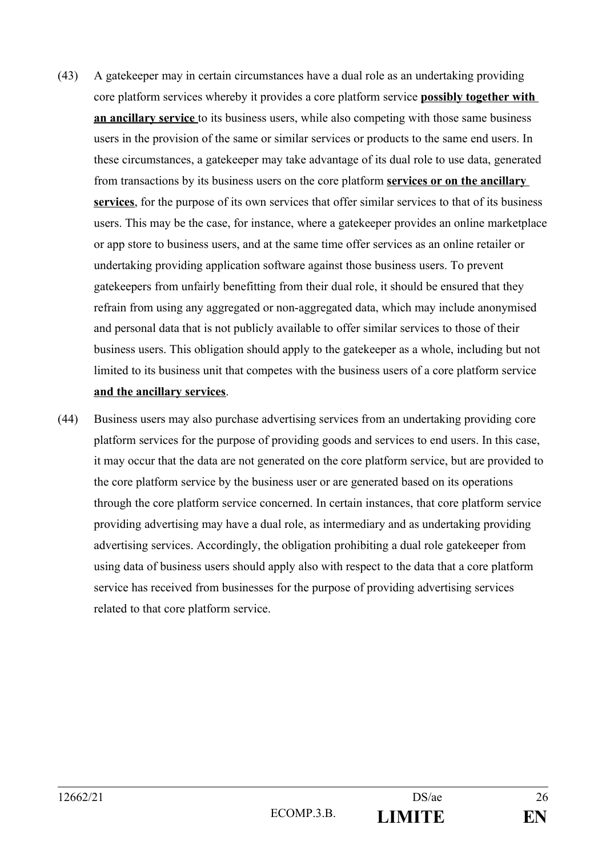- (43) A gatekeeper may in certain circumstances have a dual role as an undertaking providing core platform services whereby it provides a core platform service **possibly together with an ancillary service** to its business users, while also competing with those same business users in the provision of the same or similar services or products to the same end users. In these circumstances, a gatekeeper may take advantage of its dual role to use data, generated from transactions by its business users on the core platform **services or on the ancillary services**, for the purpose of its own services that offer similar services to that of its business users. This may be the case, for instance, where a gatekeeper provides an online marketplace or app store to business users, and at the same time offer services as an online retailer or undertaking providing application software against those business users. To prevent gatekeepers from unfairly benefitting from their dual role, it should be ensured that they refrain from using any aggregated or non-aggregated data, which may include anonymised and personal data that is not publicly available to offer similar services to those of their business users. This obligation should apply to the gatekeeper as a whole, including but not limited to its business unit that competes with the business users of a core platform service **and the ancillary services**.
- (44) Business users may also purchase advertising services from an undertaking providing core platform services for the purpose of providing goods and services to end users. In this case, it may occur that the data are not generated on the core platform service, but are provided to the core platform service by the business user or are generated based on its operations through the core platform service concerned. In certain instances, that core platform service providing advertising may have a dual role, as intermediary and as undertaking providing advertising services. Accordingly, the obligation prohibiting a dual role gatekeeper from using data of business users should apply also with respect to the data that a core platform service has received from businesses for the purpose of providing advertising services related to that core platform service.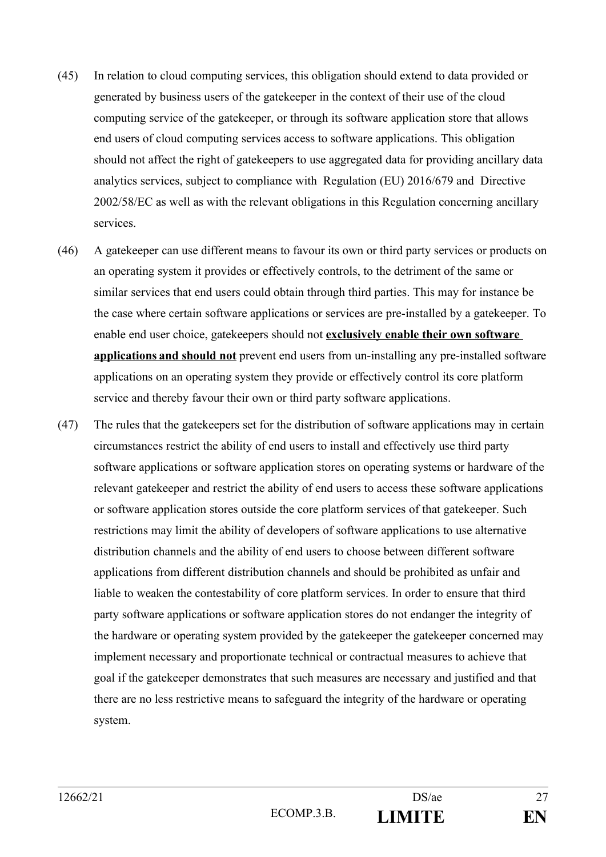- (45) In relation to cloud computing services, this obligation should extend to data provided or generated by business users of the gatekeeper in the context of their use of the cloud computing service of the gatekeeper, or through its software application store that allows end users of cloud computing services access to software applications. This obligation should not affect the right of gatekeepers to use aggregated data for providing ancillary data analytics services, subject to compliance with Regulation (EU) 2016/679 and Directive 2002/58/EC as well as with the relevant obligations in this Regulation concerning ancillary services.
- (46) A gatekeeper can use different means to favour its own or third party services or products on an operating system it provides or effectively controls, to the detriment of the same or similar services that end users could obtain through third parties. This may for instance be the case where certain software applications or services are pre-installed by a gatekeeper. To enable end user choice, gatekeepers should not **exclusively enable their own software applications and should not** prevent end users from un-installing any pre-installed software applications on an operating system they provide or effectively control its core platform service and thereby favour their own or third party software applications.
- (47) The rules that the gatekeepers set for the distribution of software applications may in certain circumstances restrict the ability of end users to install and effectively use third party software applications or software application stores on operating systems or hardware of the relevant gatekeeper and restrict the ability of end users to access these software applications or software application stores outside the core platform services of that gatekeeper. Such restrictions may limit the ability of developers of software applications to use alternative distribution channels and the ability of end users to choose between different software applications from different distribution channels and should be prohibited as unfair and liable to weaken the contestability of core platform services. In order to ensure that third party software applications or software application stores do not endanger the integrity of the hardware or operating system provided by the gatekeeper the gatekeeper concerned may implement necessary and proportionate technical or contractual measures to achieve that goal if the gatekeeper demonstrates that such measures are necessary and justified and that there are no less restrictive means to safeguard the integrity of the hardware or operating system.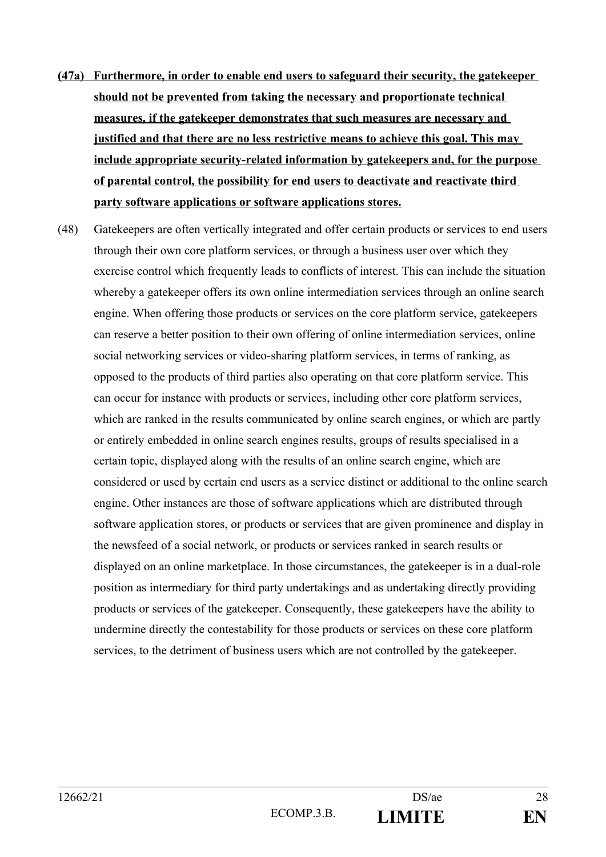- **(47a) Furthermore, in order to enable end users to safeguard their security, the gatekeeper should not be prevented from taking the necessary and proportionate technical measures, if the gatekeeper demonstrates that such measures are necessary and justified and that there are no less restrictive means to achieve this goal. This may include appropriate security-related information by gatekeepers and, for the purpose of parental control, the possibility for end users to deactivate and reactivate third party software applications or software applications stores.**
- (48) Gatekeepers are often vertically integrated and offer certain products or services to end users through their own core platform services, or through a business user over which they exercise control which frequently leads to conflicts of interest. This can include the situation whereby a gatekeeper offers its own online intermediation services through an online search engine. When offering those products or services on the core platform service, gatekeepers can reserve a better position to their own offering of online intermediation services, online social networking services or video-sharing platform services, in terms of ranking, as opposed to the products of third parties also operating on that core platform service. This can occur for instance with products or services, including other core platform services, which are ranked in the results communicated by online search engines, or which are partly or entirely embedded in online search engines results, groups of results specialised in a certain topic, displayed along with the results of an online search engine, which are considered or used by certain end users as a service distinct or additional to the online search engine. Other instances are those of software applications which are distributed through software application stores, or products or services that are given prominence and display in the newsfeed of a social network, or products or services ranked in search results or displayed on an online marketplace. In those circumstances, the gatekeeper is in a dual-role position as intermediary for third party undertakings and as undertaking directly providing products or services of the gatekeeper. Consequently, these gatekeepers have the ability to undermine directly the contestability for those products or services on these core platform services, to the detriment of business users which are not controlled by the gatekeeper.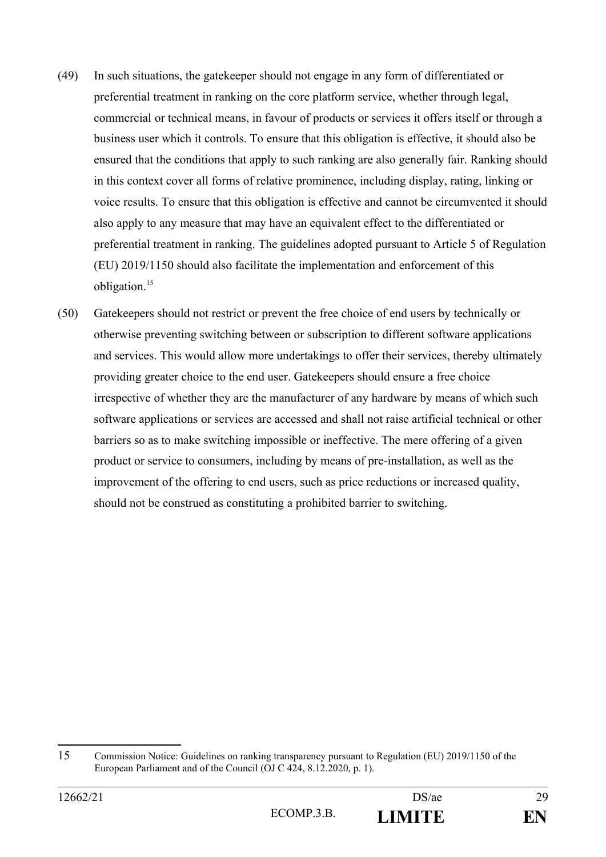- (49) In such situations, the gatekeeper should not engage in any form of differentiated or preferential treatment in ranking on the core platform service, whether through legal, commercial or technical means, in favour of products or services it offers itself or through a business user which it controls. To ensure that this obligation is effective, it should also be ensured that the conditions that apply to such ranking are also generally fair. Ranking should in this context cover all forms of relative prominence, including display, rating, linking or voice results. To ensure that this obligation is effective and cannot be circumvented it should also apply to any measure that may have an equivalent effect to the differentiated or preferential treatment in ranking. The guidelines adopted pursuant to Article 5 of Regulation (EU) 2019/1150 should also facilitate the implementation and enforcement of this obligation.<sup>[15](#page-28-0)</sup>
- (50) Gatekeepers should not restrict or prevent the free choice of end users by technically or otherwise preventing switching between or subscription to different software applications and services. This would allow more undertakings to offer their services, thereby ultimately providing greater choice to the end user. Gatekeepers should ensure a free choice irrespective of whether they are the manufacturer of any hardware by means of which such software applications or services are accessed and shall not raise artificial technical or other barriers so as to make switching impossible or ineffective. The mere offering of a given product or service to consumers, including by means of pre-installation, as well as the improvement of the offering to end users, such as price reductions or increased quality, should not be construed as constituting a prohibited barrier to switching.

<span id="page-28-0"></span><sup>15</sup> Commission Notice: Guidelines on ranking transparency pursuant to Regulation (EU) 2019/1150 of the European Parliament and of the Council (OJ C 424, 8.12.2020, p. 1).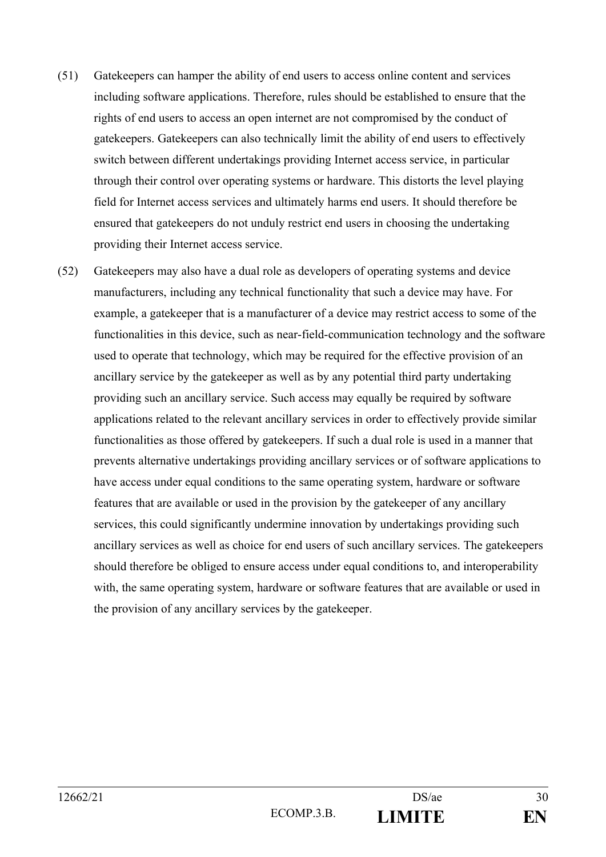- (51) Gatekeepers can hamper the ability of end users to access online content and services including software applications. Therefore, rules should be established to ensure that the rights of end users to access an open internet are not compromised by the conduct of gatekeepers. Gatekeepers can also technically limit the ability of end users to effectively switch between different undertakings providing Internet access service, in particular through their control over operating systems or hardware. This distorts the level playing field for Internet access services and ultimately harms end users. It should therefore be ensured that gatekeepers do not unduly restrict end users in choosing the undertaking providing their Internet access service.
- (52) Gatekeepers may also have a dual role as developers of operating systems and device manufacturers, including any technical functionality that such a device may have. For example, a gatekeeper that is a manufacturer of a device may restrict access to some of the functionalities in this device, such as near-field-communication technology and the software used to operate that technology, which may be required for the effective provision of an ancillary service by the gatekeeper as well as by any potential third party undertaking providing such an ancillary service. Such access may equally be required by software applications related to the relevant ancillary services in order to effectively provide similar functionalities as those offered by gatekeepers. If such a dual role is used in a manner that prevents alternative undertakings providing ancillary services or of software applications to have access under equal conditions to the same operating system, hardware or software features that are available or used in the provision by the gatekeeper of any ancillary services, this could significantly undermine innovation by undertakings providing such ancillary services as well as choice for end users of such ancillary services. The gatekeepers should therefore be obliged to ensure access under equal conditions to, and interoperability with, the same operating system, hardware or software features that are available or used in the provision of any ancillary services by the gatekeeper.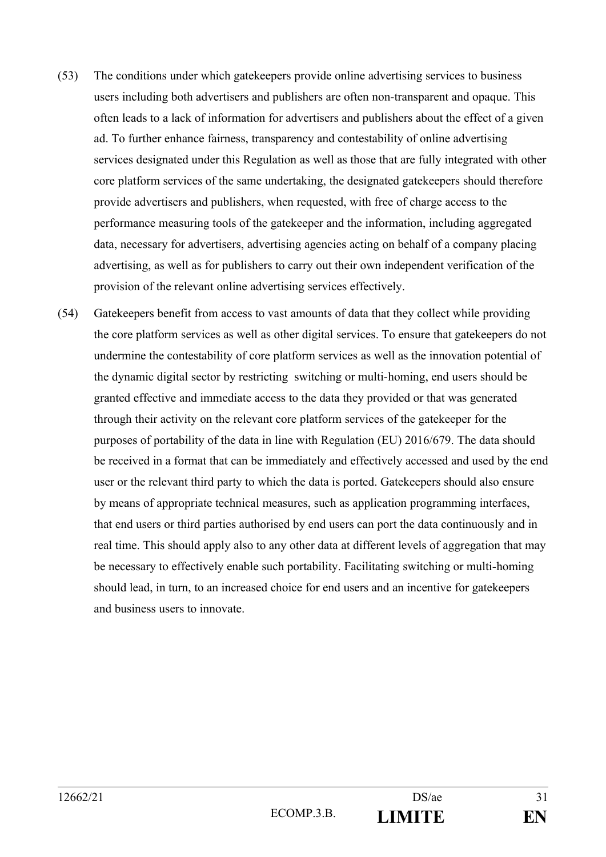- (53) The conditions under which gatekeepers provide online advertising services to business users including both advertisers and publishers are often non-transparent and opaque. This often leads to a lack of information for advertisers and publishers about the effect of a given ad. To further enhance fairness, transparency and contestability of online advertising services designated under this Regulation as well as those that are fully integrated with other core platform services of the same undertaking, the designated gatekeepers should therefore provide advertisers and publishers, when requested, with free of charge access to the performance measuring tools of the gatekeeper and the information, including aggregated data, necessary for advertisers, advertising agencies acting on behalf of a company placing advertising, as well as for publishers to carry out their own independent verification of the provision of the relevant online advertising services effectively.
- (54) Gatekeepers benefit from access to vast amounts of data that they collect while providing the core platform services as well as other digital services. To ensure that gatekeepers do not undermine the contestability of core platform services as well as the innovation potential of the dynamic digital sector by restricting switching or multi-homing, end users should be granted effective and immediate access to the data they provided or that was generated through their activity on the relevant core platform services of the gatekeeper for the purposes of portability of the data in line with Regulation (EU) 2016/679. The data should be received in a format that can be immediately and effectively accessed and used by the end user or the relevant third party to which the data is ported. Gatekeepers should also ensure by means of appropriate technical measures, such as application programming interfaces, that end users or third parties authorised by end users can port the data continuously and in real time. This should apply also to any other data at different levels of aggregation that may be necessary to effectively enable such portability. Facilitating switching or multi-homing should lead, in turn, to an increased choice for end users and an incentive for gatekeepers and business users to innovate.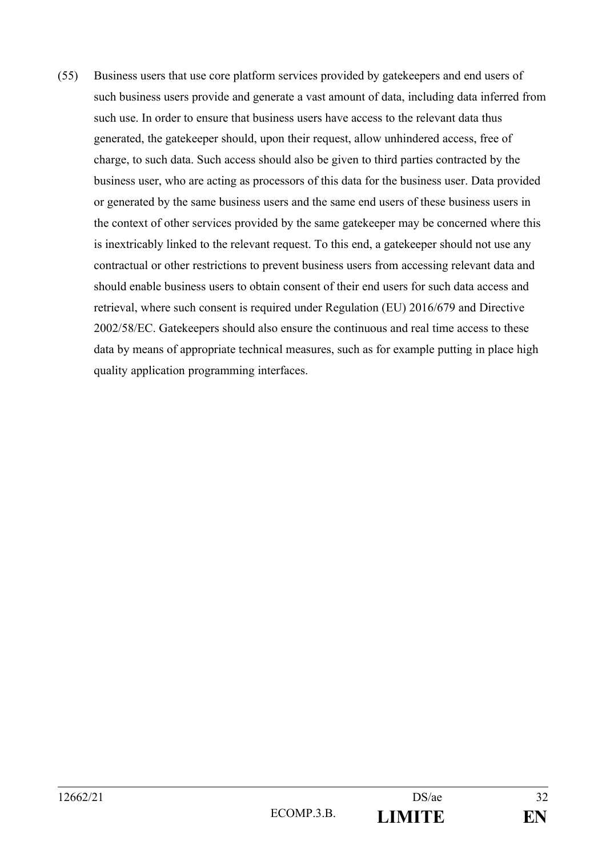(55) Business users that use core platform services provided by gatekeepers and end users of such business users provide and generate a vast amount of data, including data inferred from such use. In order to ensure that business users have access to the relevant data thus generated, the gatekeeper should, upon their request, allow unhindered access, free of charge, to such data. Such access should also be given to third parties contracted by the business user, who are acting as processors of this data for the business user. Data provided or generated by the same business users and the same end users of these business users in the context of other services provided by the same gatekeeper may be concerned where this is inextricably linked to the relevant request. To this end, a gatekeeper should not use any contractual or other restrictions to prevent business users from accessing relevant data and should enable business users to obtain consent of their end users for such data access and retrieval, where such consent is required under Regulation (EU) 2016/679 and Directive 2002/58/EC. Gatekeepers should also ensure the continuous and real time access to these data by means of appropriate technical measures, such as for example putting in place high quality application programming interfaces.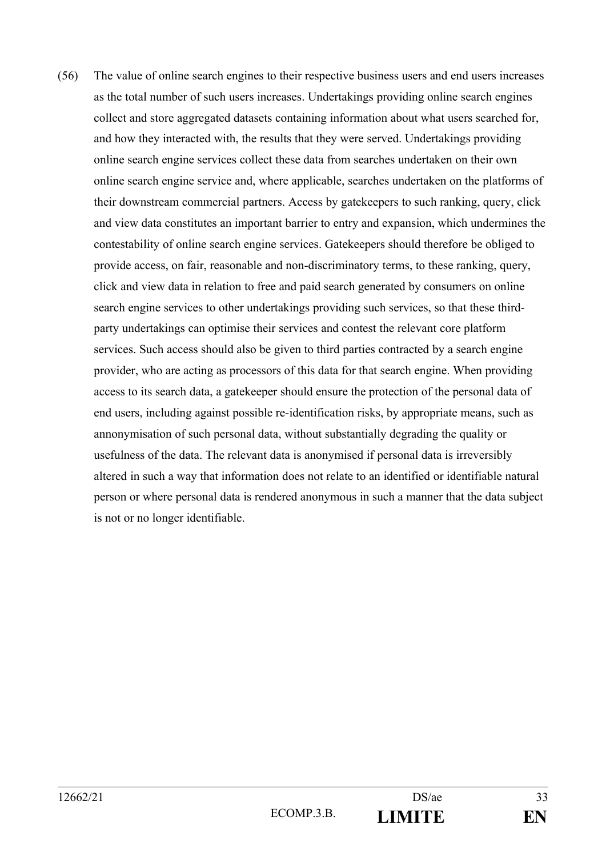(56) The value of online search engines to their respective business users and end users increases as the total number of such users increases. Undertakings providing online search engines collect and store aggregated datasets containing information about what users searched for, and how they interacted with, the results that they were served. Undertakings providing online search engine services collect these data from searches undertaken on their own online search engine service and, where applicable, searches undertaken on the platforms of their downstream commercial partners. Access by gatekeepers to such ranking, query, click and view data constitutes an important barrier to entry and expansion, which undermines the contestability of online search engine services. Gatekeepers should therefore be obliged to provide access, on fair, reasonable and non-discriminatory terms, to these ranking, query, click and view data in relation to free and paid search generated by consumers on online search engine services to other undertakings providing such services, so that these thirdparty undertakings can optimise their services and contest the relevant core platform services. Such access should also be given to third parties contracted by a search engine provider, who are acting as processors of this data for that search engine. When providing access to its search data, a gatekeeper should ensure the protection of the personal data of end users, including against possible re-identification risks, by appropriate means, such as annonymisation of such personal data, without substantially degrading the quality or usefulness of the data. The relevant data is anonymised if personal data is irreversibly altered in such a way that information does not relate to an identified or identifiable natural person or where personal data is rendered anonymous in such a manner that the data subject is not or no longer identifiable.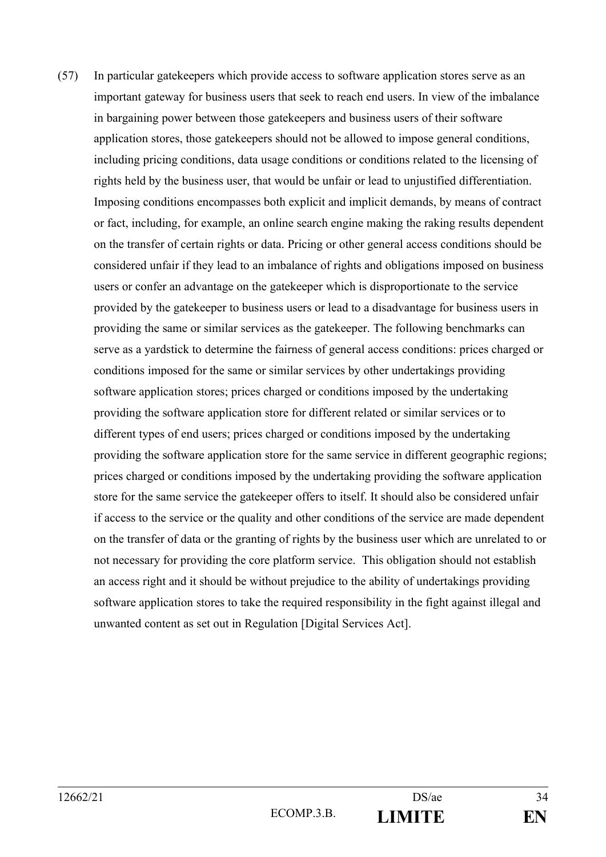(57) In particular gatekeepers which provide access to software application stores serve as an important gateway for business users that seek to reach end users. In view of the imbalance in bargaining power between those gatekeepers and business users of their software application stores, those gatekeepers should not be allowed to impose general conditions, including pricing conditions, data usage conditions or conditions related to the licensing of rights held by the business user, that would be unfair or lead to unjustified differentiation. Imposing conditions encompasses both explicit and implicit demands, by means of contract or fact, including, for example, an online search engine making the raking results dependent on the transfer of certain rights or data. Pricing or other general access conditions should be considered unfair if they lead to an imbalance of rights and obligations imposed on business users or confer an advantage on the gatekeeper which is disproportionate to the service provided by the gatekeeper to business users or lead to a disadvantage for business users in providing the same or similar services as the gatekeeper. The following benchmarks can serve as a yardstick to determine the fairness of general access conditions: prices charged or conditions imposed for the same or similar services by other undertakings providing software application stores; prices charged or conditions imposed by the undertaking providing the software application store for different related or similar services or to different types of end users; prices charged or conditions imposed by the undertaking providing the software application store for the same service in different geographic regions; prices charged or conditions imposed by the undertaking providing the software application store for the same service the gatekeeper offers to itself. It should also be considered unfair if access to the service or the quality and other conditions of the service are made dependent on the transfer of data or the granting of rights by the business user which are unrelated to or not necessary for providing the core platform service. This obligation should not establish an access right and it should be without prejudice to the ability of undertakings providing software application stores to take the required responsibility in the fight against illegal and unwanted content as set out in Regulation [Digital Services Act].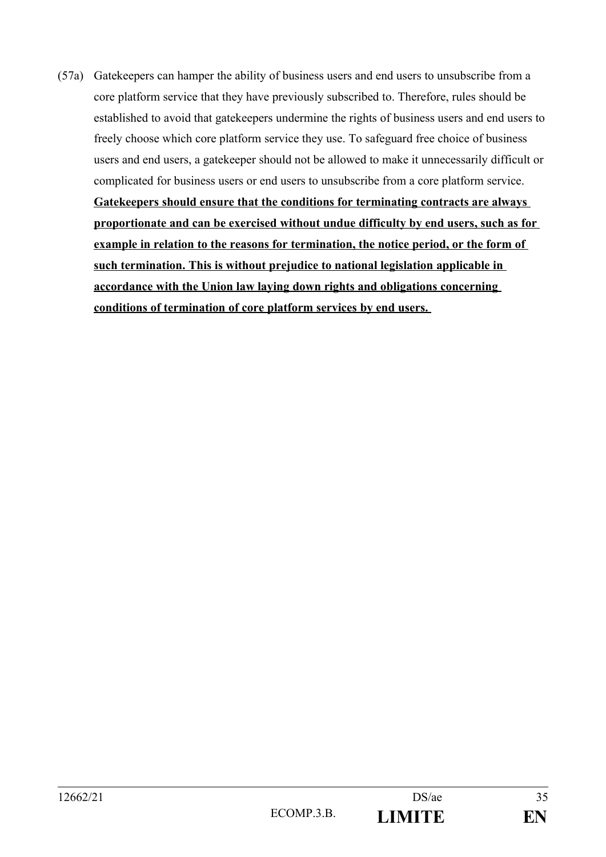(57a) Gatekeepers can hamper the ability of business users and end users to unsubscribe from a core platform service that they have previously subscribed to. Therefore, rules should be established to avoid that gatekeepers undermine the rights of business users and end users to freely choose which core platform service they use. To safeguard free choice of business users and end users, a gatekeeper should not be allowed to make it unnecessarily difficult or complicated for business users or end users to unsubscribe from a core platform service.

**Gatekeepers should ensure that the conditions for terminating contracts are always proportionate and can be exercised without undue difficulty by end users, such as for example in relation to the reasons for termination, the notice period, or the form of**  such termination. This is without prejudice to national legislation applicable in **accordance with the Union law laying down rights and obligations concerning conditions of termination of core platform services by end users.**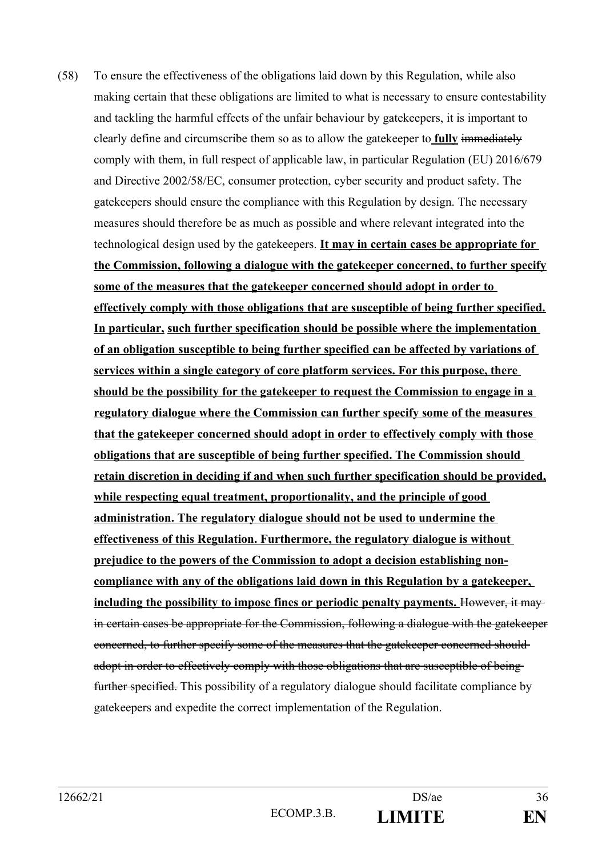(58) To ensure the effectiveness of the obligations laid down by this Regulation, while also making certain that these obligations are limited to what is necessary to ensure contestability and tackling the harmful effects of the unfair behaviour by gatekeepers, it is important to clearly define and circumscribe them so as to allow the gatekeeper to **fully** immediately comply with them, in full respect of applicable law, in particular Regulation (EU) 2016/679 and Directive 2002/58/EC, consumer protection, cyber security and product safety. The gatekeepers should ensure the compliance with this Regulation by design. The necessary measures should therefore be as much as possible and where relevant integrated into the technological design used by the gatekeepers. **It may in certain cases be appropriate for the Commission, following a dialogue with the gatekeeper concerned, to further specify some of the measures that the gatekeeper concerned should adopt in order to effectively comply with those obligations that are susceptible of being further specified. In particular, such further specification should be possible where the implementation of an obligation susceptible to being further specified can be affected by variations of services within a single category of core platform services. For this purpose, there should be the possibility for the gatekeeper to request the Commission to engage in a regulatory dialogue where the Commission can further specify some of the measures that the gatekeeper concerned should adopt in order to effectively comply with those obligations that are susceptible of being further specified. The Commission should retain discretion in deciding if and when such further specification should be provided, while respecting equal treatment, proportionality, and the principle of good administration. The regulatory dialogue should not be used to undermine the effectiveness of this Regulation. Furthermore, the regulatory dialogue is without prejudice to the powers of the Commission to adopt a decision establishing noncompliance with any of the obligations laid down in this Regulation by a gatekeeper,**  including the possibility to impose fines or periodic penalty payments. However, it may in certain cases be appropriate for the Commission, following a dialogue with the gatekeeper concerned, to further specify some of the measures that the gatekeeper concerned should adopt in order to effectively comply with those obligations that are susceptible of beingfurther specified. This possibility of a regulatory dialogue should facilitate compliance by gatekeepers and expedite the correct implementation of the Regulation.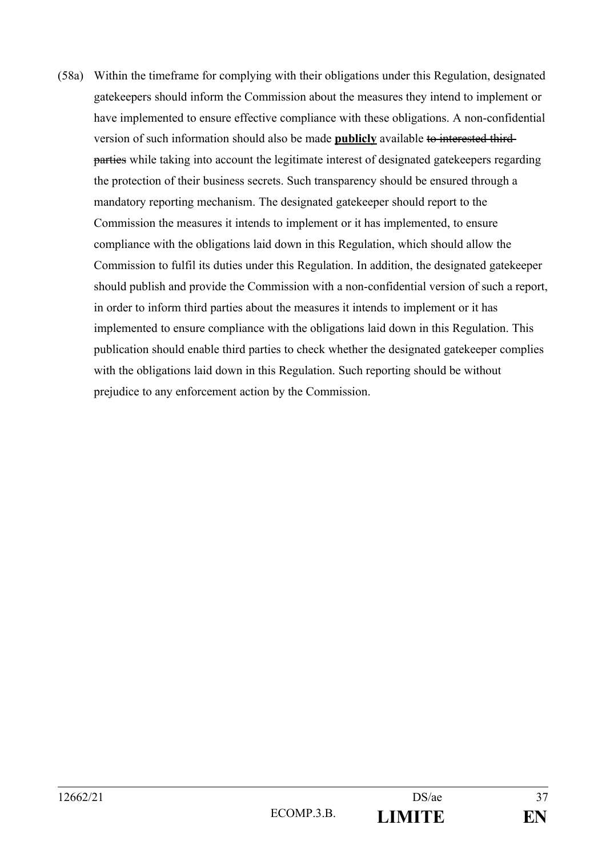(58a) Within the timeframe for complying with their obligations under this Regulation, designated gatekeepers should inform the Commission about the measures they intend to implement or have implemented to ensure effective compliance with these obligations. A non-confidential version of such information should also be made **publicly** available to interested third parties while taking into account the legitimate interest of designated gatekeepers regarding the protection of their business secrets. Such transparency should be ensured through a mandatory reporting mechanism. The designated gatekeeper should report to the Commission the measures it intends to implement or it has implemented, to ensure compliance with the obligations laid down in this Regulation, which should allow the Commission to fulfil its duties under this Regulation. In addition, the designated gatekeeper should publish and provide the Commission with a non-confidential version of such a report, in order to inform third parties about the measures it intends to implement or it has implemented to ensure compliance with the obligations laid down in this Regulation. This publication should enable third parties to check whether the designated gatekeeper complies with the obligations laid down in this Regulation. Such reporting should be without prejudice to any enforcement action by the Commission.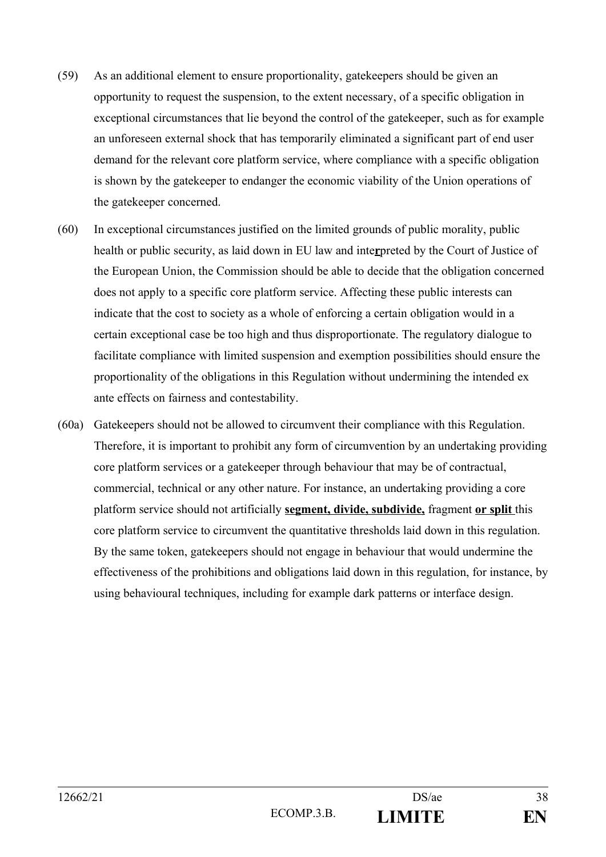- (59) As an additional element to ensure proportionality, gatekeepers should be given an opportunity to request the suspension, to the extent necessary, of a specific obligation in exceptional circumstances that lie beyond the control of the gatekeeper, such as for example an unforeseen external shock that has temporarily eliminated a significant part of end user demand for the relevant core platform service, where compliance with a specific obligation is shown by the gatekeeper to endanger the economic viability of the Union operations of the gatekeeper concerned.
- (60) In exceptional circumstances justified on the limited grounds of public morality, public health or public security, as laid down in EU law and inte**r**preted by the Court of Justice of the European Union, the Commission should be able to decide that the obligation concerned does not apply to a specific core platform service. Affecting these public interests can indicate that the cost to society as a whole of enforcing a certain obligation would in a certain exceptional case be too high and thus disproportionate. The regulatory dialogue to facilitate compliance with limited suspension and exemption possibilities should ensure the proportionality of the obligations in this Regulation without undermining the intended ex ante effects on fairness and contestability.
- (60a) Gatekeepers should not be allowed to circumvent their compliance with this Regulation. Therefore, it is important to prohibit any form of circumvention by an undertaking providing core platform services or a gatekeeper through behaviour that may be of contractual, commercial, technical or any other nature. For instance, an undertaking providing a core platform service should not artificially **segment, divide, subdivide,** fragment **or split** this core platform service to circumvent the quantitative thresholds laid down in this regulation. By the same token, gatekeepers should not engage in behaviour that would undermine the effectiveness of the prohibitions and obligations laid down in this regulation, for instance, by using behavioural techniques, including for example dark patterns or interface design.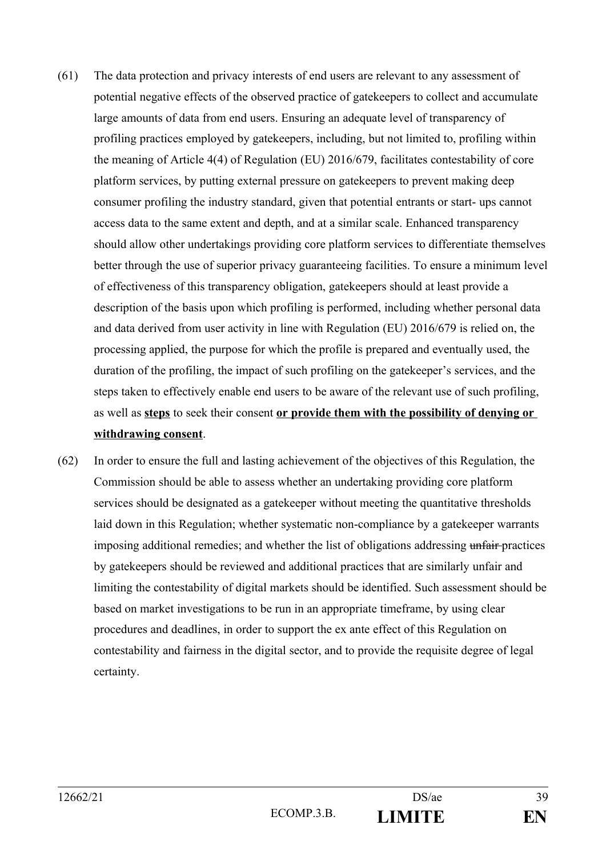- (61) The data protection and privacy interests of end users are relevant to any assessment of potential negative effects of the observed practice of gatekeepers to collect and accumulate large amounts of data from end users. Ensuring an adequate level of transparency of profiling practices employed by gatekeepers, including, but not limited to, profiling within the meaning of Article 4(4) of Regulation (EU) 2016/679, facilitates contestability of core platform services, by putting external pressure on gatekeepers to prevent making deep consumer profiling the industry standard, given that potential entrants or start- ups cannot access data to the same extent and depth, and at a similar scale. Enhanced transparency should allow other undertakings providing core platform services to differentiate themselves better through the use of superior privacy guaranteeing facilities. To ensure a minimum level of effectiveness of this transparency obligation, gatekeepers should at least provide a description of the basis upon which profiling is performed, including whether personal data and data derived from user activity in line with Regulation (EU) 2016/679 is relied on, the processing applied, the purpose for which the profile is prepared and eventually used, the duration of the profiling, the impact of such profiling on the gatekeeper's services, and the steps taken to effectively enable end users to be aware of the relevant use of such profiling, as well as **steps** to seek their consent **or provide them with the possibility of denying or withdrawing consent**.
- (62) In order to ensure the full and lasting achievement of the objectives of this Regulation, the Commission should be able to assess whether an undertaking providing core platform services should be designated as a gatekeeper without meeting the quantitative thresholds laid down in this Regulation; whether systematic non-compliance by a gatekeeper warrants imposing additional remedies; and whether the list of obligations addressing unfair-practices by gatekeepers should be reviewed and additional practices that are similarly unfair and limiting the contestability of digital markets should be identified. Such assessment should be based on market investigations to be run in an appropriate timeframe, by using clear procedures and deadlines, in order to support the ex ante effect of this Regulation on contestability and fairness in the digital sector, and to provide the requisite degree of legal certainty.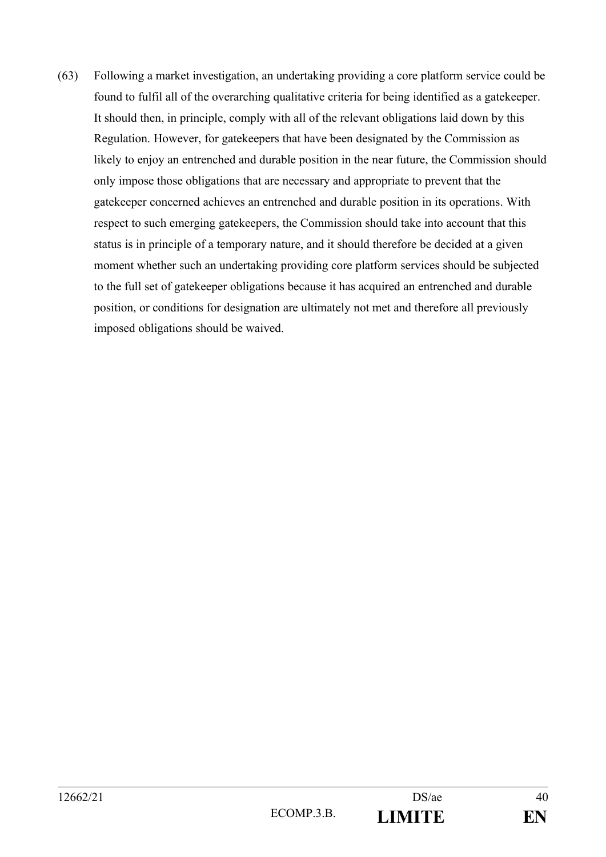(63) Following a market investigation, an undertaking providing a core platform service could be found to fulfil all of the overarching qualitative criteria for being identified as a gatekeeper. It should then, in principle, comply with all of the relevant obligations laid down by this Regulation. However, for gatekeepers that have been designated by the Commission as likely to enjoy an entrenched and durable position in the near future, the Commission should only impose those obligations that are necessary and appropriate to prevent that the gatekeeper concerned achieves an entrenched and durable position in its operations. With respect to such emerging gatekeepers, the Commission should take into account that this status is in principle of a temporary nature, and it should therefore be decided at a given moment whether such an undertaking providing core platform services should be subjected to the full set of gatekeeper obligations because it has acquired an entrenched and durable position, or conditions for designation are ultimately not met and therefore all previously imposed obligations should be waived.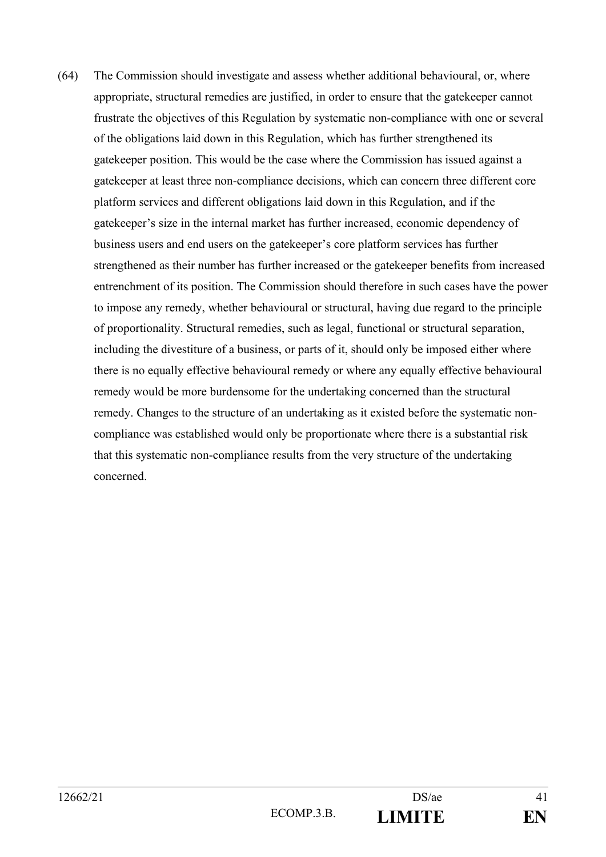(64) The Commission should investigate and assess whether additional behavioural, or, where appropriate, structural remedies are justified, in order to ensure that the gatekeeper cannot frustrate the objectives of this Regulation by systematic non-compliance with one or several of the obligations laid down in this Regulation, which has further strengthened its gatekeeper position. This would be the case where the Commission has issued against a gatekeeper at least three non-compliance decisions, which can concern three different core platform services and different obligations laid down in this Regulation, and if the gatekeeper's size in the internal market has further increased, economic dependency of business users and end users on the gatekeeper's core platform services has further strengthened as their number has further increased or the gatekeeper benefits from increased entrenchment of its position. The Commission should therefore in such cases have the power to impose any remedy, whether behavioural or structural, having due regard to the principle of proportionality. Structural remedies, such as legal, functional or structural separation, including the divestiture of a business, or parts of it, should only be imposed either where there is no equally effective behavioural remedy or where any equally effective behavioural remedy would be more burdensome for the undertaking concerned than the structural remedy. Changes to the structure of an undertaking as it existed before the systematic noncompliance was established would only be proportionate where there is a substantial risk that this systematic non-compliance results from the very structure of the undertaking concerned.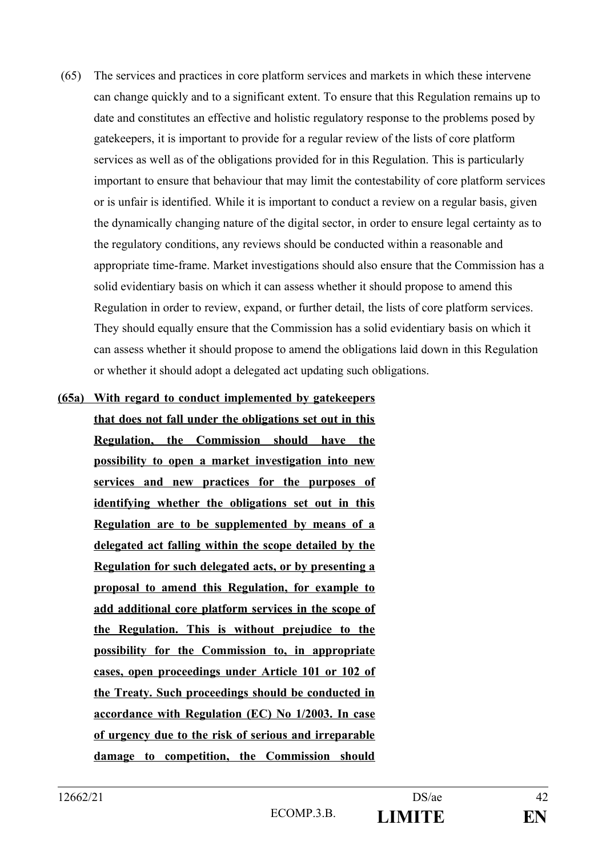- (65) The services and practices in core platform services and markets in which these intervene can change quickly and to a significant extent. To ensure that this Regulation remains up to date and constitutes an effective and holistic regulatory response to the problems posed by gatekeepers, it is important to provide for a regular review of the lists of core platform services as well as of the obligations provided for in this Regulation. This is particularly important to ensure that behaviour that may limit the contestability of core platform services or is unfair is identified. While it is important to conduct a review on a regular basis, given the dynamically changing nature of the digital sector, in order to ensure legal certainty as to the regulatory conditions, any reviews should be conducted within a reasonable and appropriate time-frame. Market investigations should also ensure that the Commission has a solid evidentiary basis on which it can assess whether it should propose to amend this Regulation in order to review, expand, or further detail, the lists of core platform services. They should equally ensure that the Commission has a solid evidentiary basis on which it can assess whether it should propose to amend the obligations laid down in this Regulation or whether it should adopt a delegated act updating such obligations.
- **(65a) With regard to conduct implemented by gatekeepers that does not fall under the obligations set out in this Regulation, the Commission should have the possibility to open a market investigation into new services and new practices for the purposes of identifying whether the obligations set out in this Regulation are to be supplemented by means of a delegated act falling within the scope detailed by the Regulation for such delegated acts , or by presenting a proposal to amend this Regulation, for example to add additional core platform services in the scope of the Regulation. This is without prejudice to the possibility for the Commission to, in appropriate cases, open proceedings under Article 101 or 102 of the Treaty. Such proceedings should be conducted in accordance with Regulation (EC) No 1/2003. In case of urgency due to the risk of serious and irreparable damage to competition, the Commission should**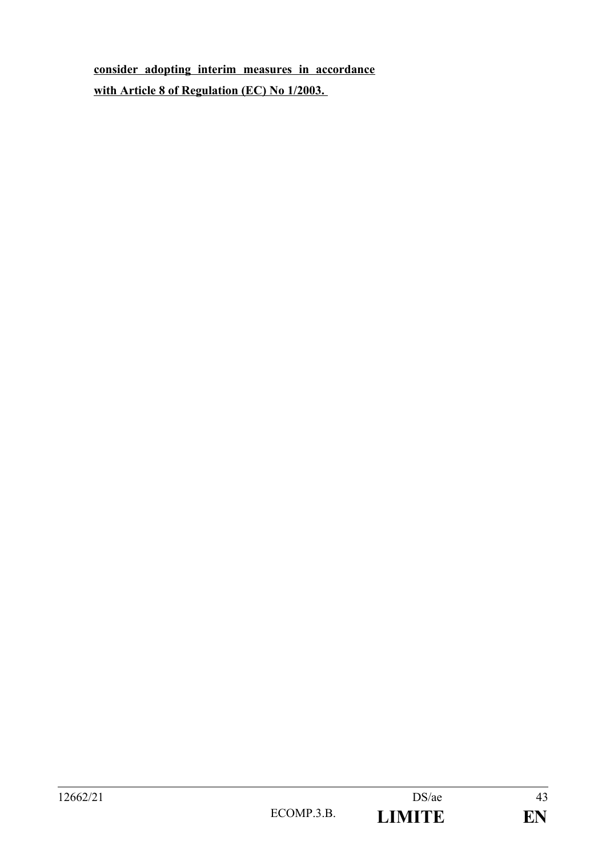**consider adopting interim measures in accordance with Article 8 of Regulation (EC) No 1/2003.**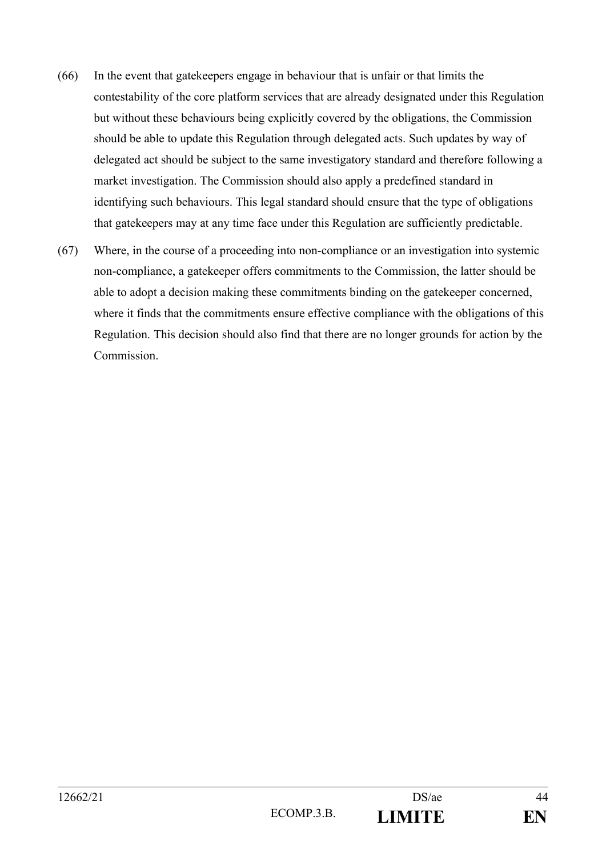- (66) In the event that gatekeepers engage in behaviour that is unfair or that limits the contestability of the core platform services that are already designated under this Regulation but without these behaviours being explicitly covered by the obligations, the Commission should be able to update this Regulation through delegated acts. Such updates by way of delegated act should be subject to the same investigatory standard and therefore following a market investigation. The Commission should also apply a predefined standard in identifying such behaviours. This legal standard should ensure that the type of obligations that gatekeepers may at any time face under this Regulation are sufficiently predictable.
- (67) Where, in the course of a proceeding into non-compliance or an investigation into systemic non-compliance, a gatekeeper offers commitments to the Commission, the latter should be able to adopt a decision making these commitments binding on the gatekeeper concerned, where it finds that the commitments ensure effective compliance with the obligations of this Regulation. This decision should also find that there are no longer grounds for action by the Commission.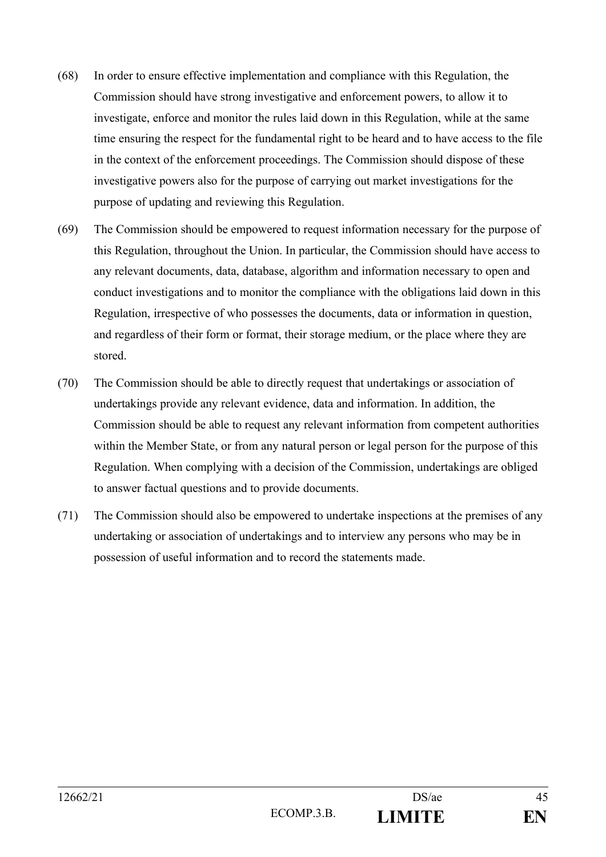- (68) In order to ensure effective implementation and compliance with this Regulation, the Commission should have strong investigative and enforcement powers, to allow it to investigate, enforce and monitor the rules laid down in this Regulation, while at the same time ensuring the respect for the fundamental right to be heard and to have access to the file in the context of the enforcement proceedings. The Commission should dispose of these investigative powers also for the purpose of carrying out market investigations for the purpose of updating and reviewing this Regulation.
- (69) The Commission should be empowered to request information necessary for the purpose of this Regulation, throughout the Union. In particular, the Commission should have access to any relevant documents, data, database, algorithm and information necessary to open and conduct investigations and to monitor the compliance with the obligations laid down in this Regulation, irrespective of who possesses the documents, data or information in question, and regardless of their form or format, their storage medium, or the place where they are stored.
- (70) The Commission should be able to directly request that undertakings or association of undertakings provide any relevant evidence, data and information. In addition, the Commission should be able to request any relevant information from competent authorities within the Member State, or from any natural person or legal person for the purpose of this Regulation. When complying with a decision of the Commission, undertakings are obliged to answer factual questions and to provide documents.
- (71) The Commission should also be empowered to undertake inspections at the premises of any undertaking or association of undertakings and to interview any persons who may be in possession of useful information and to record the statements made.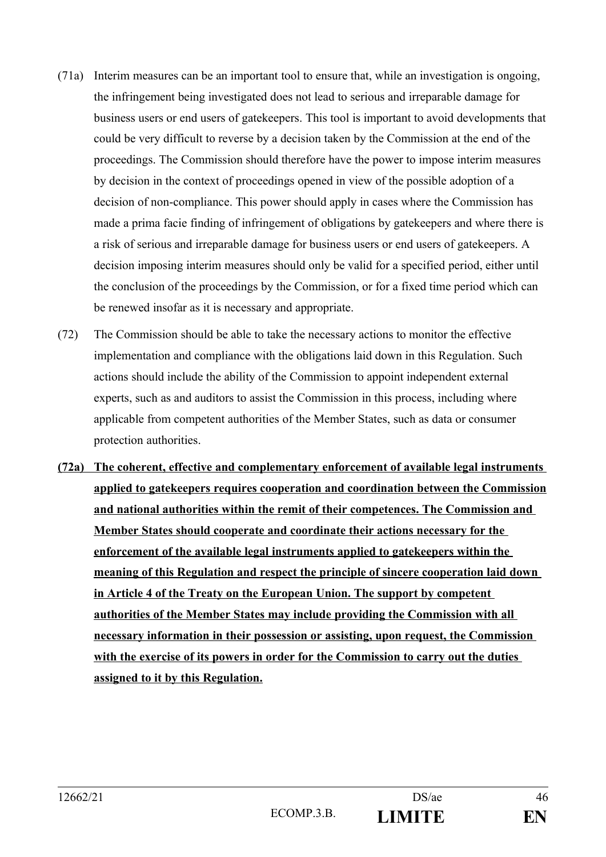- (71a) Interim measures can be an important tool to ensure that, while an investigation is ongoing, the infringement being investigated does not lead to serious and irreparable damage for business users or end users of gatekeepers. This tool is important to avoid developments that could be very difficult to reverse by a decision taken by the Commission at the end of the proceedings. The Commission should therefore have the power to impose interim measures by decision in the context of proceedings opened in view of the possible adoption of a decision of non-compliance. This power should apply in cases where the Commission has made a prima facie finding of infringement of obligations by gatekeepers and where there is a risk of serious and irreparable damage for business users or end users of gatekeepers. A decision imposing interim measures should only be valid for a specified period, either until the conclusion of the proceedings by the Commission, or for a fixed time period which can be renewed insofar as it is necessary and appropriate.
- (72) The Commission should be able to take the necessary actions to monitor the effective implementation and compliance with the obligations laid down in this Regulation. Such actions should include the ability of the Commission to appoint independent external experts, such as and auditors to assist the Commission in this process, including where applicable from competent authorities of the Member States, such as data or consumer protection authorities.
- **(72a) The coherent, effective and complementary enforcement of available legal instruments applied to gatekeepers requires cooperation and coordination between the Commission and national authorities within the remit of their competences. The Commission and Member States should cooperate and coordinate their actions necessary for the enforcement of the available legal instruments applied to gatekeepers within the meaning of this Regulation and respect the principle of sincere cooperation laid down in Article 4 of the Treaty on the European Union. The support by competent authorities of the Member States may include providing the Commission with all necessary information in their possession or assisting, upon request, the Commission with the exercise of its powers in order for the Commission to carry out the duties assigned to it by this Regulation.**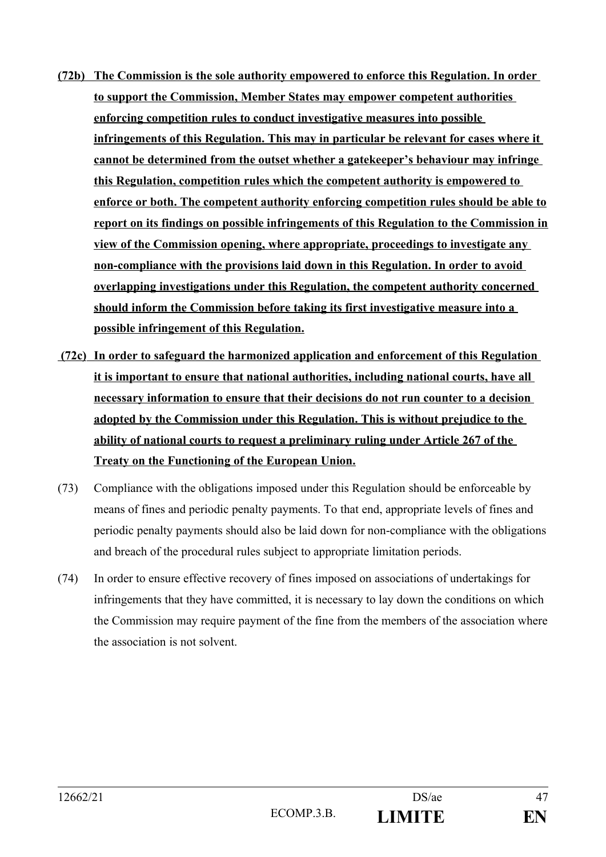- **(72b) The Commission is the sole authority empowered to enforce this Regulation. In order to support the Commission, Member States may empower competent authorities enforcing competition rules to conduct investigative measures into possible infringements of this Regulation. This may in particular be relevant for cases where it cannot be determined from the outset whether a gatekeeper's behaviour may infringe this Regulation, competition rules which the competent authority is empowered to enforce or both. The competent authority enforcing competition rules should be able to report on its findings on possible infringements of this Regulation to the Commission in view of the Commission opening, where appropriate, proceedings to investigate any non-compliance with the provisions laid down in this Regulation. In order to avoid overlapping investigations under this Regulation, the competent authority concerned should inform the Commission before taking its first investigative measure into a possible infringement of this Regulation.**
- **(72c) In order to safeguard the harmonized application and enforcement of this Regulation it is important to ensure that national authorities, including national courts, have all necessary information to ensure that their decisions do not run counter to a decision adopted by the Commission under this Regulation. This is without prejudice to the ability of national courts to request a preliminary ruling under Article 267 of the Treaty on the Functioning of the European Union.**
- (73) Compliance with the obligations imposed under this Regulation should be enforceable by means of fines and periodic penalty payments. To that end, appropriate levels of fines and periodic penalty payments should also be laid down for non-compliance with the obligations and breach of the procedural rules subject to appropriate limitation periods.
- (74) In order to ensure effective recovery of fines imposed on associations of undertakings for infringements that they have committed, it is necessary to lay down the conditions on which the Commission may require payment of the fine from the members of the association where the association is not solvent.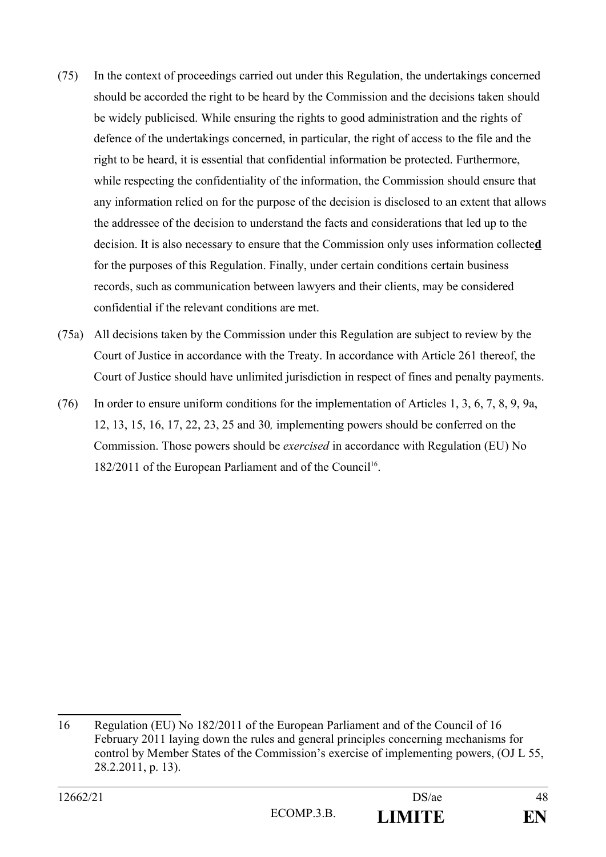- (75) In the context of proceedings carried out under this Regulation, the undertakings concerned should be accorded the right to be heard by the Commission and the decisions taken should be widely publicised. While ensuring the rights to good administration and the rights of defence of the undertakings concerned, in particular, the right of access to the file and the right to be heard, it is essential that confidential information be protected. Furthermore, while respecting the confidentiality of the information, the Commission should ensure that any information relied on for the purpose of the decision is disclosed to an extent that allows the addressee of the decision to understand the facts and considerations that led up to the decision. It is also necessary to ensure that the Commission only uses information collecte**d** for the purposes of this Regulation. Finally, under certain conditions certain business records, such as communication between lawyers and their clients, may be considered confidential if the relevant conditions are met.
- (75a) All decisions taken by the Commission under this Regulation are subject to review by the Court of Justice in accordance with the Treaty. In accordance with Article 261 thereof, the Court of Justice should have unlimited jurisdiction in respect of fines and penalty payments.
- (76) In order to ensure uniform conditions for the implementation of Articles 1, 3, 6, 7, 8, 9, 9a, 12, 13, 15, 16, 17, 22, 23, 25 and 30*,* implementing powers should be conferred on the Commission. Those powers should be *exercised* in accordance with Regulation (EU) No 182/2011 of the European Parliament and of the Council<sup>[16](#page-47-0)</sup>.

<span id="page-47-0"></span><sup>16</sup> Regulation (EU) No 182/2011 of the European Parliament and of the Council of 16 February 2011 laying down the rules and general principles concerning mechanisms for control by Member States of the Commission's exercise of implementing powers, (OJ L 55, 28.2.2011, p. 13).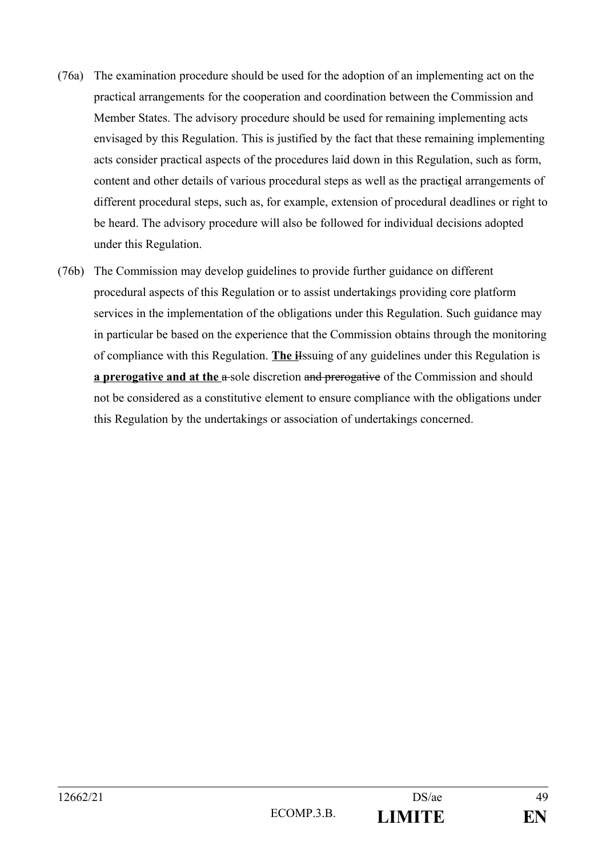- (76a) The examination procedure should be used for the adoption of an implementing act on the practical arrangements for the cooperation and coordination between the Commission and Member States. The advisory procedure should be used for remaining implementing acts envisaged by this Regulation. This is justified by the fact that these remaining implementing acts consider practical aspects of the procedures laid down in this Regulation, such as form, content and other details of various procedural steps as well as the practi**c**al arrangements of different procedural steps, such as, for example, extension of procedural deadlines or right to be heard. The advisory procedure will also be followed for individual decisions adopted under this Regulation.
- (76b) The Commission may develop guidelines to provide further guidance on different procedural aspects of this Regulation or to assist undertakings providing core platform services in the implementation of the obligations under this Regulation. Such guidance may in particular be based on the experience that the Commission obtains through the monitoring of compliance with this Regulation. **The i**Issuing of any guidelines under this Regulation is **a prerogative and at the a-sole discretion and prerogative of the Commission and should** not be considered as a constitutive element to ensure compliance with the obligations under this Regulation by the undertakings or association of undertakings concerned.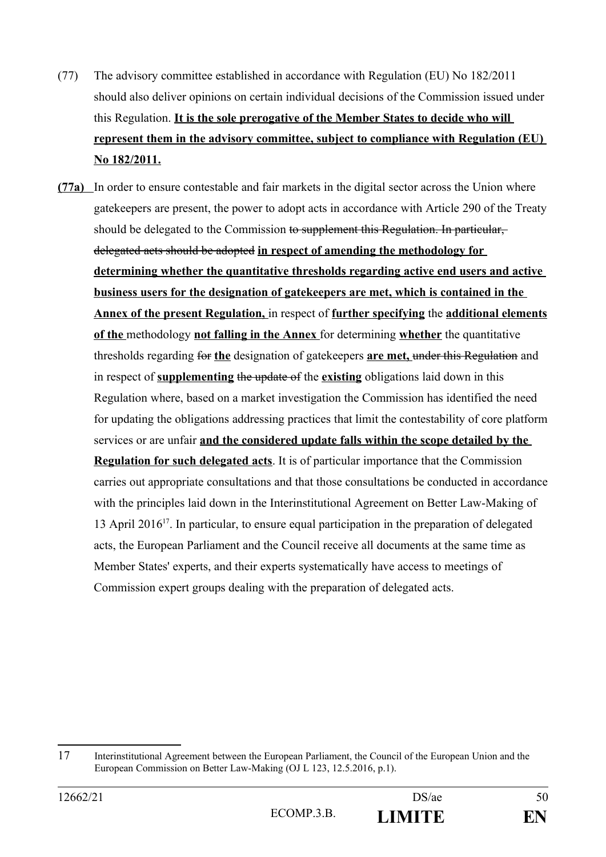- (77) The advisory committee established in accordance with Regulation (EU) No 182/2011 should also deliver opinions on certain individual decisions of the Commission issued under this Regulation. **It is the sole prerogative of the Member States to decide who will represent them in the advisory committee, subject to compliance with Regulation (EU) No 182/2011.**
- **(77a)** In order to ensure contestable and fair markets in the digital sector across the Union where gatekeepers are present, the power to adopt acts in accordance with Article 290 of the Treaty should be delegated to the Commission to supplement this Regulation. In particular, delegated acts should be adopted **in respect of amending the methodology for determining whether the quantitative thresholds regarding active end users and active business users for the designation of gatekeepers are met, which is contained in the Annex of the present Regulation,** in respect of **further specifying** the **additional elements of the** methodology **not falling in the Annex** for determining **whether** the quantitative thresholds regarding for **the** designation of gatekeepers **are met,** under this Regulation and in respect of **supplementing** the update of the **existing** obligations laid down in this Regulation where, based on a market investigation the Commission has identified the need for updating the obligations addressing practices that limit the contestability of core platform services or are unfair **and the considered update falls within the scope detailed by the Regulation for such delegated acts**. It is of particular importance that the Commission carries out appropriate consultations and that those consultations be conducted in accordance with the principles laid down in the Interinstitutional Agreement on Better Law-Making of 13 April 2016<sup>[17](#page-49-0)</sup>. In particular, to ensure equal participation in the preparation of delegated acts, the European Parliament and the Council receive all documents at the same time as Member States' experts, and their experts systematically have access to meetings of Commission expert groups dealing with the preparation of delegated acts.

<span id="page-49-0"></span><sup>17</sup> Interinstitutional Agreement between the European Parliament, the Council of the European Union and the European Commission on Better Law-Making (OJ L 123, 12.5.2016, p.1).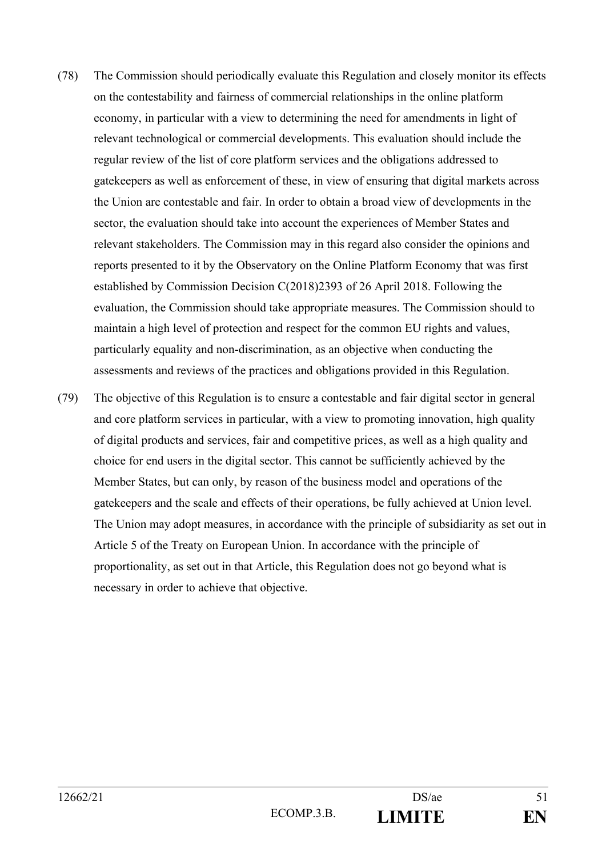- (78) The Commission should periodically evaluate this Regulation and closely monitor its effects on the contestability and fairness of commercial relationships in the online platform economy, in particular with a view to determining the need for amendments in light of relevant technological or commercial developments. This evaluation should include the regular review of the list of core platform services and the obligations addressed to gatekeepers as well as enforcement of these, in view of ensuring that digital markets across the Union are contestable and fair. In order to obtain a broad view of developments in the sector, the evaluation should take into account the experiences of Member States and relevant stakeholders. The Commission may in this regard also consider the opinions and reports presented to it by the Observatory on the Online Platform Economy that was first established by Commission Decision C(2018)2393 of 26 April 2018. Following the evaluation, the Commission should take appropriate measures. The Commission should to maintain a high level of protection and respect for the common EU rights and values, particularly equality and non-discrimination, as an objective when conducting the assessments and reviews of the practices and obligations provided in this Regulation.
- (79) The objective of this Regulation is to ensure a contestable and fair digital sector in general and core platform services in particular, with a view to promoting innovation, high quality of digital products and services, fair and competitive prices, as well as a high quality and choice for end users in the digital sector. This cannot be sufficiently achieved by the Member States, but can only, by reason of the business model and operations of the gatekeepers and the scale and effects of their operations, be fully achieved at Union level. The Union may adopt measures, in accordance with the principle of subsidiarity as set out in Article 5 of the Treaty on European Union. In accordance with the principle of proportionality, as set out in that Article, this Regulation does not go beyond what is necessary in order to achieve that objective.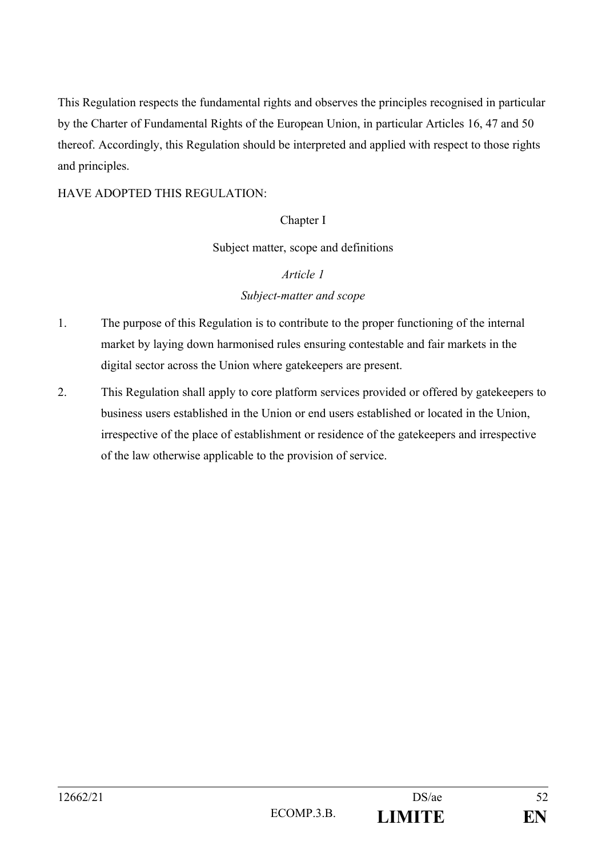This Regulation respects the fundamental rights and observes the principles recognised in particular by the Charter of Fundamental Rights of the European Union, in particular Articles 16, 47 and 50 thereof. Accordingly, this Regulation should be interpreted and applied with respect to those rights and principles.

## HAVE ADOPTED THIS REGULATION:

### Chapter I

### Subject matter, scope and definitions

### *Article 1*

### *Subject-matter and scope*

- 1. The purpose of this Regulation is to contribute to the proper functioning of the internal market by laying down harmonised rules ensuring contestable and fair markets in the digital sector across the Union where gatekeepers are present.
- 2. This Regulation shall apply to core platform services provided or offered by gatekeepers to business users established in the Union or end users established or located in the Union, irrespective of the place of establishment or residence of the gatekeepers and irrespective of the law otherwise applicable to the provision of service.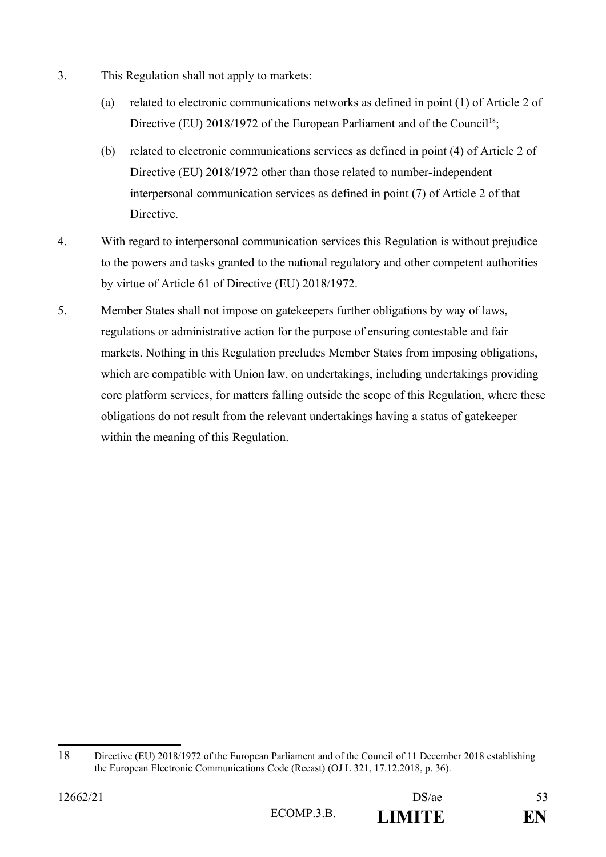- 3. This Regulation shall not apply to markets:
	- (a) related to electronic communications networks as defined in point (1) of Article 2 of Directive (EU) 20[18](#page-52-0)/1972 of the European Parliament and of the Council<sup>18</sup>;
	- (b) related to electronic communications services as defined in point (4) of Article 2 of Directive (EU) 2018/1972 other than those related to number-independent interpersonal communication services as defined in point (7) of Article 2 of that Directive.
- 4. With regard to interpersonal communication services this Regulation is without prejudice to the powers and tasks granted to the national regulatory and other competent authorities by virtue of Article 61 of Directive (EU) 2018/1972.
- 5. Member States shall not impose on gatekeepers further obligations by way of laws, regulations or administrative action for the purpose of ensuring contestable and fair markets. Nothing in this Regulation precludes Member States from imposing obligations, which are compatible with Union law, on undertakings, including undertakings providing core platform services, for matters falling outside the scope of this Regulation, where these obligations do not result from the relevant undertakings having a status of gatekeeper within the meaning of this Regulation.

<span id="page-52-0"></span><sup>18</sup> Directive (EU) 2018/1972 of the European Parliament and of the Council of 11 December 2018 establishing the European Electronic Communications Code (Recast) (OJ L 321, 17.12.2018, p. 36).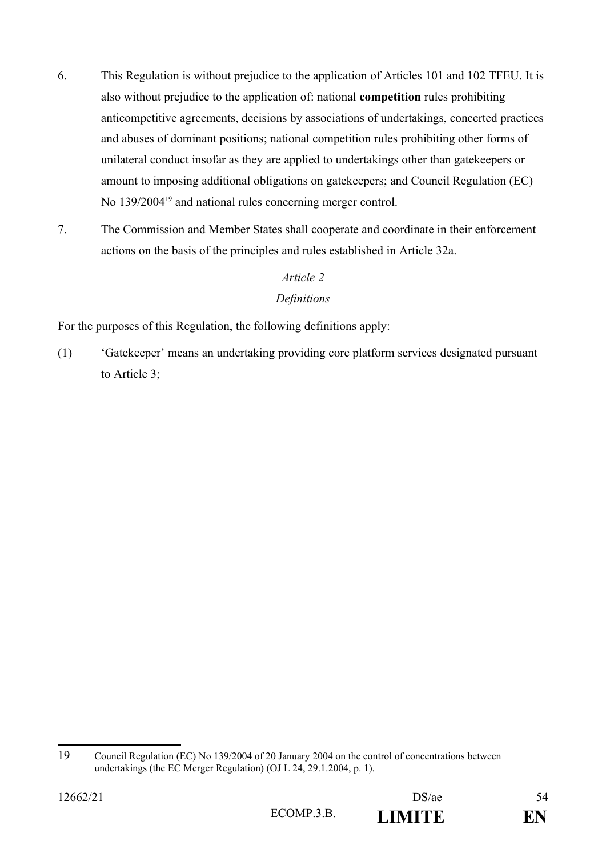- 6. This Regulation is without prejudice to the application of Articles 101 and 102 TFEU. It is also without prejudice to the application of: national **competition** rules prohibiting anticompetitive agreements, decisions by associations of undertakings, concerted practices and abuses of dominant positions; national competition rules prohibiting other forms of unilateral conduct insofar as they are applied to undertakings other than gatekeepers or amount to imposing additional obligations on gatekeepers; and Council Regulation (EC) No 139/2004<sup>[19](#page-53-0)</sup> and national rules concerning merger control.
- 7. The Commission and Member States shall cooperate and coordinate in their enforcement actions on the basis of the principles and rules established in Article 32a.

# *Article 2 Definitions*

For the purposes of this Regulation, the following definitions apply:

(1) 'Gatekeeper' means an undertaking providing core platform services designated pursuant to Article 3;

<span id="page-53-0"></span><sup>19</sup> Council Regulation (EC) No 139/2004 of 20 January 2004 on the control of concentrations between undertakings (the EC Merger Regulation) (OJ L 24, 29.1.2004, p. 1).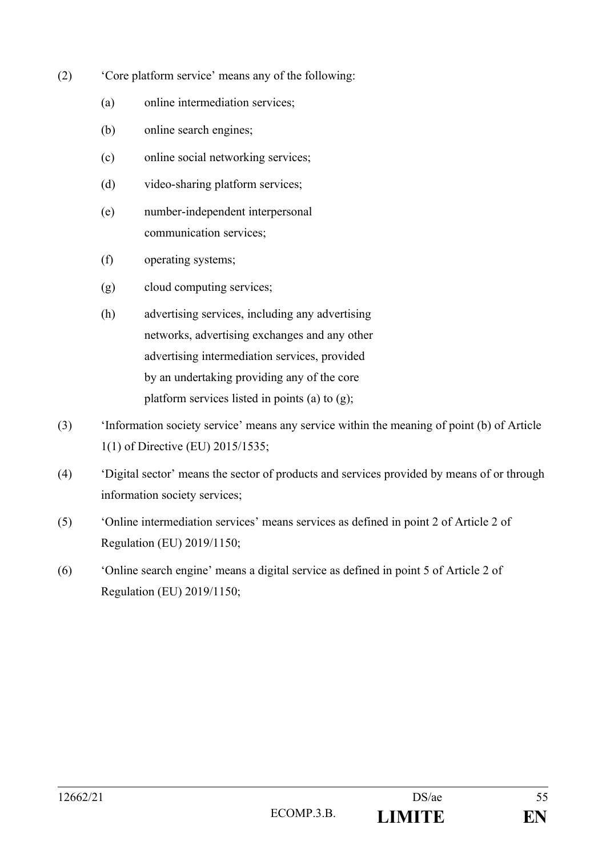- (2) 'Core platform service' means any of the following:
	- (a) online intermediation services;
	- (b) online search engines;
	- (c) online social networking services;
	- (d) video-sharing platform services;
	- (e) number-independent interpersonal communication services;
	- (f) operating systems;
	- (g) cloud computing services;
	- (h) advertising services, including any advertising networks, advertising exchanges and any other advertising intermediation services, provided by an undertaking providing any of the core platform services listed in points (a) to (g);
- (3) 'Information society service' means any service within the meaning of point (b) of Article 1(1) of Directive (EU) 2015/1535;
- (4) 'Digital sector' means the sector of products and services provided by means of or through information society services;
- (5) 'Online intermediation services' means services as defined in point 2 of Article 2 of Regulation (EU) 2019/1150;
- (6) 'Online search engine' means a digital service as defined in point 5 of Article 2 of Regulation (EU) 2019/1150;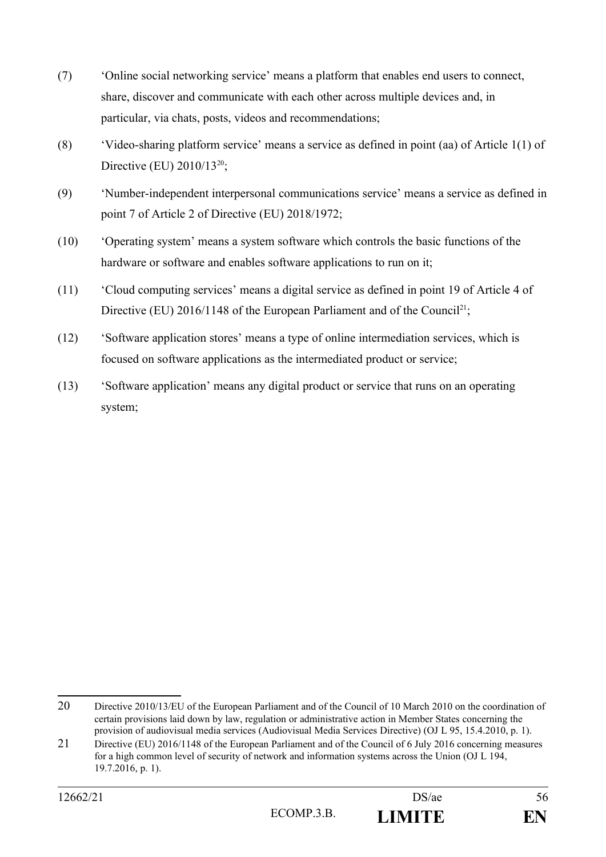- (7) 'Online social networking service' means a platform that enables end users to connect, share, discover and communicate with each other across multiple devices and, in particular, via chats, posts, videos and recommendations;
- (8) 'Video-sharing platform service' means a service as defined in point (aa) of Article 1(1) of Directive (EU)  $2010/13^{20}$  $2010/13^{20}$ ;
- (9) 'Number-independent interpersonal communications service' means a service as defined in point 7 of Article 2 of Directive (EU) 2018/1972;
- (10) 'Operating system' means a system software which controls the basic functions of the hardware or software and enables software applications to run on it;
- (11) 'Cloud computing services' means a digital service as defined in point 19 of Article 4 of Directive (EU) 2016/1148 of the European Parliament and of the Council<sup>[21](#page-55-1)</sup>;
- (12) 'Software application stores' means a type of online intermediation services, which is focused on software applications as the intermediated product or service;
- (13) 'Software application' means any digital product or service that runs on an operating system;

<span id="page-55-0"></span><sup>20</sup> Directive 2010/13/EU of the European Parliament and of the Council of 10 March 2010 on the coordination of certain provisions laid down by law, regulation or administrative action in Member States concerning the provision of audiovisual media services (Audiovisual Media Services Directive) (OJ L 95, 15.4.2010, p. 1).

<span id="page-55-1"></span><sup>21</sup> Directive (EU) 2016/1148 of the European Parliament and of the Council of 6 July 2016 concerning measures for a high common level of security of network and information systems across the Union (OJ L 194, 19.7.2016, p. 1).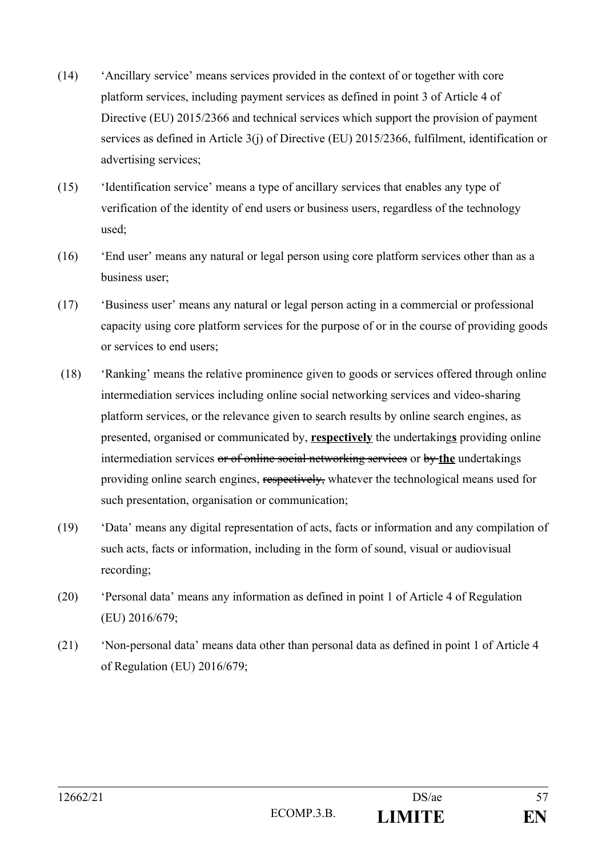- (14) 'Ancillary service' means services provided in the context of or together with core platform services, including payment services as defined in point 3 of Article 4 of Directive (EU) 2015/2366 and technical services which support the provision of payment services as defined in Article 3(j) of Directive (EU) 2015/2366, fulfilment, identification or advertising services;
- (15) 'Identification service' means a type of ancillary services that enables any type of verification of the identity of end users or business users, regardless of the technology used;
- (16) 'End user' means any natural or legal person using core platform services other than as a business user;
- (17) 'Business user' means any natural or legal person acting in a commercial or professional capacity using core platform services for the purpose of or in the course of providing goods or services to end users;
- (18) 'Ranking' means the relative prominence given to goods or services offered through online intermediation services including online social networking services and video-sharing platform services, or the relevance given to search results by online search engines, as presented, organised or communicated by, **respectively** the undertaking**s** providing online intermediation services or of online social networking services or by **the** undertakings providing online search engines, respectively, whatever the technological means used for such presentation, organisation or communication;
- (19) 'Data' means any digital representation of acts, facts or information and any compilation of such acts, facts or information, including in the form of sound, visual or audiovisual recording;
- (20) 'Personal data' means any information as defined in point 1 of Article 4 of Regulation (EU) 2016/679;
- (21) 'Non-personal data' means data other than personal data as defined in point 1 of Article 4 of Regulation (EU) 2016/679;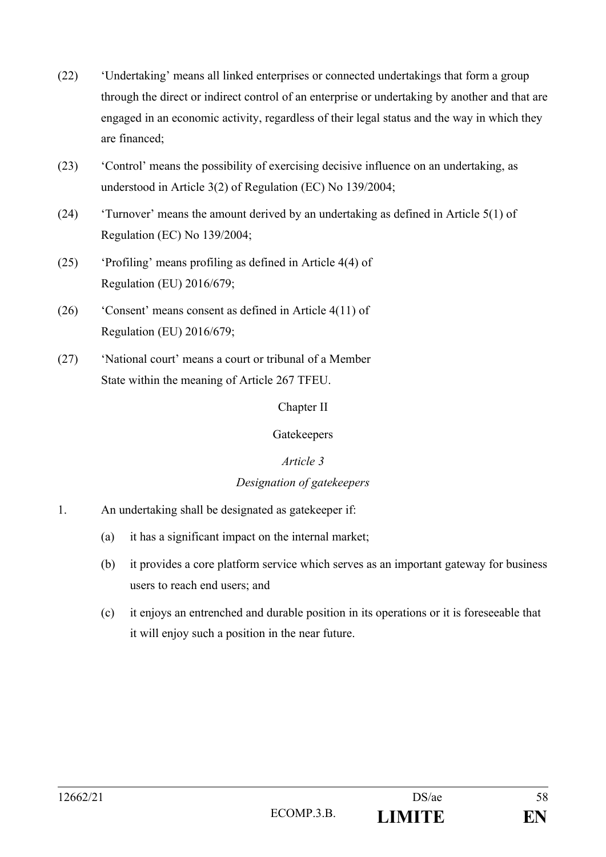- (22) 'Undertaking' means all linked enterprises or connected undertakings that form a group through the direct or indirect control of an enterprise or undertaking by another and that are engaged in an economic activity, regardless of their legal status and the way in which they are financed;
- (23) 'Control' means the possibility of exercising decisive influence on an undertaking, as understood in Article 3(2) of Regulation (EC) No 139/2004;
- (24) 'Turnover' means the amount derived by an undertaking as defined in Article 5(1) of Regulation (EC) No 139/2004;
- (25) 'Profiling' means profiling as defined in Article 4(4) of Regulation (EU) 2016/679;
- (26) 'Consent' means consent as defined in Article 4(11) of Regulation (EU) 2016/679;
- (27) 'National court' means a court or tribunal of a Member State within the meaning of Article 267 TFEU.

### Chapter II

### Gatekeepers

### *Article 3*

### *Designation of gatekeepers*

- 1. An undertaking shall be designated as gatekeeper if:
	- (a) it has a significant impact on the internal market;
	- (b) it provides a core platform service which serves as an important gateway for business users to reach end users; and
	- (c) it enjoys an entrenched and durable position in its operations or it is foreseeable that it will enjoy such a position in the near future.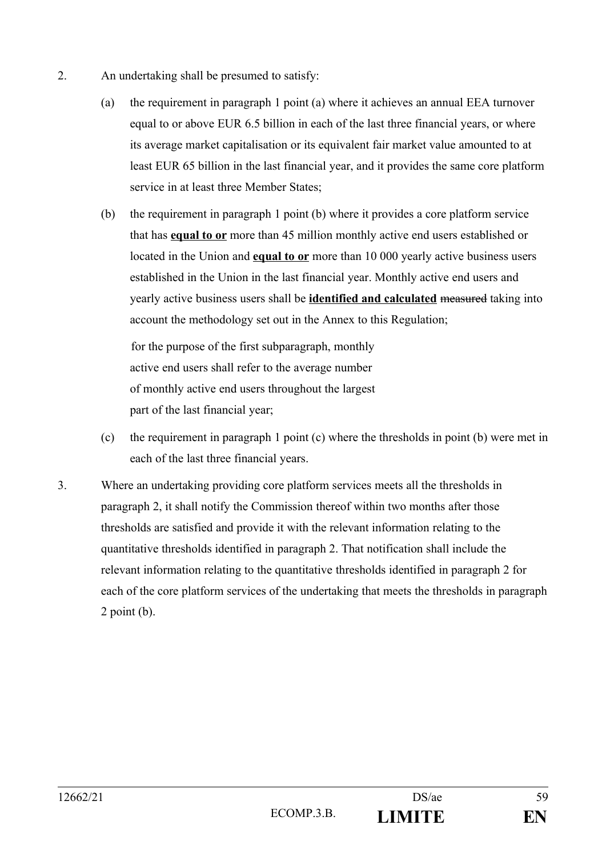- 2. An undertaking shall be presumed to satisfy:
	- (a) the requirement in paragraph 1 point (a) where it achieves an annual EEA turnover equal to or above EUR 6.5 billion in each of the last three financial years, or where its average market capitalisation or its equivalent fair market value amounted to at least EUR 65 billion in the last financial year, and it provides the same core platform service in at least three Member States;
	- (b) the requirement in paragraph 1 point (b) where it provides a core platform service that has **equal to or** more than 45 million monthly active end users established or located in the Union and **equal to or** more than 10 000 yearly active business users established in the Union in the last financial year. Monthly active end users and yearly active business users shall be **identified and calculated** measured taking into account the methodology set out in the Annex to this Regulation;

for the purpose of the first subparagraph, monthly active end users shall refer to the average number of monthly active end users throughout the largest part of the last financial year;

- (c) the requirement in paragraph 1 point (c) where the thresholds in point (b) were met in each of the last three financial years.
- 3. Where an undertaking providing core platform services meets all the thresholds in paragraph 2, it shall notify the Commission thereof within two months after those thresholds are satisfied and provide it with the relevant information relating to the quantitative thresholds identified in paragraph 2. That notification shall include the relevant information relating to the quantitative thresholds identified in paragraph 2 for each of the core platform services of the undertaking that meets the thresholds in paragraph 2 point (b).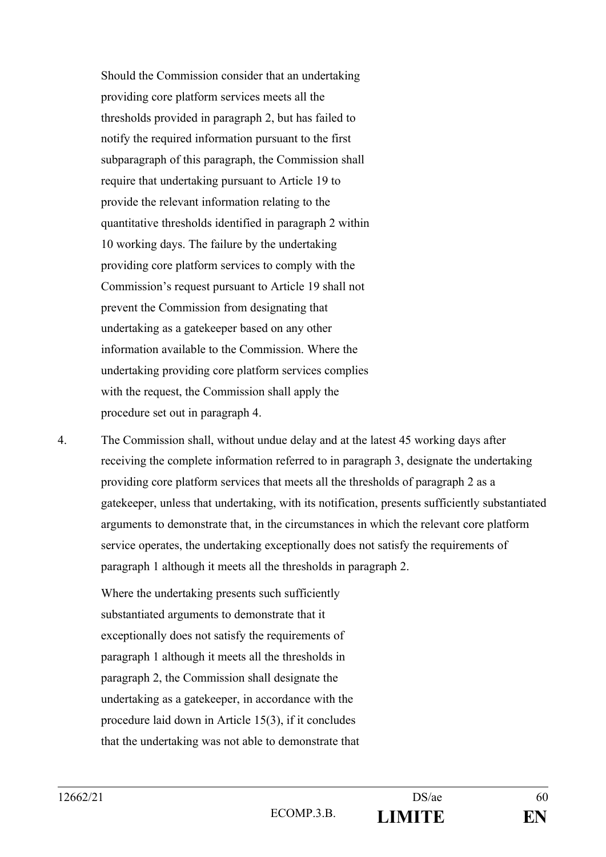Should the Commission consider that an undertaking providing core platform services meets all the thresholds provided in paragraph 2, but has failed to notify the required information pursuant to the first subparagraph of this paragraph, the Commission shall require that undertaking pursuant to Article 19 to provide the relevant information relating to the quantitative thresholds identified in paragraph 2 within 10 working days. The failure by the undertaking providing core platform services to comply with the Commission's request pursuant to Article 19 shall not prevent the Commission from designating that undertaking as a gatekeeper based on any other information available to the Commission. Where the undertaking providing core platform services complies with the request, the Commission shall apply the procedure set out in paragraph 4.

4. The Commission shall, without undue delay and at the latest 45 working days after receiving the complete information referred to in paragraph 3, designate the undertaking providing core platform services that meets all the thresholds of paragraph 2 as a gatekeeper, unless that undertaking, with its notification, presents sufficiently substantiated arguments to demonstrate that, in the circumstances in which the relevant core platform service operates, the undertaking exceptionally does not satisfy the requirements of paragraph 1 although it meets all the thresholds in paragraph 2.

Where the undertaking presents such sufficiently substantiated arguments to demonstrate that it exceptionally does not satisfy the requirements of paragraph 1 although it meets all the thresholds in paragraph 2, the Commission shall designate the undertaking as a gatekeeper, in accordance with the procedure laid down in Article 15(3), if it concludes that the undertaking was not able to demonstrate that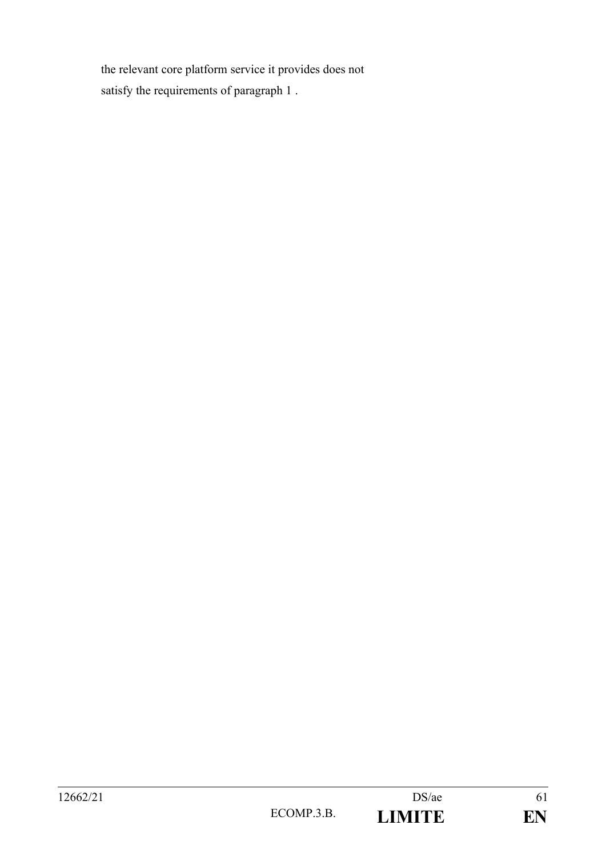the relevant core platform service it provides does not satisfy the requirements of paragraph 1 .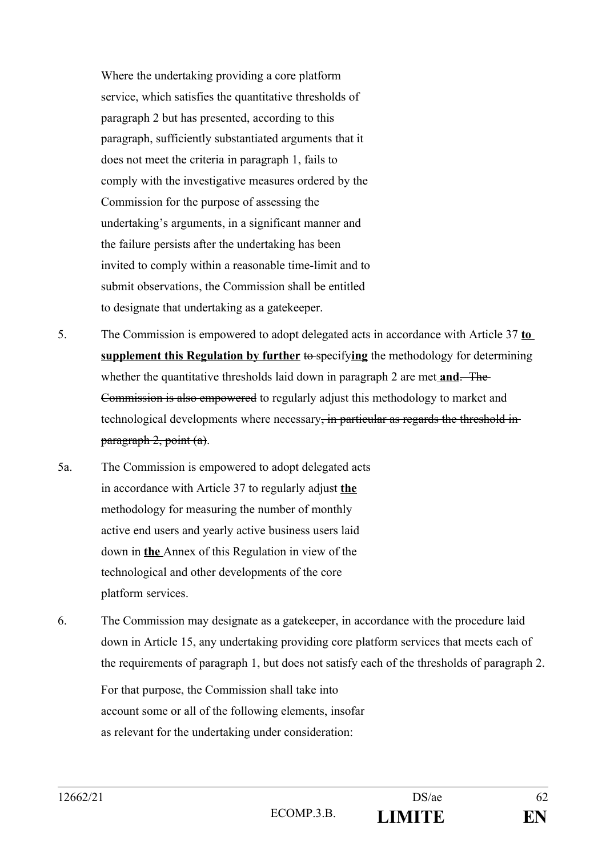Where the undertaking providing a core platform service, which satisfies the quantitative thresholds of paragraph 2 but has presented, according to this paragraph, sufficiently substantiated arguments that it does not meet the criteria in paragraph 1, fails to comply with the investigative measures ordered by the Commission for the purpose of assessing the undertaking's arguments, in a significant manner and the failure persists after the undertaking has been invited to comply within a reasonable time-limit and to submit observations, the Commission shall be entitled to designate that undertaking as a gatekeeper.

- 5. The Commission is empowered to adopt delegated acts in accordance with Article 37 **to supplement this Regulation by further** to specifying the methodology for determining whether the quantitative thresholds laid down in paragraph 2 are met **and**. The Commission is also empowered to regularly adjust this methodology to market and technological developments where necessary, in particular as regards the threshold inparagraph 2, point (a).
- 5a. The Commission is empowered to adopt delegated acts in accordance with Article 37 to regularly adjust **the** methodology for measuring the number of monthly active end users and yearly active business users laid down in **the** Annex of this Regulation in view of the technological and other developments of the core platform services.
- 6. The Commission may designate as a gatekeeper, in accordance with the procedure laid down in Article 15, any undertaking providing core platform services that meets each of the requirements of paragraph 1, but does not satisfy each of the thresholds of paragraph 2.

For that purpose, the Commission shall take into account some or all of the following elements, insofar as relevant for the undertaking under consideration: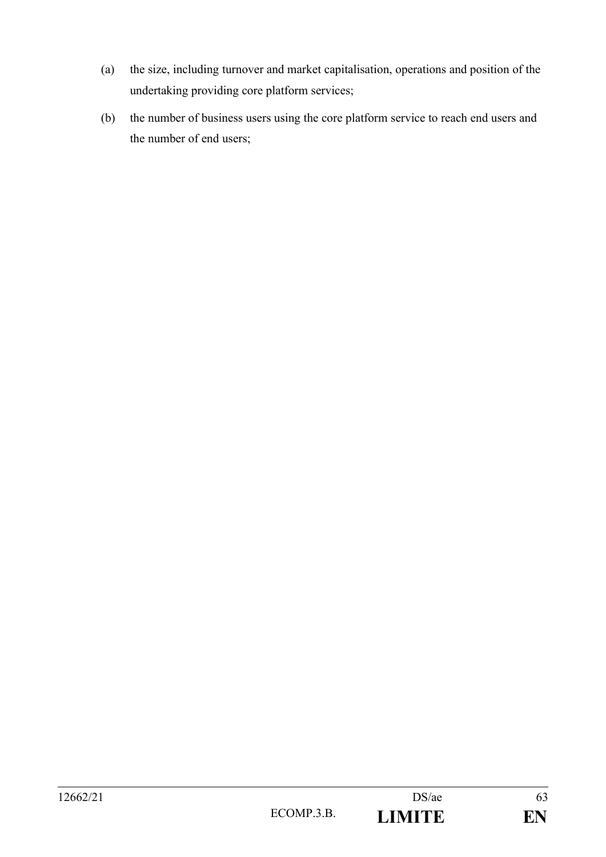- (a) the size, including turnover and market capitalisation, operations and position of the undertaking providing core platform services;
- (b) the number of business users using the core platform service to reach end users and the number of end users;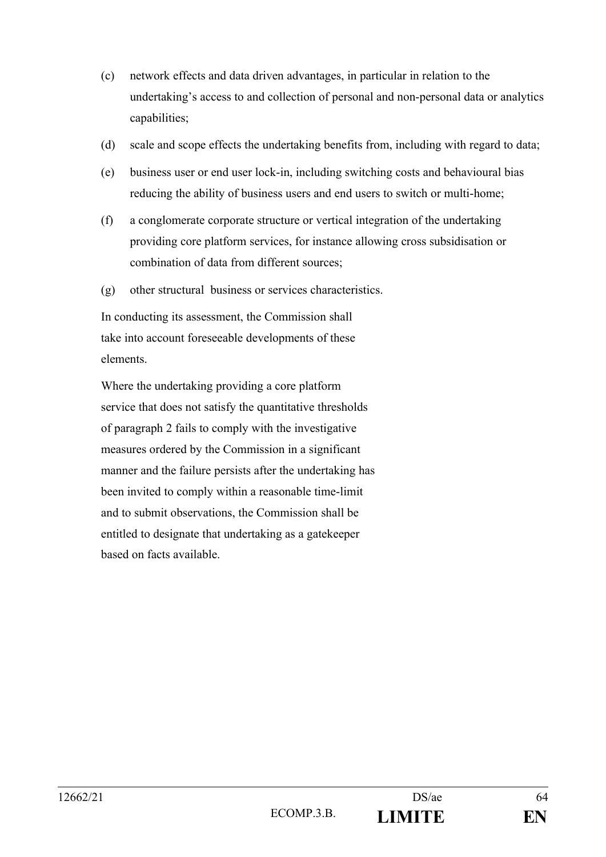- (c) network effects and data driven advantages, in particular in relation to the undertaking's access to and collection of personal and non-personal data or analytics capabilities;
- (d) scale and scope effects the undertaking benefits from, including with regard to data;
- (e) business user or end user lock-in, including switching costs and behavioural bias reducing the ability of business users and end users to switch or multi-home;
- (f) a conglomerate corporate structure or vertical integration of the undertaking providing core platform services, for instance allowing cross subsidisation or combination of data from different sources;
- (g) other structural business or services characteristics.

In conducting its assessment, the Commission shall take into account foreseeable developments of these elements.

Where the undertaking providing a core platform service that does not satisfy the quantitative thresholds of paragraph 2 fails to comply with the investigative measures ordered by the Commission in a significant manner and the failure persists after the undertaking has been invited to comply within a reasonable time-limit and to submit observations, the Commission shall be entitled to designate that undertaking as a gatekeeper based on facts available.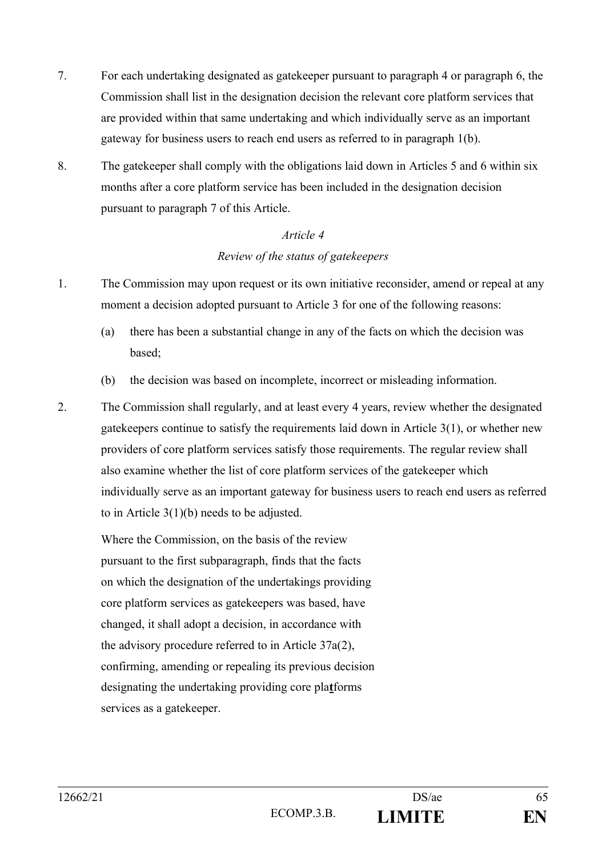- 7. For each undertaking designated as gatekeeper pursuant to paragraph 4 or paragraph 6, the Commission shall list in the designation decision the relevant core platform services that are provided within that same undertaking and which individually serve as an important gateway for business users to reach end users as referred to in paragraph 1(b).
- 8. The gatekeeper shall comply with the obligations laid down in Articles 5 and 6 within six months after a core platform service has been included in the designation decision pursuant to paragraph 7 of this Article.

## *Article 4 Review of the status of gatekeepers*

- 1. The Commission may upon request or its own initiative reconsider, amend or repeal at any
	- moment a decision adopted pursuant to Article 3 for one of the following reasons: (a) there has been a substantial change in any of the facts on which the decision was
		- based;
		- (b) the decision was based on incomplete, incorrect or misleading information.
- 2. The Commission shall regularly, and at least every 4 years, review whether the designated gatekeepers continue to satisfy the requirements laid down in Article 3(1), or whether new providers of core platform services satisfy those requirements. The regular review shall also examine whether the list of core platform services of the gatekeeper which individually serve as an important gateway for business users to reach end users as referred to in Article 3(1)(b) needs to be adjusted.

Where the Commission, on the basis of the review pursuant to the first subparagraph, finds that the facts on which the designation of the undertakings providing core platform services as gatekeepers was based, have changed, it shall adopt a decision, in accordance with the advisory procedure referred to in Article 37a(2), confirming, amending or repealing its previous decision designating the undertaking providing core pla**t**forms services as a gatekeeper.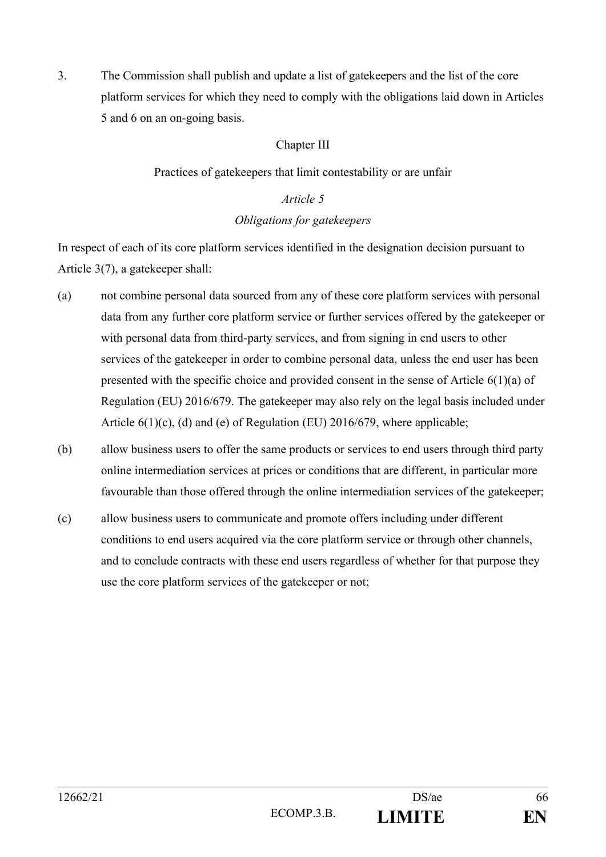3. The Commission shall publish and update a list of gatekeepers and the list of the core platform services for which they need to comply with the obligations laid down in Articles 5 and 6 on an on-going basis.

## Chapter III

## Practices of gatekeepers that limit contestability or are unfair

### *Article 5*

## *Obligations for gatekeepers*

In respect of each of its core platform services identified in the designation decision pursuant to Article 3(7), a gatekeeper shall:

- (a) not combine personal data sourced from any of these core platform services with personal data from any further core platform service or further services offered by the gatekeeper or with personal data from third-party services, and from signing in end users to other services of the gatekeeper in order to combine personal data, unless the end user has been presented with the specific choice and provided consent in the sense of Article 6(1)(a) of Regulation (EU) 2016/679. The gatekeeper may also rely on the legal basis included under Article 6(1)(c), (d) and (e) of Regulation (EU) 2016/679, where applicable;
- (b) allow business users to offer the same products or services to end users through third party online intermediation services at prices or conditions that are different, in particular more favourable than those offered through the online intermediation services of the gatekeeper;
- (c) allow business users to communicate and promote offers including under different conditions to end users acquired via the core platform service or through other channels, and to conclude contracts with these end users regardless of whether for that purpose they use the core platform services of the gatekeeper or not;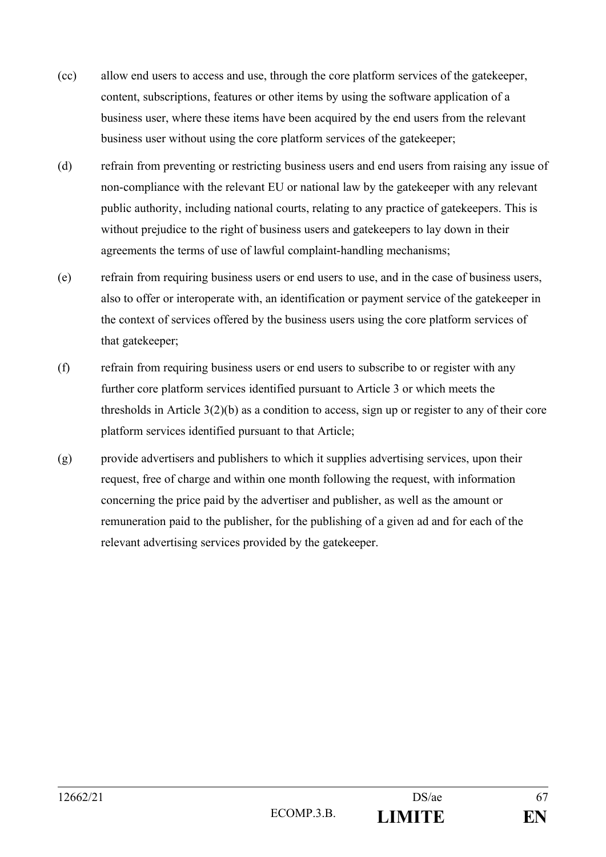- (cc) allow end users to access and use, through the core platform services of the gatekeeper, content, subscriptions, features or other items by using the software application of a business user, where these items have been acquired by the end users from the relevant business user without using the core platform services of the gatekeeper;
- (d) refrain from preventing or restricting business users and end users from raising any issue of non-compliance with the relevant EU or national law by the gatekeeper with any relevant public authority, including national courts, relating to any practice of gatekeepers. This is without prejudice to the right of business users and gatekeepers to lay down in their agreements the terms of use of lawful complaint-handling mechanisms;
- (e) refrain from requiring business users or end users to use, and in the case of business users, also to offer or interoperate with, an identification or payment service of the gatekeeper in the context of services offered by the business users using the core platform services of that gatekeeper;
- (f) refrain from requiring business users or end users to subscribe to or register with any further core platform services identified pursuant to Article 3 or which meets the thresholds in Article 3(2)(b) as a condition to access, sign up or register to any of their core platform services identified pursuant to that Article;
- (g) provide advertisers and publishers to which it supplies advertising services, upon their request, free of charge and within one month following the request, with information concerning the price paid by the advertiser and publisher, as well as the amount or remuneration paid to the publisher, for the publishing of a given ad and for each of the relevant advertising services provided by the gatekeeper.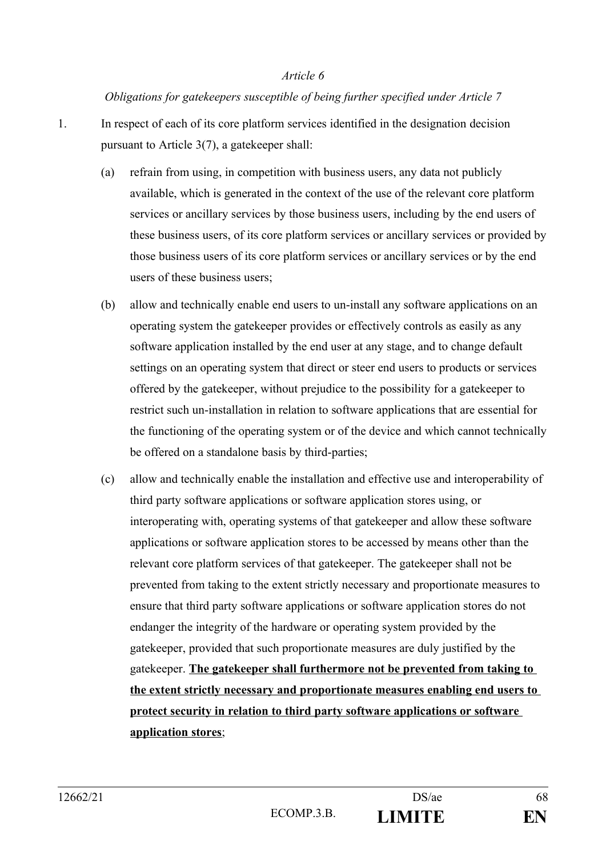### *Article 6*

## *Obligations for gatekeepers susceptible of being further specified under Article 7*

- 1. In respect of each of its core platform services identified in the designation decision pursuant to Article 3(7), a gatekeeper shall:
	- (a) refrain from using, in competition with business users, any data not publicly available, which is generated in the context of the use of the relevant core platform services or ancillary services by those business users, including by the end users of these business users, of its core platform services or ancillary services or provided by those business users of its core platform services or ancillary services or by the end users of these business users;
	- (b) allow and technically enable end users to un-install any software applications on an operating system the gatekeeper provides or effectively controls as easily as any software application installed by the end user at any stage, and to change default settings on an operating system that direct or steer end users to products or services offered by the gatekeeper, without prejudice to the possibility for a gatekeeper to restrict such un-installation in relation to software applications that are essential for the functioning of the operating system or of the device and which cannot technically be offered on a standalone basis by third-parties;
	- (c) allow and technically enable the installation and effective use and interoperability of third party software applications or software application stores using, or interoperating with, operating systems of that gatekeeper and allow these software applications or software application stores to be accessed by means other than the relevant core platform services of that gatekeeper. The gatekeeper shall not be prevented from taking to the extent strictly necessary and proportionate measures to ensure that third party software applications or software application stores do not endanger the integrity of the hardware or operating system provided by the gatekeeper, provided that such proportionate measures are duly justified by the gatekeeper. **The gatekeeper shall furthermore not be prevented from taking to the extent strictly necessary and proportionate measures enabling end users to protect security in relation to third party software applications or software application stores**;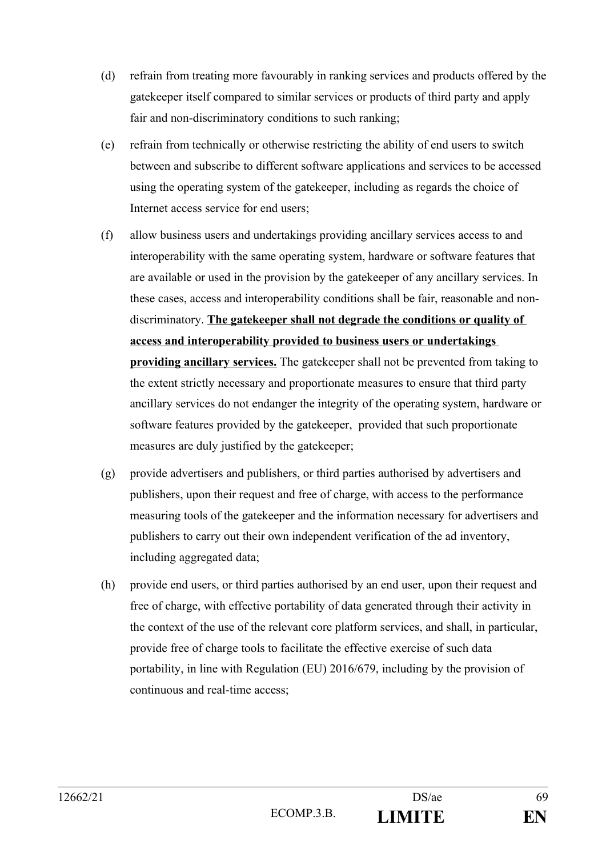- (d) refrain from treating more favourably in ranking services and products offered by the gatekeeper itself compared to similar services or products of third party and apply fair and non-discriminatory conditions to such ranking;
- (e) refrain from technically or otherwise restricting the ability of end users to switch between and subscribe to different software applications and services to be accessed using the operating system of the gatekeeper, including as regards the choice of Internet access service for end users;
- (f) allow business users and undertakings providing ancillary services access to and interoperability with the same operating system, hardware or software features that are available or used in the provision by the gatekeeper of any ancillary services. In these cases, access and interoperability conditions shall be fair, reasonable and nondiscriminatory. **The gatekeeper shall not degrade the conditions or quality of access and interoperability provided to business users or undertakings providing ancillary services.** The gatekeeper shall not be prevented from taking to the extent strictly necessary and proportionate measures to ensure that third party ancillary services do not endanger the integrity of the operating system, hardware or software features provided by the gatekeeper, provided that such proportionate measures are duly justified by the gatekeeper;
- (g) provide advertisers and publishers, or third parties authorised by advertisers and publishers, upon their request and free of charge, with access to the performance measuring tools of the gatekeeper and the information necessary for advertisers and publishers to carry out their own independent verification of the ad inventory, including aggregated data;
- (h) provide end users, or third parties authorised by an end user, upon their request and free of charge, with effective portability of data generated through their activity in the context of the use of the relevant core platform services, and shall, in particular, provide free of charge tools to facilitate the effective exercise of such data portability, in line with Regulation (EU) 2016/679, including by the provision of continuous and real-time access;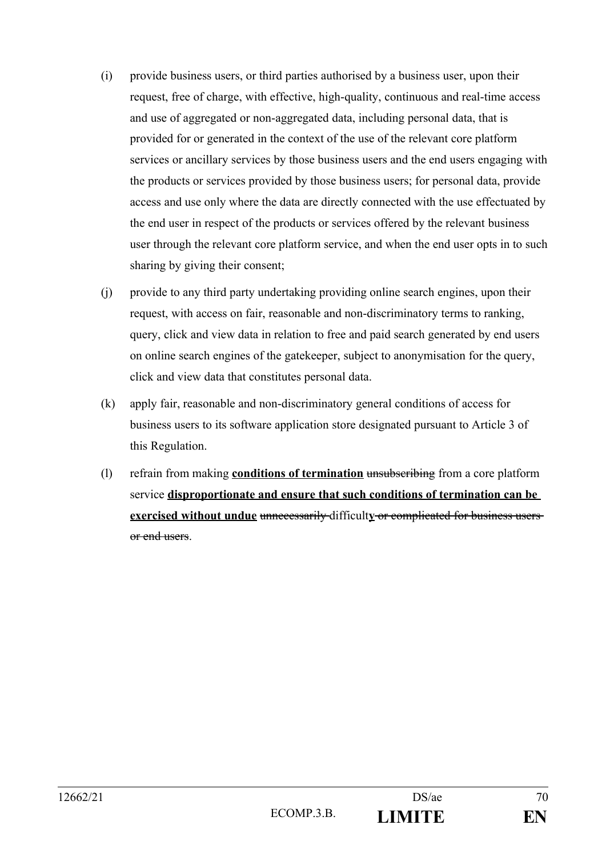- (i) provide business users, or third parties authorised by a business user, upon their request, free of charge, with effective, high-quality, continuous and real-time access and use of aggregated or non-aggregated data, including personal data, that is provided for or generated in the context of the use of the relevant core platform services or ancillary services by those business users and the end users engaging with the products or services provided by those business users; for personal data, provide access and use only where the data are directly connected with the use effectuated by the end user in respect of the products or services offered by the relevant business user through the relevant core platform service, and when the end user opts in to such sharing by giving their consent;
- (j) provide to any third party undertaking providing online search engines, upon their request, with access on fair, reasonable and non-discriminatory terms to ranking, query, click and view data in relation to free and paid search generated by end users on online search engines of the gatekeeper, subject to anonymisation for the query, click and view data that constitutes personal data.
- (k) apply fair, reasonable and non-discriminatory general conditions of access for business users to its software application store designated pursuant to Article 3 of this Regulation.
- (l) refrain from making **conditions of termination** unsubscribing from a core platform service **disproportionate and ensure that such conditions of termination can be exercised without undue** unnecessarily difficulty or complicated for business users or end users.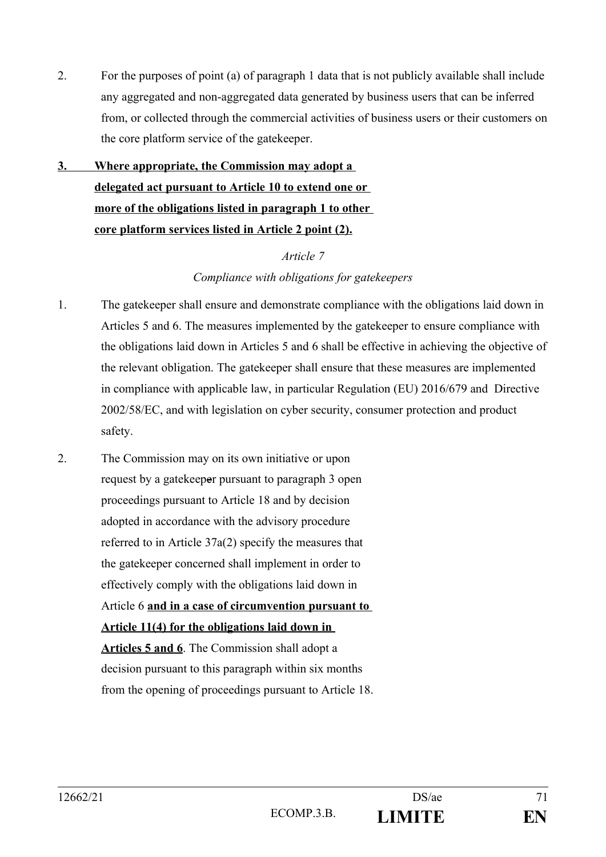- 2. For the purposes of point (a) of paragraph 1 data that is not publicly available shall include any aggregated and non-aggregated data generated by business users that can be inferred from, or collected through the commercial activities of business users or their customers on the core platform service of the gatekeeper.
- **3. Where appropriate, the Commission may adopt a delegated act pursuant to Article 10 to extend one or more of the obligations listed in paragraph 1 to other core platform services listed in Article 2 point (2).**

### *Article 7*

## *Compliance with obligations for gatekeepers*

- 1. The gatekeeper shall ensure and demonstrate compliance with the obligations laid down in Articles 5 and 6. The measures implemented by the gatekeeper to ensure compliance with the obligations laid down in Articles 5 and 6 shall be effective in achieving the objective of the relevant obligation. The gatekeeper shall ensure that these measures are implemented in compliance with applicable law, in particular Regulation (EU) 2016/679 and Directive 2002/58/EC, and with legislation on cyber security, consumer protection and product safety.
- 2. The Commission may on its own initiative or upon request by a gatekeeper pursuant to paragraph 3 open proceedings pursuant to Article 18 and by decision adopted in accordance with the advisory procedure referred to in Article 37a(2) specify the measures that the gatekeeper concerned shall implement in order to effectively comply with the obligations laid down in Article 6 **and in a case of circumvention pursuant to Article 11(4) for the obligations laid down in Articles 5 and 6**. The Commission shall adopt a decision pursuant to this paragraph within six months from the opening of proceedings pursuant to Article 18.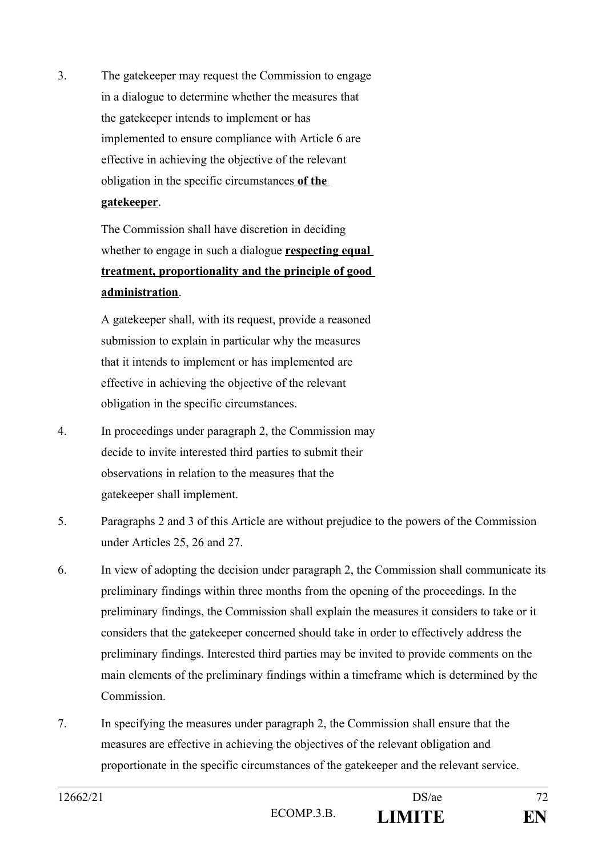3. The gatekeeper may request the Commission to engage in a dialogue to determine whether the measures that the gatekeeper intends to implement or has implemented to ensure compliance with Article 6 are effective in achieving the objective of the relevant obligation in the specific circumstances **of the gatekeeper**.

> The Commission shall have discretion in deciding whether to engage in such a dialogue **respecting equal treatment, proportionality and the principle of good administration**.

A gatekeeper shall, with its request, provide a reasoned submission to explain in particular why the measures that it intends to implement or has implemented are effective in achieving the objective of the relevant obligation in the specific circumstances.

- 4. In proceedings under paragraph 2, the Commission may decide to invite interested third parties to submit their observations in relation to the measures that the gatekeeper shall implement.
- 5. Paragraphs 2 and 3 of this Article are without prejudice to the powers of the Commission under Articles 25, 26 and 27.
- 6. In view of adopting the decision under paragraph 2, the Commission shall communicate its preliminary findings within three months from the opening of the proceedings. In the preliminary findings, the Commission shall explain the measures it considers to take or it considers that the gatekeeper concerned should take in order to effectively address the preliminary findings. Interested third parties may be invited to provide comments on the main elements of the preliminary findings within a timeframe which is determined by the Commission.
- 7. In specifying the measures under paragraph 2, the Commission shall ensure that the measures are effective in achieving the objectives of the relevant obligation and proportionate in the specific circumstances of the gatekeeper and the relevant service.

| 12662/21 |            | DS/ae         | 70<br>ے ا |
|----------|------------|---------------|-----------|
|          | ECOMP.3.B. | <b>LIMITE</b> | FN        |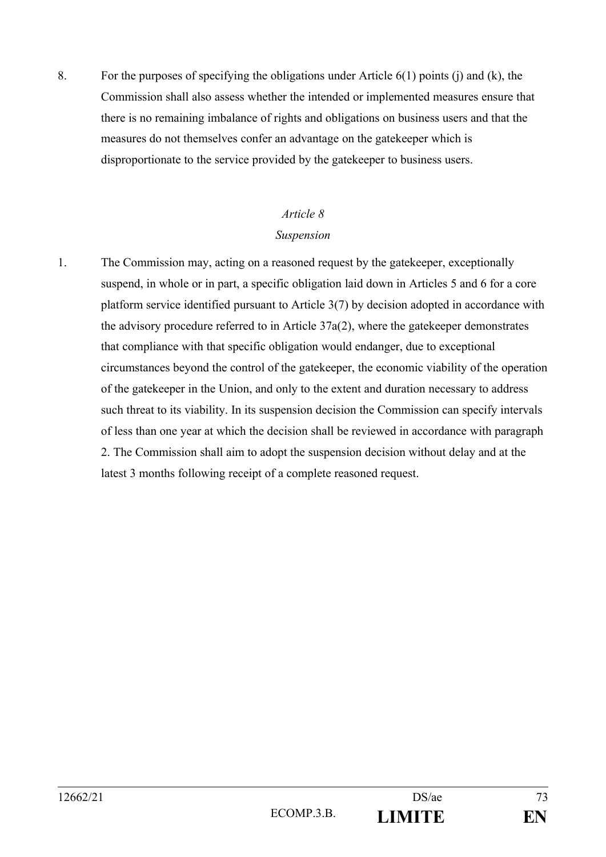8. For the purposes of specifying the obligations under Article  $6(1)$  points (j) and (k), the Commission shall also assess whether the intended or implemented measures ensure that there is no remaining imbalance of rights and obligations on business users and that the measures do not themselves confer an advantage on the gatekeeper which is disproportionate to the service provided by the gatekeeper to business users.

# *Article 8 Suspension*

1. The Commission may, acting on a reasoned request by the gatekeeper, exceptionally suspend, in whole or in part, a specific obligation laid down in Articles 5 and 6 for a core platform service identified pursuant to Article 3(7) by decision adopted in accordance with the advisory procedure referred to in Article 37a(2), where the gatekeeper demonstrates that compliance with that specific obligation would endanger, due to exceptional circumstances beyond the control of the gatekeeper, the economic viability of the operation of the gatekeeper in the Union, and only to the extent and duration necessary to address such threat to its viability. In its suspension decision the Commission can specify intervals of less than one year at which the decision shall be reviewed in accordance with paragraph 2. The Commission shall aim to adopt the suspension decision without delay and at the latest 3 months following receipt of a complete reasoned request.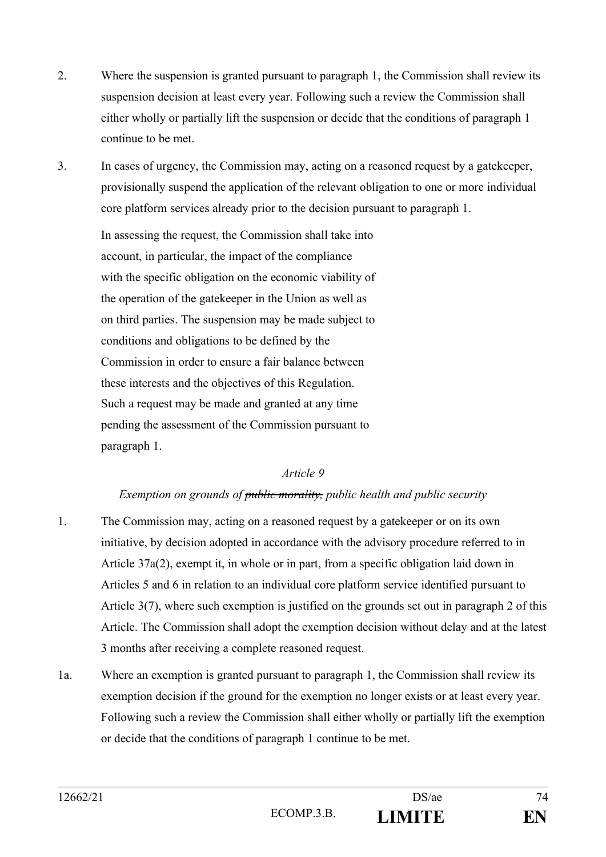- 2. Where the suspension is granted pursuant to paragraph 1, the Commission shall review its suspension decision at least every year. Following such a review the Commission shall either wholly or partially lift the suspension or decide that the conditions of paragraph 1 continue to be met.
- 3. In cases of urgency, the Commission may, acting on a reasoned request by a gatekeeper, provisionally suspend the application of the relevant obligation to one or more individual core platform services already prior to the decision pursuant to paragraph 1.

In assessing the request, the Commission shall take into account, in particular, the impact of the compliance with the specific obligation on the economic viability of the operation of the gatekeeper in the Union as well as on third parties. The suspension may be made subject to conditions and obligations to be defined by the Commission in order to ensure a fair balance between these interests and the objectives of this Regulation. Such a request may be made and granted at any time pending the assessment of the Commission pursuant to paragraph 1.

#### *Article 9*

#### *Exemption on grounds of public morality, public health and public security*

- 1. The Commission may, acting on a reasoned request by a gatekeeper or on its own initiative, by decision adopted in accordance with the advisory procedure referred to in Article 37a(2), exempt it, in whole or in part, from a specific obligation laid down in Articles 5 and 6 in relation to an individual core platform service identified pursuant to Article 3(7), where such exemption is justified on the grounds set out in paragraph 2 of this Article. The Commission shall adopt the exemption decision without delay and at the latest 3 months after receiving a complete reasoned request.
- 1a. Where an exemption is granted pursuant to paragraph 1, the Commission shall review its exemption decision if the ground for the exemption no longer exists or at least every year. Following such a review the Commission shall either wholly or partially lift the exemption or decide that the conditions of paragraph 1 continue to be met.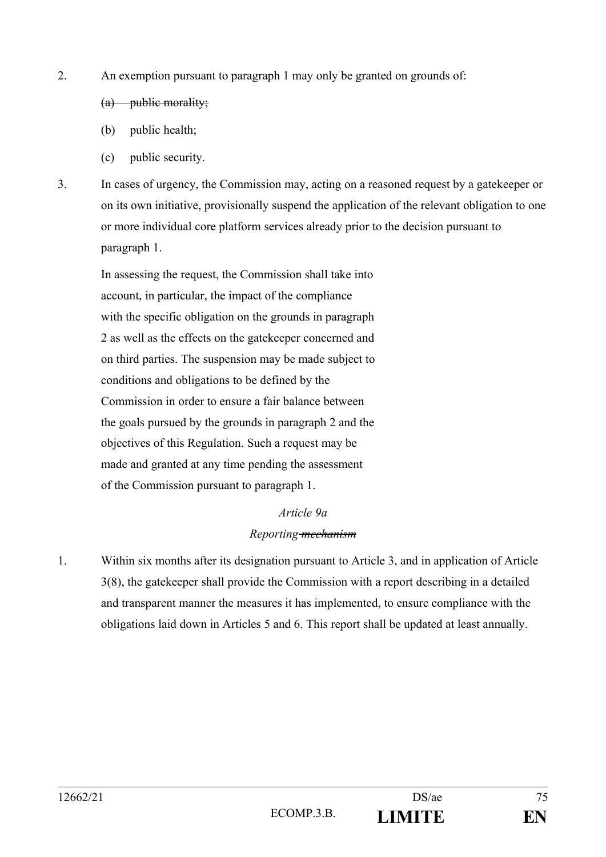2. An exemption pursuant to paragraph 1 may only be granted on grounds of:

#### (a) public morality;

- (b) public health;
- (c) public security.
- 3. In cases of urgency, the Commission may, acting on a reasoned request by a gatekeeper or on its own initiative, provisionally suspend the application of the relevant obligation to one or more individual core platform services already prior to the decision pursuant to paragraph 1.

In assessing the request, the Commission shall take into account, in particular, the impact of the compliance with the specific obligation on the grounds in paragraph 2 as well as the effects on the gatekeeper concerned and on third parties. The suspension may be made subject to conditions and obligations to be defined by the Commission in order to ensure a fair balance between the goals pursued by the grounds in paragraph 2 and the objectives of this Regulation. Such a request may be made and granted at any time pending the assessment of the Commission pursuant to paragraph 1.

#### *Article 9a*

#### *Reporting mechanism*

1. Within six months after its designation pursuant to Article 3, and in application of Article 3(8), the gatekeeper shall provide the Commission with a report describing in a detailed and transparent manner the measures it has implemented, to ensure compliance with the obligations laid down in Articles 5 and 6. This report shall be updated at least annually.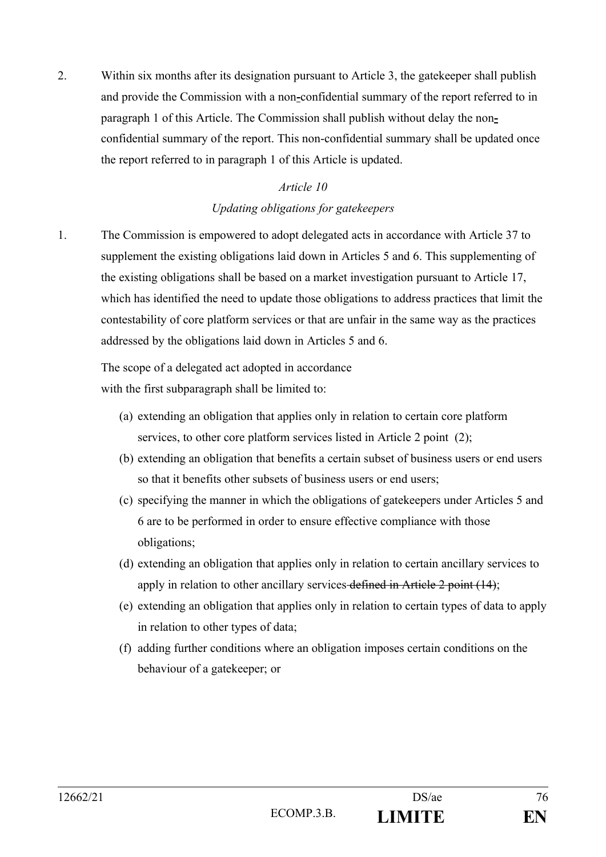2. Within six months after its designation pursuant to Article 3, the gatekeeper shall publish and provide the Commission with a non**-**confidential summary of the report referred to in paragraph 1 of this Article. The Commission shall publish without delay the nonconfidential summary of the report. This non-confidential summary shall be updated once the report referred to in paragraph 1 of this Article is updated.

#### *Article 10*

# *Updating obligations for gatekeepers*

1. The Commission is empowered to adopt delegated acts in accordance with Article 37 to supplement the existing obligations laid down in Articles 5 and 6. This supplementing of the existing obligations shall be based on a market investigation pursuant to Article 17, which has identified the need to update those obligations to address practices that limit the contestability of core platform services or that are unfair in the same way as the practices addressed by the obligations laid down in Articles 5 and 6.

The scope of a delegated act adopted in accordance with the first subparagraph shall be limited to:

- (a) extending an obligation that applies only in relation to certain core platform services, to other core platform services listed in Article 2 point (2);
- (b) extending an obligation that benefits a certain subset of business users or end users so that it benefits other subsets of business users or end users;
- (c) specifying the manner in which the obligations of gatekeepers under Articles 5 and 6 are to be performed in order to ensure effective compliance with those obligations;
- (d) extending an obligation that applies only in relation to certain ancillary services to apply in relation to other ancillary services defined in Article 2 point (14);
- (e) extending an obligation that applies only in relation to certain types of data to apply in relation to other types of data;
- (f) adding further conditions where an obligation imposes certain conditions on the behaviour of a gatekeeper; or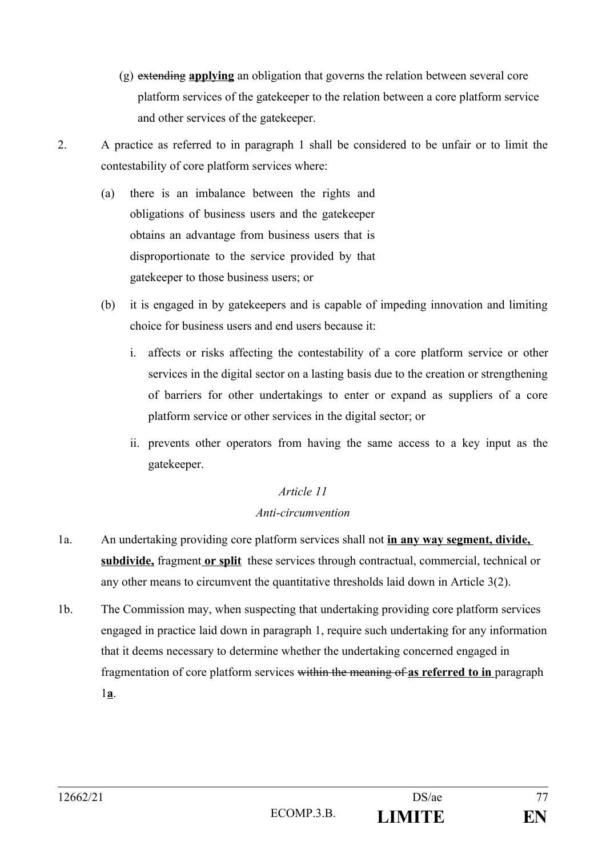- (g) extending **applying** an obligation that governs the relation between several core platform services of the gatekeeper to the relation between a core platform service and other services of the gatekeeper.
- 2. A practice as referred to in paragraph 1 shall be considered to be unfair or to limit the contestability of core platform services where:
	- (a) there is an imbalance between the rights and obligations of business users and the gatekeeper obtains an advantage from business users that is disproportionate to the service provided by that gatekeeper to those business users; or
	- (b) it is engaged in by gatekeepers and is capable of impeding innovation and limiting choice for business users and end users because it:
		- i. affects or risks affecting the contestability of a core platform service or other services in the digital sector on a lasting basis due to the creation or strengthening of barriers for other undertakings to enter or expand as suppliers of a core platform service or other services in the digital sector; or
		- ii. prevents other operators from having the same access to a key input as the gatekeeper.

#### *Anti-circumvention*

- 1a. An undertaking providing core platform services shall not **in any way segment, divide,**  subdivide, fragment or split these services through contractual, commercial, technical or any other means to circumvent the quantitative thresholds laid down in Article 3(2).
- 1b. The Commission may, when suspecting that undertaking providing core platform services engaged in practice laid down in paragraph 1, require such undertaking for any information that it deems necessary to determine whether the undertaking concerned engaged in fragmentation of core platform services within the meaning of **as referred to in** paragraph 1**a**.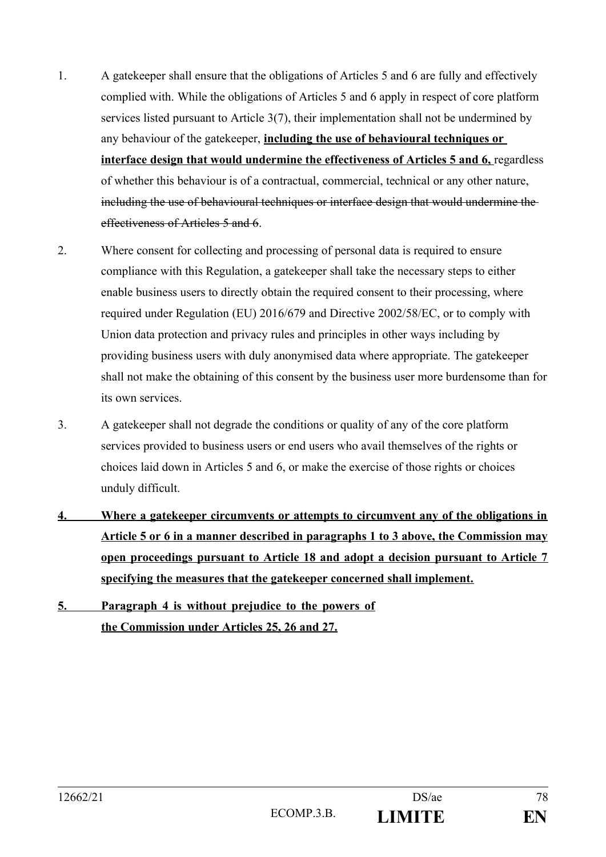- 1. A gatekeeper shall ensure that the obligations of Articles 5 and 6 are fully and effectively complied with. While the obligations of Articles 5 and 6 apply in respect of core platform services listed pursuant to Article 3(7), their implementation shall not be undermined by any behaviour of the gatekeeper, **including the use of behavioural techniques or interface design that would undermine the effectiveness of Articles 5 and 6,** regardless of whether this behaviour is of a contractual, commercial, technical or any other nature, including the use of behavioural techniques or interface design that would undermine the effectiveness of Articles 5 and 6.
- 2. Where consent for collecting and processing of personal data is required to ensure compliance with this Regulation, a gatekeeper shall take the necessary steps to either enable business users to directly obtain the required consent to their processing, where required under Regulation (EU) 2016/679 and Directive 2002/58/EC, or to comply with Union data protection and privacy rules and principles in other ways including by providing business users with duly anonymised data where appropriate. The gatekeeper shall not make the obtaining of this consent by the business user more burdensome than for its own services.
- 3. A gatekeeper shall not degrade the conditions or quality of any of the core platform services provided to business users or end users who avail themselves of the rights or choices laid down in Articles 5 and 6, or make the exercise of those rights or choices unduly difficult.
- **4. Where a gatekeeper circumvents or attempts to circumvent any of the obligations in Article 5 or 6 in a manner described in paragraphs 1 to 3 above, the Commission may open proceedings pursuant to Article 18 and adopt a decision pursuant to Article 7 specifying the measures that the gatekeeper concerned shall implement.**
- **5. Paragraph 4 is without prejudice to the powers of the Commission under Articles 25, 26 and 27.**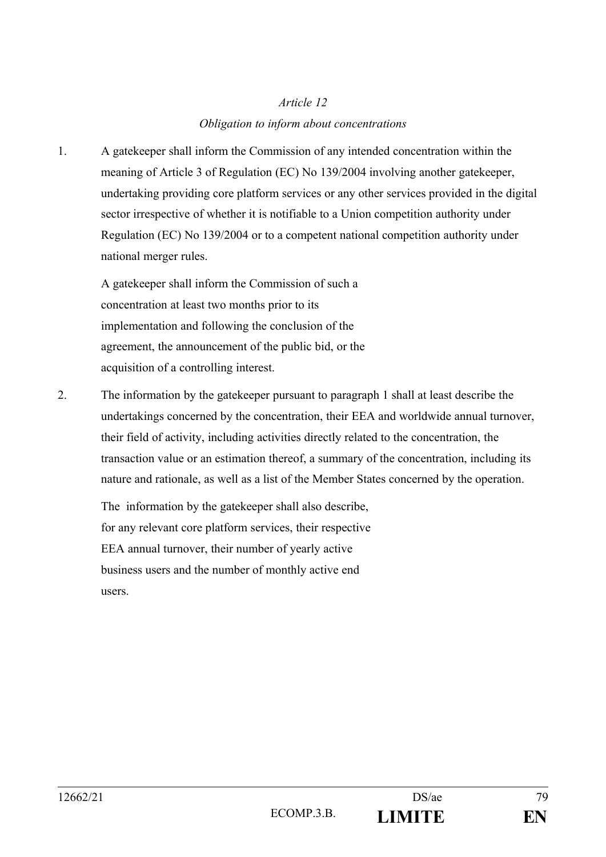## *Obligation to inform about concentrations*

1. A gatekeeper shall inform the Commission of any intended concentration within the meaning of Article 3 of Regulation (EC) No 139/2004 involving another gatekeeper, undertaking providing core platform services or any other services provided in the digital sector irrespective of whether it is notifiable to a Union competition authority under Regulation (EC) No 139/2004 or to a competent national competition authority under national merger rules.

A gatekeeper shall inform the Commission of such a concentration at least two months prior to its implementation and following the conclusion of the agreement, the announcement of the public bid, or the acquisition of a controlling interest.

2. The information by the gatekeeper pursuant to paragraph 1 shall at least describe the undertakings concerned by the concentration, their EEA and worldwide annual turnover, their field of activity, including activities directly related to the concentration, the transaction value or an estimation thereof, a summary of the concentration, including its nature and rationale, as well as a list of the Member States concerned by the operation.

The information by the gatekeeper shall also describe, for any relevant core platform services, their respective EEA annual turnover, their number of yearly active business users and the number of monthly active end users.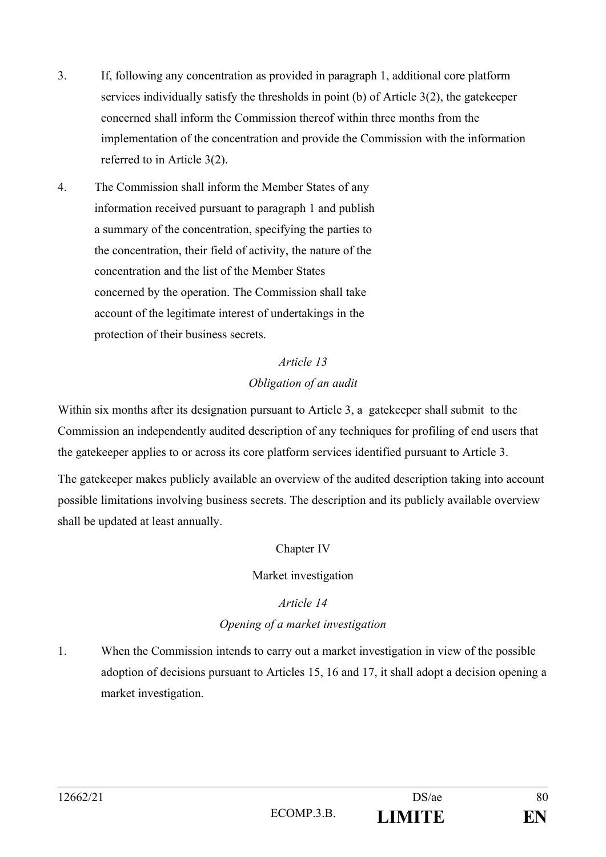- 3. If, following any concentration as provided in paragraph 1, additional core platform services individually satisfy the thresholds in point (b) of Article 3(2), the gatekeeper concerned shall inform the Commission thereof within three months from the implementation of the concentration and provide the Commission with the information referred to in Article 3(2).
- 4. The Commission shall inform the Member States of any information received pursuant to paragraph 1 and publish a summary of the concentration, specifying the parties to the concentration, their field of activity, the nature of the concentration and the list of the Member States concerned by the operation. The Commission shall take account of the legitimate interest of undertakings in the protection of their business secrets.

# *Article 13 Obligation of an audit*

Within six months after its designation pursuant to Article 3, a gatekeeper shall submit to the Commission an independently audited description of any techniques for profiling of end users that the gatekeeper applies to or across its core platform services identified pursuant to Article 3.

The gatekeeper makes publicly available an overview of the audited description taking into account possible limitations involving business secrets. The description and its publicly available overview shall be updated at least annually.

# Chapter IV

# Market investigation

# *Article 14*

# *Opening of a market investigation*

1. When the Commission intends to carry out a market investigation in view of the possible adoption of decisions pursuant to Articles 15, 16 and 17, it shall adopt a decision opening a market investigation.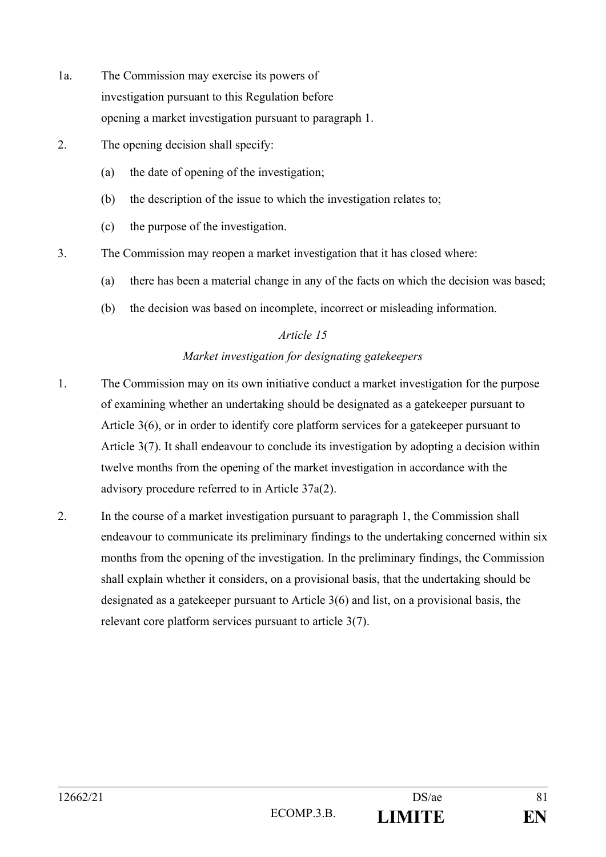- 1a. The Commission may exercise its powers of investigation pursuant to this Regulation before opening a market investigation pursuant to paragraph 1.
- 2. The opening decision shall specify:
	- (a) the date of opening of the investigation;
	- (b) the description of the issue to which the investigation relates to;
	- (c) the purpose of the investigation.
- 3. The Commission may reopen a market investigation that it has closed where:
	- (a) there has been a material change in any of the facts on which the decision was based;
	- (b) the decision was based on incomplete, incorrect or misleading information.

## *Market investigation for designating gatekeepers*

- 1. The Commission may on its own initiative conduct a market investigation for the purpose of examining whether an undertaking should be designated as a gatekeeper pursuant to Article 3(6), or in order to identify core platform services for a gatekeeper pursuant to Article 3(7). It shall endeavour to conclude its investigation by adopting a decision within twelve months from the opening of the market investigation in accordance with the advisory procedure referred to in Article 37a(2).
- 2. In the course of a market investigation pursuant to paragraph 1, the Commission shall endeavour to communicate its preliminary findings to the undertaking concerned within six months from the opening of the investigation. In the preliminary findings, the Commission shall explain whether it considers, on a provisional basis, that the undertaking should be designated as a gatekeeper pursuant to Article 3(6) and list, on a provisional basis, the relevant core platform services pursuant to article 3(7).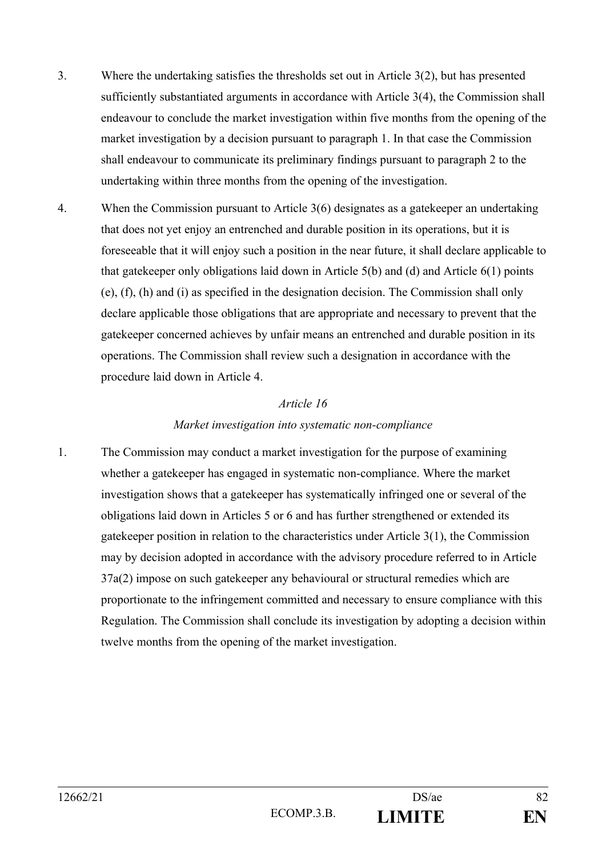- 3. Where the undertaking satisfies the thresholds set out in Article 3(2), but has presented sufficiently substantiated arguments in accordance with Article 3(4), the Commission shall endeavour to conclude the market investigation within five months from the opening of the market investigation by a decision pursuant to paragraph 1. In that case the Commission shall endeavour to communicate its preliminary findings pursuant to paragraph 2 to the undertaking within three months from the opening of the investigation.
- 4. When the Commission pursuant to Article 3(6) designates as a gatekeeper an undertaking that does not yet enjoy an entrenched and durable position in its operations, but it is foreseeable that it will enjoy such a position in the near future, it shall declare applicable to that gatekeeper only obligations laid down in Article 5(b) and (d) and Article 6(1) points (e), (f), (h) and (i) as specified in the designation decision. The Commission shall only declare applicable those obligations that are appropriate and necessary to prevent that the gatekeeper concerned achieves by unfair means an entrenched and durable position in its operations. The Commission shall review such a designation in accordance with the procedure laid down in Article 4.

#### *Market investigation into systematic non-compliance*

1. The Commission may conduct a market investigation for the purpose of examining whether a gatekeeper has engaged in systematic non-compliance. Where the market investigation shows that a gatekeeper has systematically infringed one or several of the obligations laid down in Articles 5 or 6 and has further strengthened or extended its gatekeeper position in relation to the characteristics under Article 3(1), the Commission may by decision adopted in accordance with the advisory procedure referred to in Article 37a(2) impose on such gatekeeper any behavioural or structural remedies which are proportionate to the infringement committed and necessary to ensure compliance with this Regulation. The Commission shall conclude its investigation by adopting a decision within twelve months from the opening of the market investigation.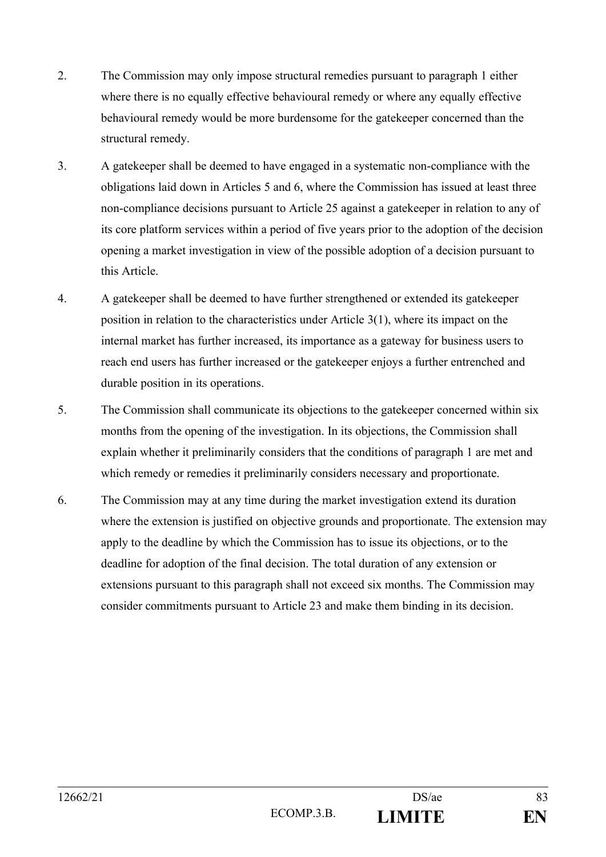- 2. The Commission may only impose structural remedies pursuant to paragraph 1 either where there is no equally effective behavioural remedy or where any equally effective behavioural remedy would be more burdensome for the gatekeeper concerned than the structural remedy.
- 3. A gatekeeper shall be deemed to have engaged in a systematic non-compliance with the obligations laid down in Articles 5 and 6, where the Commission has issued at least three non-compliance decisions pursuant to Article 25 against a gatekeeper in relation to any of its core platform services within a period of five years prior to the adoption of the decision opening a market investigation in view of the possible adoption of a decision pursuant to this Article.
- 4. A gatekeeper shall be deemed to have further strengthened or extended its gatekeeper position in relation to the characteristics under Article 3(1), where its impact on the internal market has further increased, its importance as a gateway for business users to reach end users has further increased or the gatekeeper enjoys a further entrenched and durable position in its operations.
- 5. The Commission shall communicate its objections to the gatekeeper concerned within six months from the opening of the investigation. In its objections, the Commission shall explain whether it preliminarily considers that the conditions of paragraph 1 are met and which remedy or remedies it preliminarily considers necessary and proportionate.
- 6. The Commission may at any time during the market investigation extend its duration where the extension is justified on objective grounds and proportionate. The extension may apply to the deadline by which the Commission has to issue its objections, or to the deadline for adoption of the final decision. The total duration of any extension or extensions pursuant to this paragraph shall not exceed six months. The Commission may consider commitments pursuant to Article 23 and make them binding in its decision.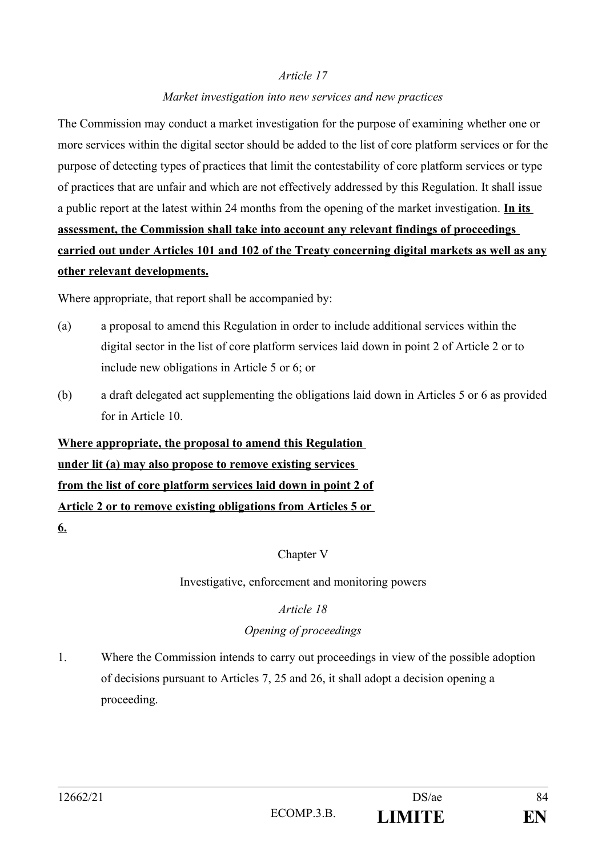#### *Market investigation into new services and new practices*

The Commission may conduct a market investigation for the purpose of examining whether one or more services within the digital sector should be added to the list of core platform services or for the purpose of detecting types of practices that limit the contestability of core platform services or type of practices that are unfair and which are not effectively addressed by this Regulation. It shall issue a public report at the latest within 24 months from the opening of the market investigation. **In its assessment, the Commission shall take into account any relevant findings of proceedings carried out under Articles 101 and 102 of the Treaty concerning digital markets as well as any other relevant developments.**

Where appropriate, that report shall be accompanied by:

- (a) a proposal to amend this Regulation in order to include additional services within the digital sector in the list of core platform services laid down in point 2 of Article 2 or to include new obligations in Article 5 or 6; or
- (b) a draft delegated act supplementing the obligations laid down in Articles 5 or 6 as provided for in Article 10.

# **Where appropriate, the proposal to amend this Regulation under lit (a) may also propose to remove existing services from the list of core platform services laid down in point 2 of Article 2 or to remove existing obligations from Articles 5 or 6.**

Chapter V

Investigative, enforcement and monitoring powers

#### *Article 18*

#### *Opening of proceedings*

1. Where the Commission intends to carry out proceedings in view of the possible adoption of decisions pursuant to Articles 7, 25 and 26, it shall adopt a decision opening a proceeding.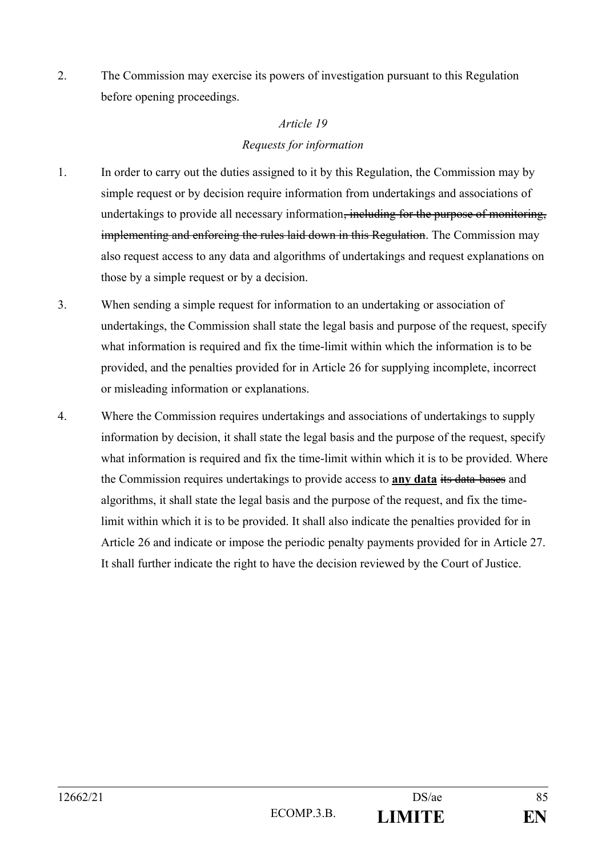2. The Commission may exercise its powers of investigation pursuant to this Regulation before opening proceedings.

# *Article 19 Requests for information*

- 1. In order to carry out the duties assigned to it by this Regulation, the Commission may by simple request or by decision require information from undertakings and associations of undertakings to provide all necessary information<del>, including for the purpose of monitoring,</del> implementing and enforcing the rules laid down in this Regulation. The Commission may also request access to any data and algorithms of undertakings and request explanations on those by a simple request or by a decision.
- 3. When sending a simple request for information to an undertaking or association of undertakings, the Commission shall state the legal basis and purpose of the request, specify what information is required and fix the time-limit within which the information is to be provided, and the penalties provided for in Article 26 for supplying incomplete, incorrect or misleading information or explanations.
- 4. Where the Commission requires undertakings and associations of undertakings to supply information by decision, it shall state the legal basis and the purpose of the request, specify what information is required and fix the time-limit within which it is to be provided. Where the Commission requires undertakings to provide access to **any data** its data-bases and algorithms, it shall state the legal basis and the purpose of the request, and fix the timelimit within which it is to be provided. It shall also indicate the penalties provided for in Article 26 and indicate or impose the periodic penalty payments provided for in Article 27. It shall further indicate the right to have the decision reviewed by the Court of Justice.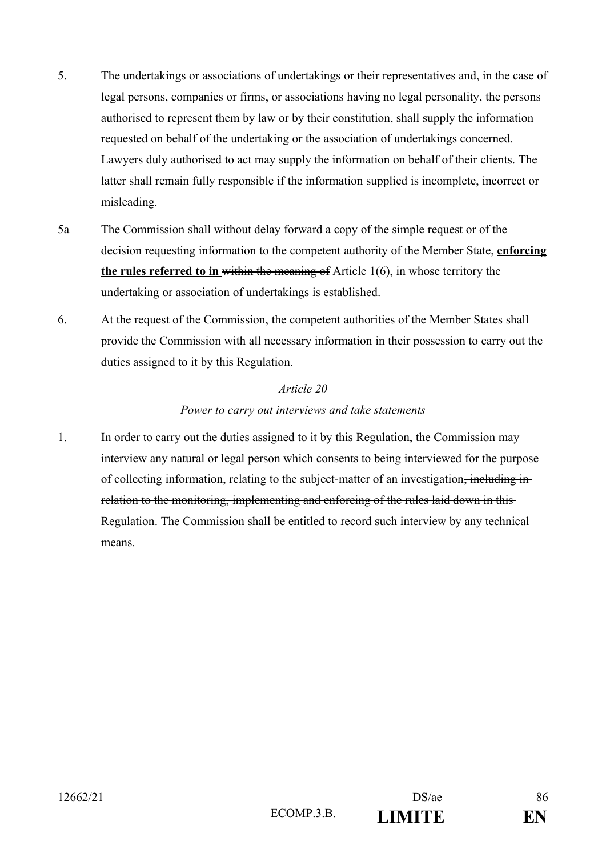- 5. The undertakings or associations of undertakings or their representatives and, in the case of legal persons, companies or firms, or associations having no legal personality, the persons authorised to represent them by law or by their constitution, shall supply the information requested on behalf of the undertaking or the association of undertakings concerned. Lawyers duly authorised to act may supply the information on behalf of their clients. The latter shall remain fully responsible if the information supplied is incomplete, incorrect or misleading.
- 5a The Commission shall without delay forward a copy of the simple request or of the decision requesting information to the competent authority of the Member State, **enforcing the rules referred to in** within the meaning of Article 1(6), in whose territory the undertaking or association of undertakings is established.
- 6. At the request of the Commission, the competent authorities of the Member States shall provide the Commission with all necessary information in their possession to carry out the duties assigned to it by this Regulation.

#### *Power to carry out interviews and take statements*

1. In order to carry out the duties assigned to it by this Regulation, the Commission may interview any natural or legal person which consents to being interviewed for the purpose of collecting information, relating to the subject-matter of an investigation, including inrelation to the monitoring, implementing and enforcing of the rules laid down in this Regulation. The Commission shall be entitled to record such interview by any technical means.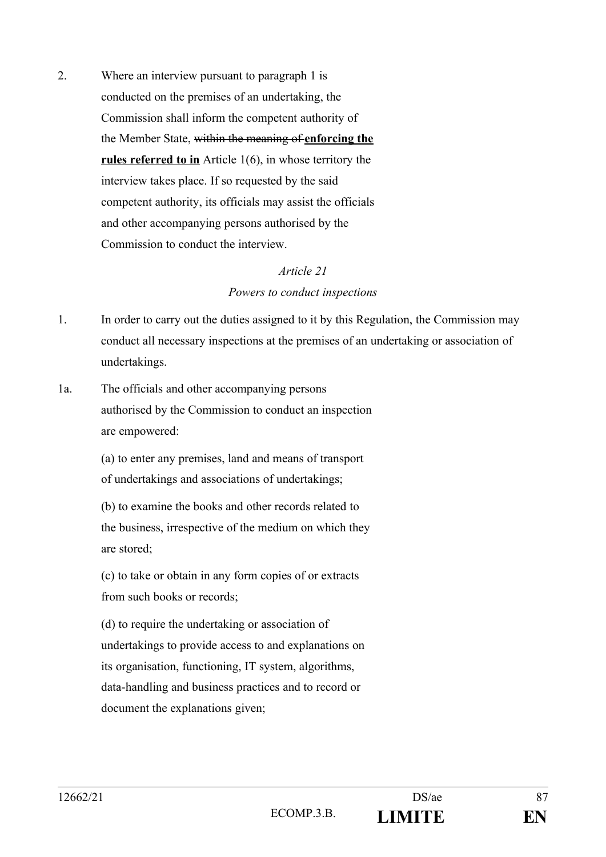2. Where an interview pursuant to paragraph 1 is conducted on the premises of an undertaking, the Commission shall inform the competent authority of the Member State, within the meaning of **enforcing the rules referred to in** Article 1(6), in whose territory the interview takes place. If so requested by the said competent authority, its officials may assist the officials and other accompanying persons authorised by the Commission to conduct the interview.

#### *Article 21*

#### *Powers to conduct inspections*

- 1. In order to carry out the duties assigned to it by this Regulation, the Commission may conduct all necessary inspections at the premises of an undertaking or association of undertakings.
- 1a. The officials and other accompanying persons authorised by the Commission to conduct an inspection are empowered:

(a) to enter any premises, land and means of transport of undertakings and associations of undertakings;

(b) to examine the books and other records related to the business, irrespective of the medium on which they are stored;

(c) to take or obtain in any form copies of or extracts from such books or records;

(d) to require the undertaking or association of undertakings to provide access to and explanations on its organisation, functioning, IT system, algorithms, data-handling and business practices and to record or document the explanations given;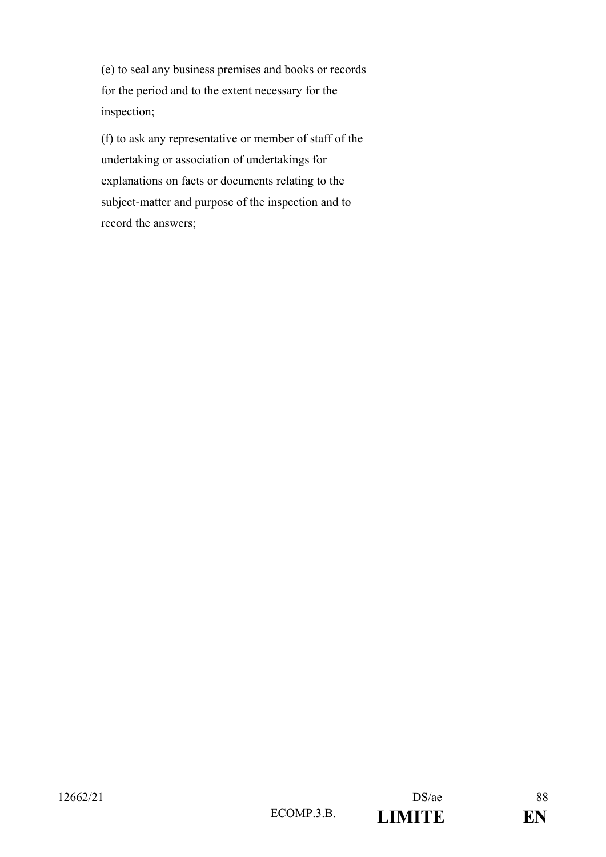(e) to seal any business premises and books or records for the period and to the extent necessary for the inspection;

(f) to ask any representative or member of staff of the undertaking or association of undertakings for explanations on facts or documents relating to the subject-matter and purpose of the inspection and to record the answers;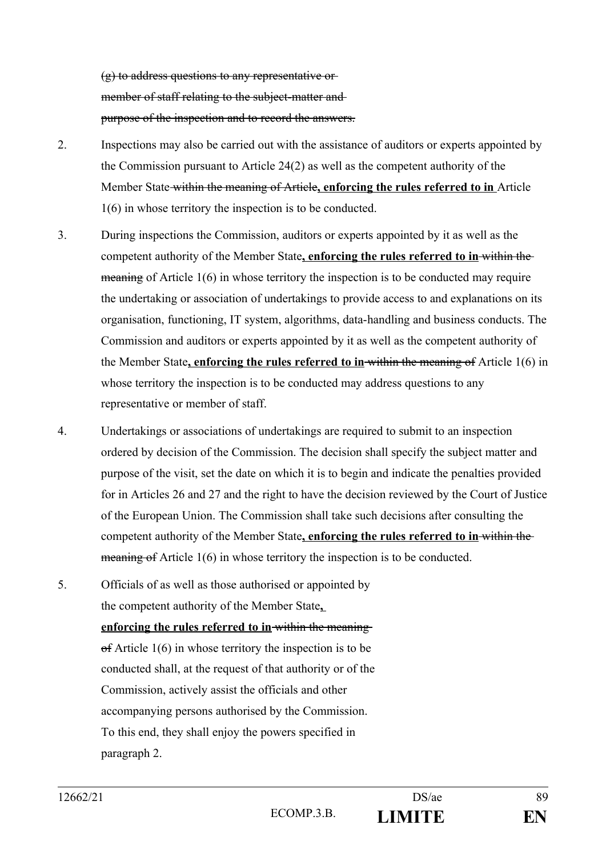(g) to address questions to any representative or member of staff relating to the subject-matter andpurpose of the inspection and to record the answers.

- 2. Inspections may also be carried out with the assistance of auditors or experts appointed by the Commission pursuant to Article 24(2) as well as the competent authority of the Member State within the meaning of Article**, enforcing the rules referred to in** Article 1(6) in whose territory the inspection is to be conducted.
- 3. During inspections the Commission, auditors or experts appointed by it as well as the competent authority of the Member State**, enforcing the rules referred to in** within the meaning of Article 1(6) in whose territory the inspection is to be conducted may require the undertaking or association of undertakings to provide access to and explanations on its organisation, functioning, IT system, algorithms, data-handling and business conducts. The Commission and auditors or experts appointed by it as well as the competent authority of the Member State**, enforcing the rules referred to in** within the meaning of Article 1(6) in whose territory the inspection is to be conducted may address questions to any representative or member of staff.
- 4. Undertakings or associations of undertakings are required to submit to an inspection ordered by decision of the Commission. The decision shall specify the subject matter and purpose of the visit, set the date on which it is to begin and indicate the penalties provided for in Articles 26 and 27 and the right to have the decision reviewed by the Court of Justice of the European Union. The Commission shall take such decisions after consulting the competent authority of the Member State**, enforcing the rules referred to in** within the meaning of Article 1(6) in whose territory the inspection is to be conducted.
- 5. Officials of as well as those authorised or appointed by the competent authority of the Member State**,**

**enforcing the rules referred to in** within the meaning  $\theta$  Article 1(6) in whose territory the inspection is to be conducted shall, at the request of that authority or of the Commission, actively assist the officials and other accompanying persons authorised by the Commission. To this end, they shall enjoy the powers specified in paragraph 2.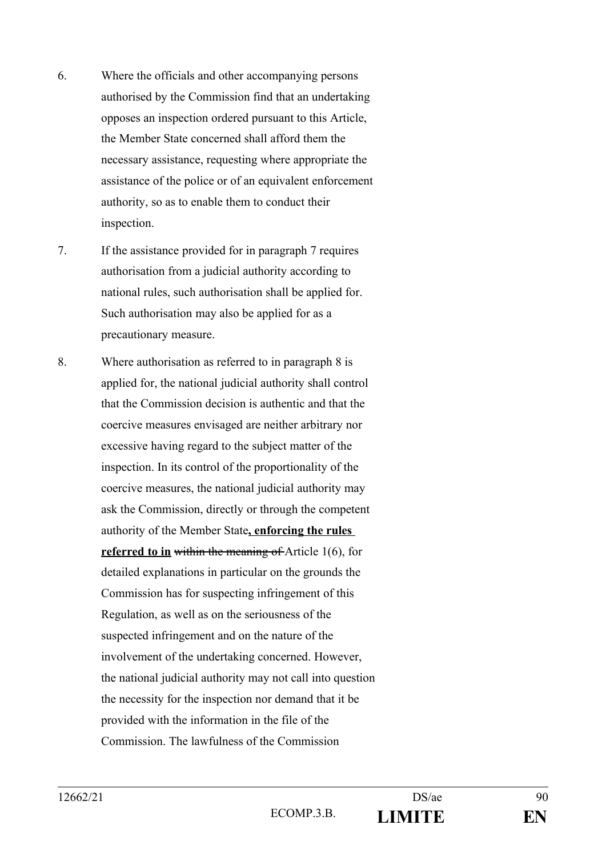- 6. Where the officials and other accompanying persons authorised by the Commission find that an undertaking opposes an inspection ordered pursuant to this Article, the Member State concerned shall afford them the necessary assistance, requesting where appropriate the assistance of the police or of an equivalent enforcement authority, so as to enable them to conduct their inspection.
- 7. If the assistance provided for in paragraph 7 requires authorisation from a judicial authority according to national rules, such authorisation shall be applied for. Such authorisation may also be applied for as a precautionary measure.
- 8. Where authorisation as referred to in paragraph 8 is applied for, the national judicial authority shall control that the Commission decision is authentic and that the coercive measures envisaged are neither arbitrary nor excessive having regard to the subject matter of the inspection. In its control of the proportionality of the coercive measures, the national judicial authority may ask the Commission, directly or through the competent authority of the Member State**, enforcing the rules referred to in within the meaning of Article 1(6), for** detailed explanations in particular on the grounds the Commission has for suspecting infringement of this Regulation, as well as on the seriousness of the suspected infringement and on the nature of the involvement of the undertaking concerned. However, the national judicial authority may not call into question the necessity for the inspection nor demand that it be provided with the information in the file of the Commission. The lawfulness of the Commission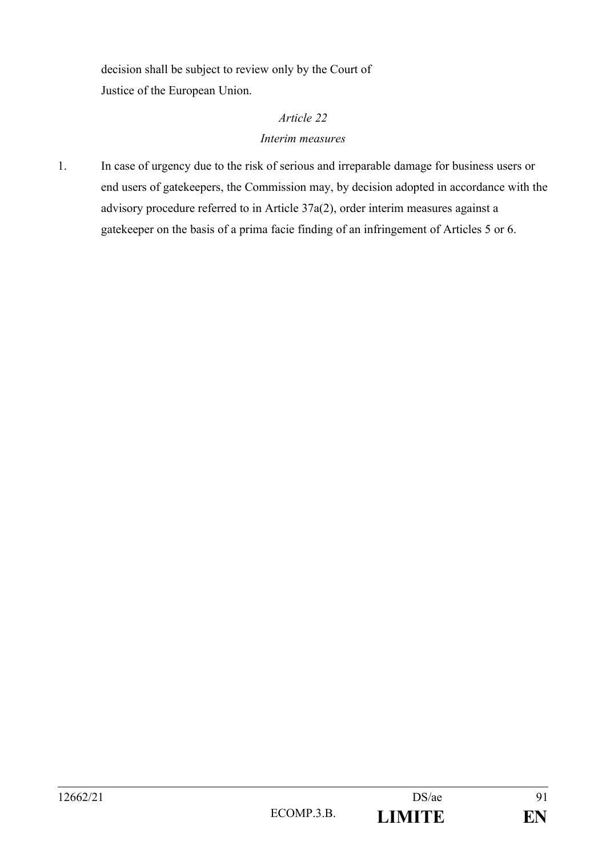decision shall be subject to review only by the Court of Justice of the European Union.

# *Article 22 Interim measures*

1. In case of urgency due to the risk of serious and irreparable damage for business users or end users of gatekeepers, the Commission may, by decision adopted in accordance with the advisory procedure referred to in Article 37a(2), order interim measures against a gatekeeper on the basis of a prima facie finding of an infringement of Articles 5 or 6.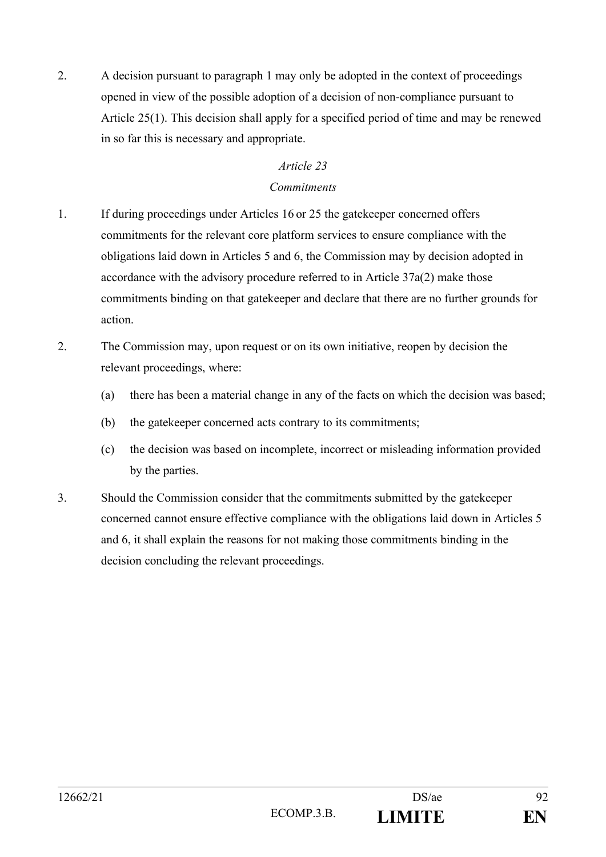2. A decision pursuant to paragraph 1 may only be adopted in the context of proceedings opened in view of the possible adoption of a decision of non-compliance pursuant to Article 25(1). This decision shall apply for a specified period of time and may be renewed in so far this is necessary and appropriate.

#### *Article 23*

#### *Commitments*

- 1. If during proceedings under Articles 16 or 25 the gatekeeper concerned offers commitments for the relevant core platform services to ensure compliance with the obligations laid down in Articles 5 and 6, the Commission may by decision adopted in accordance with the advisory procedure referred to in Article 37a(2) make those commitments binding on that gatekeeper and declare that there are no further grounds for action.
- 2. The Commission may, upon request or on its own initiative, reopen by decision the relevant proceedings, where:
	- (a) there has been a material change in any of the facts on which the decision was based;
	- (b) the gatekeeper concerned acts contrary to its commitments;
	- (c) the decision was based on incomplete, incorrect or misleading information provided by the parties.
- 3. Should the Commission consider that the commitments submitted by the gatekeeper concerned cannot ensure effective compliance with the obligations laid down in Articles 5 and 6, it shall explain the reasons for not making those commitments binding in the decision concluding the relevant proceedings.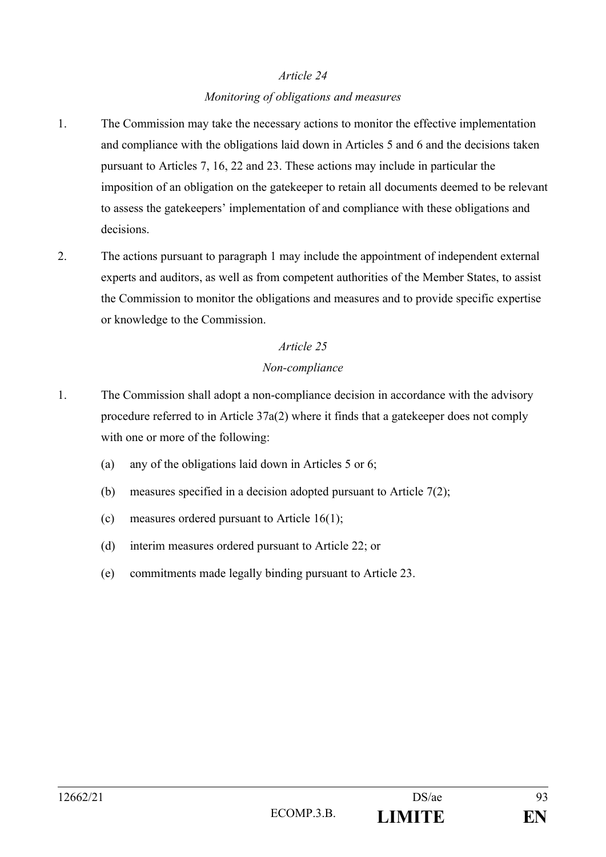#### *Monitoring of obligations and measures*

- 1. The Commission may take the necessary actions to monitor the effective implementation and compliance with the obligations laid down in Articles 5 and 6 and the decisions taken pursuant to Articles 7, 16, 22 and 23. These actions may include in particular the imposition of an obligation on the gatekeeper to retain all documents deemed to be relevant to assess the gatekeepers' implementation of and compliance with these obligations and decisions.
- 2. The actions pursuant to paragraph 1 may include the appointment of independent external experts and auditors, as well as from competent authorities of the Member States, to assist the Commission to monitor the obligations and measures and to provide specific expertise or knowledge to the Commission.

## *Article 25*

#### *Non-compliance*

- 1. The Commission shall adopt a non-compliance decision in accordance with the advisory procedure referred to in Article 37a(2) where it finds that a gatekeeper does not comply with one or more of the following:
	- (a) any of the obligations laid down in Articles 5 or 6;
	- (b) measures specified in a decision adopted pursuant to Article 7(2);
	- (c) measures ordered pursuant to Article 16(1);
	- (d) interim measures ordered pursuant to Article 22; or
	- (e) commitments made legally binding pursuant to Article 23.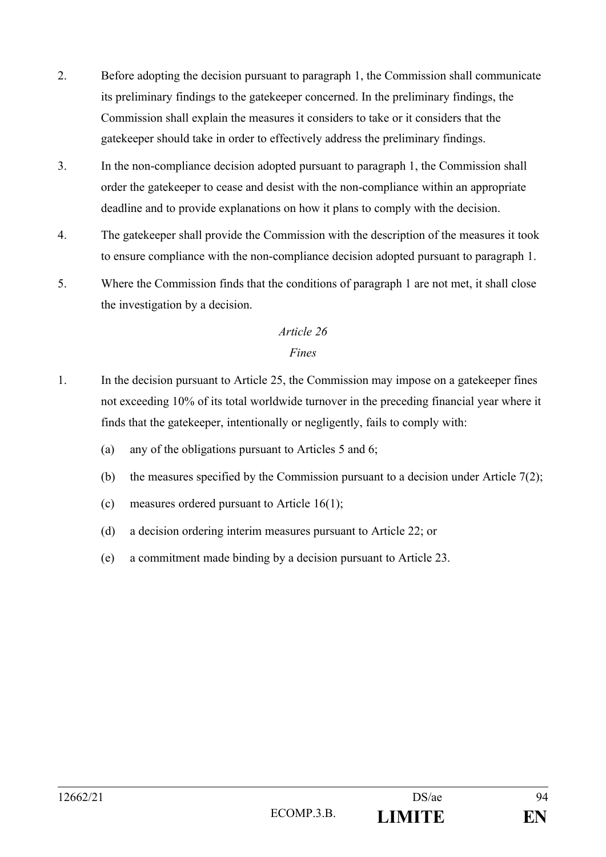- 2. Before adopting the decision pursuant to paragraph 1, the Commission shall communicate its preliminary findings to the gatekeeper concerned. In the preliminary findings, the Commission shall explain the measures it considers to take or it considers that the gatekeeper should take in order to effectively address the preliminary findings.
- 3. In the non-compliance decision adopted pursuant to paragraph 1, the Commission shall order the gatekeeper to cease and desist with the non-compliance within an appropriate deadline and to provide explanations on how it plans to comply with the decision.
- 4. The gatekeeper shall provide the Commission with the description of the measures it took to ensure compliance with the non-compliance decision adopted pursuant to paragraph 1.
- 5. Where the Commission finds that the conditions of paragraph 1 are not met, it shall close the investigation by a decision.

## *Fines*

- 1. In the decision pursuant to Article 25, the Commission may impose on a gatekeeper fines not exceeding 10% of its total worldwide turnover in the preceding financial year where it finds that the gatekeeper, intentionally or negligently, fails to comply with:
	- (a) any of the obligations pursuant to Articles 5 and 6;
	- (b) the measures specified by the Commission pursuant to a decision under Article  $7(2)$ ;
	- (c) measures ordered pursuant to Article 16(1);
	- (d) a decision ordering interim measures pursuant to Article 22; or
	- (e) a commitment made binding by a decision pursuant to Article 23.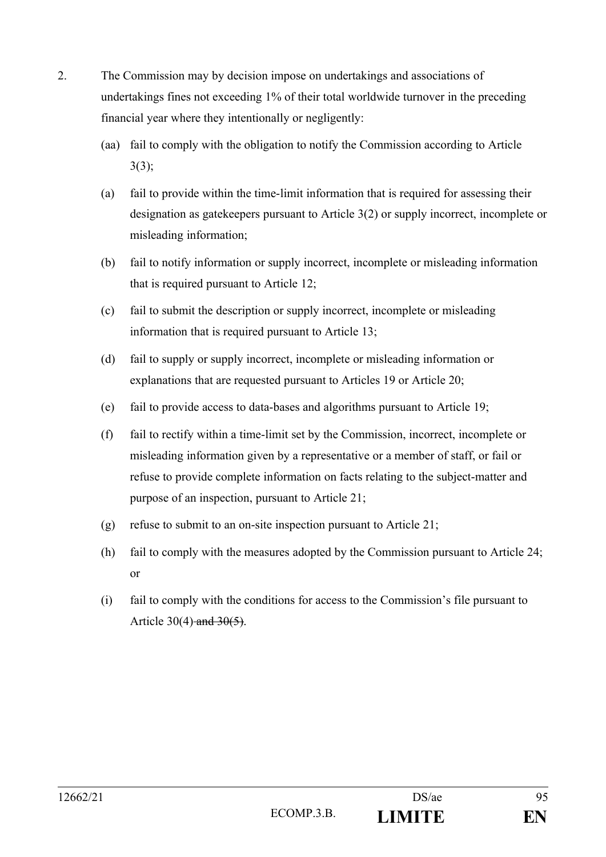- 2. The Commission may by decision impose on undertakings and associations of undertakings fines not exceeding 1% of their total worldwide turnover in the preceding financial year where they intentionally or negligently:
	- (aa) fail to comply with the obligation to notify the Commission according to Article 3(3);
	- (a) fail to provide within the time-limit information that is required for assessing their designation as gatekeepers pursuant to Article 3(2) or supply incorrect, incomplete or misleading information;
	- (b) fail to notify information or supply incorrect, incomplete or misleading information that is required pursuant to Article 12;
	- (c) fail to submit the description or supply incorrect, incomplete or misleading information that is required pursuant to Article 13;
	- (d) fail to supply or supply incorrect, incomplete or misleading information or explanations that are requested pursuant to Articles 19 or Article 20;
	- (e) fail to provide access to data-bases and algorithms pursuant to Article 19;
	- (f) fail to rectify within a time-limit set by the Commission, incorrect, incomplete or misleading information given by a representative or a member of staff, or fail or refuse to provide complete information on facts relating to the subject-matter and purpose of an inspection, pursuant to Article 21;
	- (g) refuse to submit to an on-site inspection pursuant to Article 21;
	- (h) fail to comply with the measures adopted by the Commission pursuant to Article 24; or
	- (i) fail to comply with the conditions for access to the Commission's file pursuant to Article 30(4) and  $30(5)$ .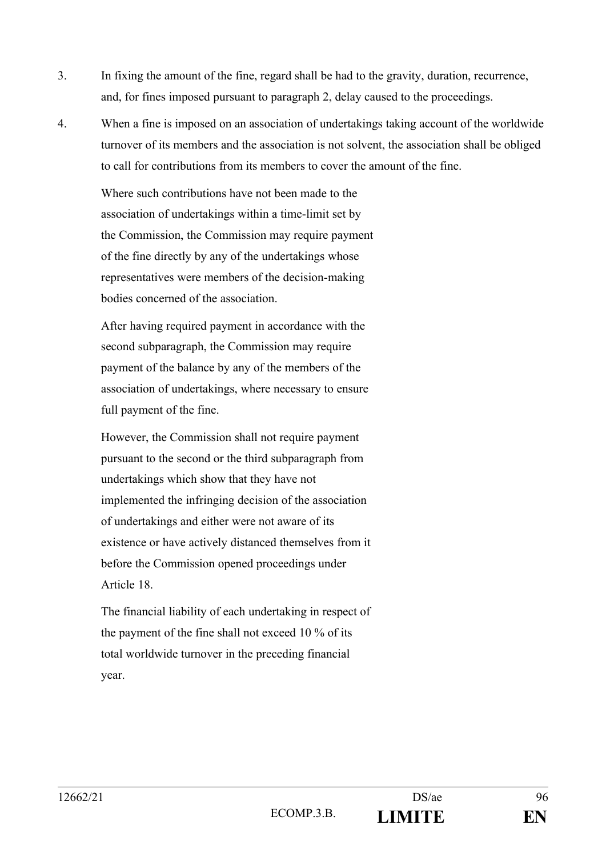- 3. In fixing the amount of the fine, regard shall be had to the gravity, duration, recurrence, and, for fines imposed pursuant to paragraph 2, delay caused to the proceedings.
- 4. When a fine is imposed on an association of undertakings taking account of the worldwide turnover of its members and the association is not solvent, the association shall be obliged to call for contributions from its members to cover the amount of the fine.

Where such contributions have not been made to the association of undertakings within a time-limit set by the Commission, the Commission may require payment of the fine directly by any of the undertakings whose representatives were members of the decision-making bodies concerned of the association.

After having required payment in accordance with the second subparagraph, the Commission may require payment of the balance by any of the members of the association of undertakings, where necessary to ensure full payment of the fine.

However, the Commission shall not require payment pursuant to the second or the third subparagraph from undertakings which show that they have not implemented the infringing decision of the association of undertakings and either were not aware of its existence or have actively distanced themselves from it before the Commission opened proceedings under Article 18.

The financial liability of each undertaking in respect of the payment of the fine shall not exceed 10 % of its total worldwide turnover in the preceding financial year.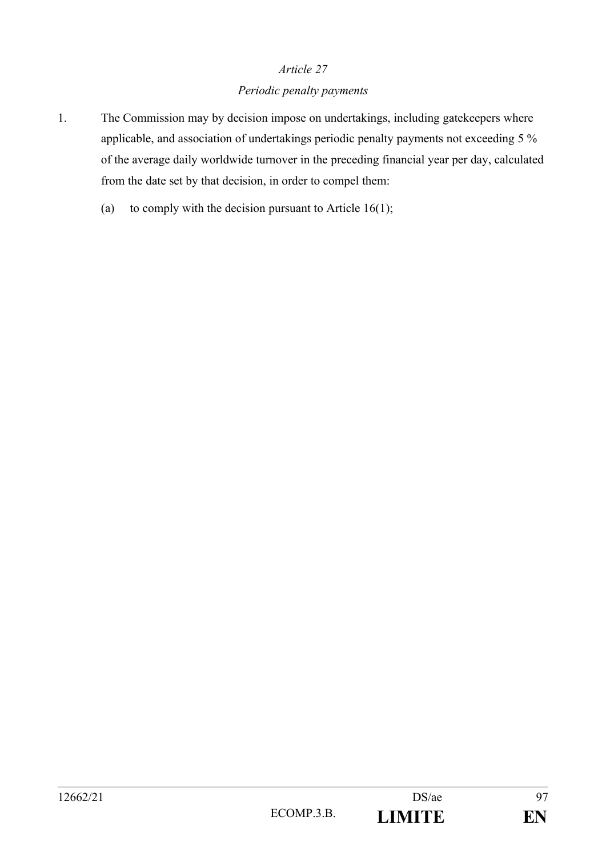#### *Periodic penalty payments*

- 1. The Commission may by decision impose on undertakings, including gatekeepers where applicable, and association of undertakings periodic penalty payments not exceeding 5 % of the average daily worldwide turnover in the preceding financial year per day, calculated from the date set by that decision, in order to compel them:
	- (a) to comply with the decision pursuant to Article  $16(1)$ ;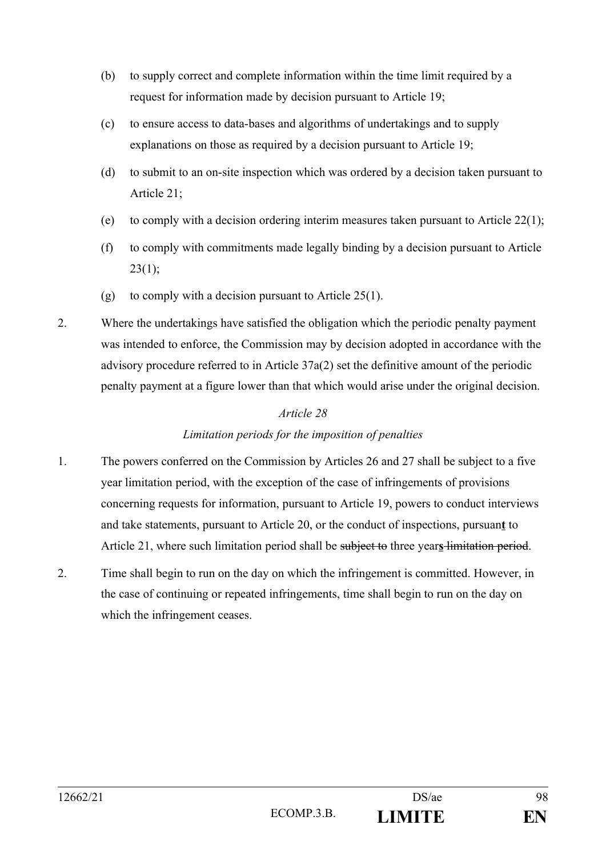- (b) to supply correct and complete information within the time limit required by a request for information made by decision pursuant to Article 19;
- (c) to ensure access to data-bases and algorithms of undertakings and to supply explanations on those as required by a decision pursuant to Article 19;
- (d) to submit to an on-site inspection which was ordered by a decision taken pursuant to Article 21;
- (e) to comply with a decision ordering interim measures taken pursuant to Article  $22(1)$ ;
- (f) to comply with commitments made legally binding by a decision pursuant to Article  $23(1)$ ;
- (g) to comply with a decision pursuant to Article  $25(1)$ .
- 2. Where the undertakings have satisfied the obligation which the periodic penalty payment was intended to enforce, the Commission may by decision adopted in accordance with the advisory procedure referred to in Article 37a(2) set the definitive amount of the periodic penalty payment at a figure lower than that which would arise under the original decision.

# *Limitation periods for the imposition of penalties*

- 1. The powers conferred on the Commission by Articles 26 and 27 shall be subject to a five year limitation period, with the exception of the case of infringements of provisions concerning requests for information, pursuant to Article 19, powers to conduct interviews and take statements, pursuant to Article 20, or the conduct of inspections, pursuan**t** to Article 21, where such limitation period shall be subject to three year**s** limitation period.
- 2. Time shall begin to run on the day on which the infringement is committed. However, in the case of continuing or repeated infringements, time shall begin to run on the day on which the infringement ceases.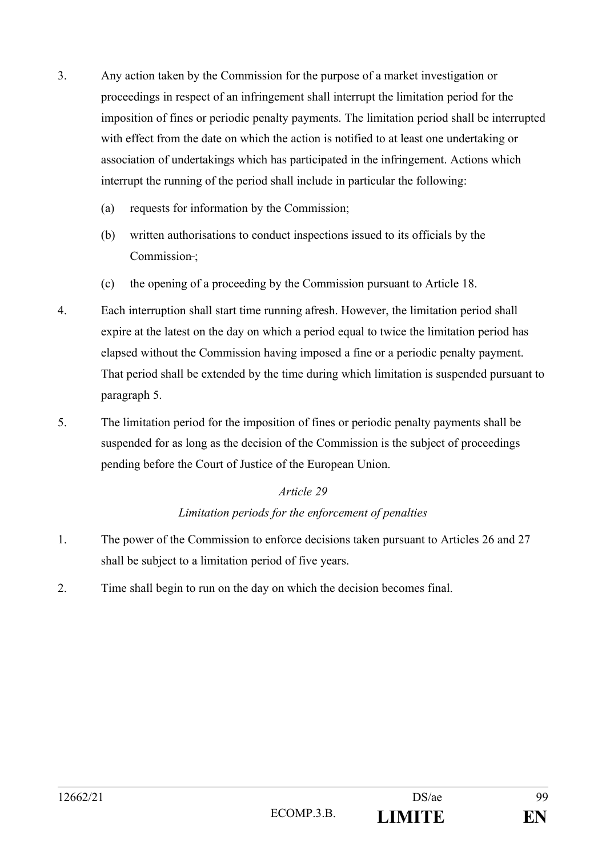- 3. Any action taken by the Commission for the purpose of a market investigation or proceedings in respect of an infringement shall interrupt the limitation period for the imposition of fines or periodic penalty payments. The limitation period shall be interrupted with effect from the date on which the action is notified to at least one undertaking or association of undertakings which has participated in the infringement. Actions which interrupt the running of the period shall include in particular the following:
	- (a) requests for information by the Commission;
	- (b) written authorisations to conduct inspections issued to its officials by the Commission-;
	- (c) the opening of a proceeding by the Commission pursuant to Article 18.
- 4. Each interruption shall start time running afresh. However, the limitation period shall expire at the latest on the day on which a period equal to twice the limitation period has elapsed without the Commission having imposed a fine or a periodic penalty payment. That period shall be extended by the time during which limitation is suspended pursuant to paragraph 5.
- 5. The limitation period for the imposition of fines or periodic penalty payments shall be suspended for as long as the decision of the Commission is the subject of proceedings pending before the Court of Justice of the European Union.

# *Limitation periods for the enforcement of penalties*

- 1. The power of the Commission to enforce decisions taken pursuant to Articles 26 and 27 shall be subject to a limitation period of five years.
- 2. Time shall begin to run on the day on which the decision becomes final.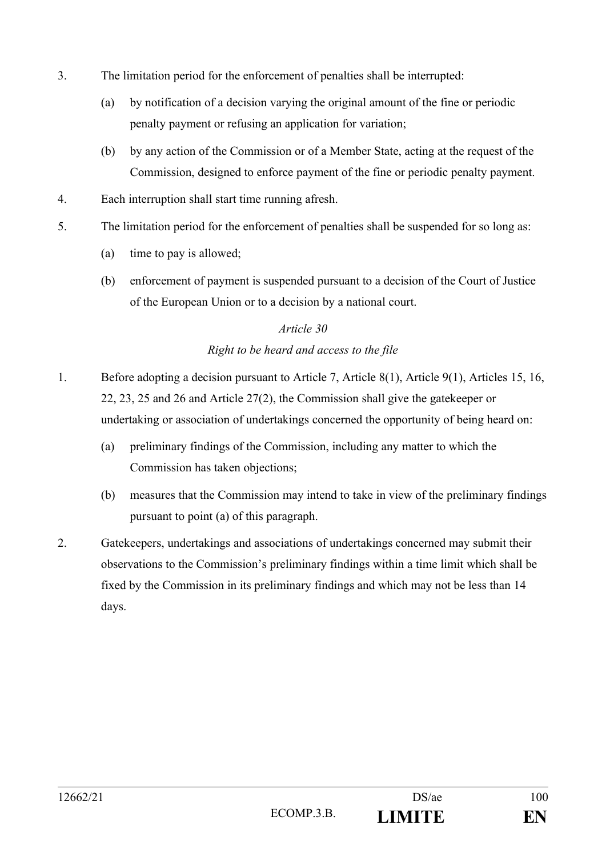- 3. The limitation period for the enforcement of penalties shall be interrupted:
	- (a) by notification of a decision varying the original amount of the fine or periodic penalty payment or refusing an application for variation;
	- (b) by any action of the Commission or of a Member State, acting at the request of the Commission, designed to enforce payment of the fine or periodic penalty payment.
- 4. Each interruption shall start time running afresh.
- 5. The limitation period for the enforcement of penalties shall be suspended for so long as:
	- (a) time to pay is allowed;
	- (b) enforcement of payment is suspended pursuant to a decision of the Court of Justice of the European Union or to a decision by a national court.

## *Right to be heard and access to the file*

- 1. Before adopting a decision pursuant to Article 7, Article 8(1), Article 9(1), Articles 15, 16, 22, 23, 25 and 26 and Article 27(2), the Commission shall give the gatekeeper or undertaking or association of undertakings concerned the opportunity of being heard on:
	- (a) preliminary findings of the Commission, including any matter to which the Commission has taken objections;
	- (b) measures that the Commission may intend to take in view of the preliminary findings pursuant to point (a) of this paragraph.
- 2. Gatekeepers, undertakings and associations of undertakings concerned may submit their observations to the Commission's preliminary findings within a time limit which shall be fixed by the Commission in its preliminary findings and which may not be less than 14 days.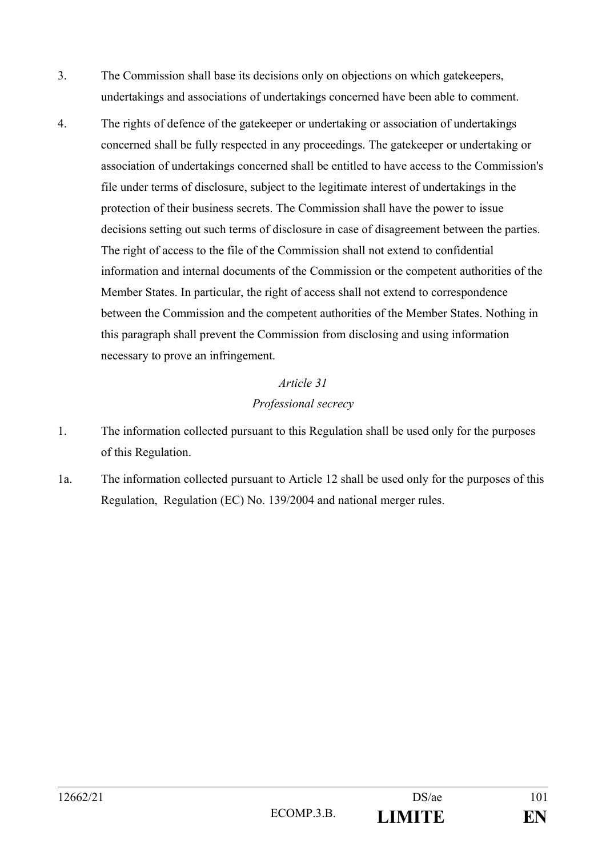- 3. The Commission shall base its decisions only on objections on which gatekeepers, undertakings and associations of undertakings concerned have been able to comment.
- 4. The rights of defence of the gatekeeper or undertaking or association of undertakings concerned shall be fully respected in any proceedings. The gatekeeper or undertaking or association of undertakings concerned shall be entitled to have access to the Commission's file under terms of disclosure, subject to the legitimate interest of undertakings in the protection of their business secrets. The Commission shall have the power to issue decisions setting out such terms of disclosure in case of disagreement between the parties. The right of access to the file of the Commission shall not extend to confidential information and internal documents of the Commission or the competent authorities of the Member States. In particular, the right of access shall not extend to correspondence between the Commission and the competent authorities of the Member States. Nothing in this paragraph shall prevent the Commission from disclosing and using information necessary to prove an infringement.

# *Article 31 Professional secrecy*

- 1. The information collected pursuant to this Regulation shall be used only for the purposes of this Regulation.
- 1a. The information collected pursuant to Article 12 shall be used only for the purposes of this Regulation, Regulation (EC) No. 139/2004 and national merger rules.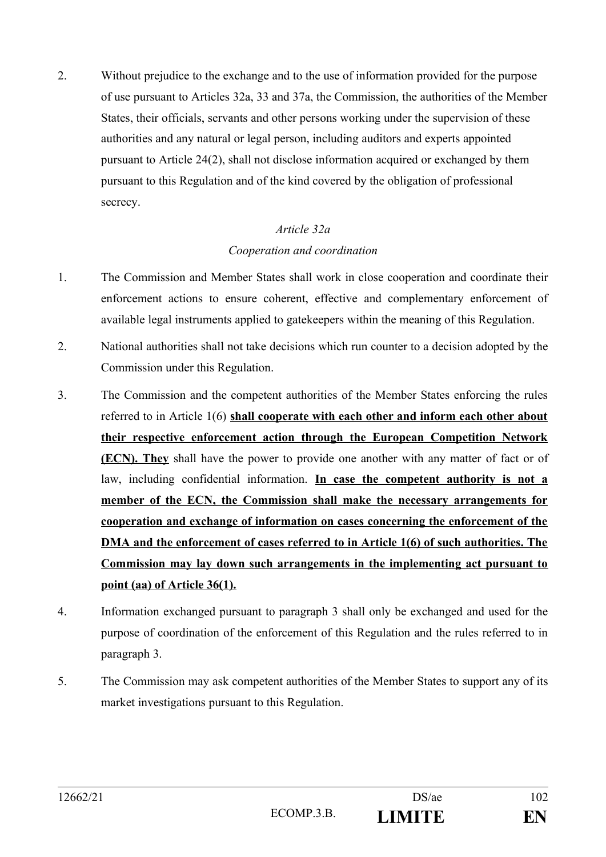2. Without prejudice to the exchange and to the use of information provided for the purpose of use pursuant to Articles 32a, 33 and 37a, the Commission, the authorities of the Member States, their officials, servants and other persons working under the supervision of these authorities and any natural or legal person, including auditors and experts appointed pursuant to Article 24(2), shall not disclose information acquired or exchanged by them pursuant to this Regulation and of the kind covered by the obligation of professional secrecy.

# *Article 32a Cooperation and coordination*

- 1. The Commission and Member States shall work in close cooperation and coordinate their enforcement actions to ensure coherent, effective and complementary enforcement of available legal instruments applied to gatekeepers within the meaning of this Regulation.
- 2. National authorities shall not take decisions which run counter to a decision adopted by the Commission under this Regulation.
- 3. The Commission and the competent authorities of the Member States enforcing the rules referred to in Article 1(6) **shall cooperate with each other and inform each other about their respective enforcement action through the European Competition Network (ECN). They** shall have the power to provide one another with any matter of fact or of law, including confidential information. **In case the competent authority is not a member of the ECN, the Commission shall make the necessary arrangements for cooperation and exchange of information on cases concerning the enforcement of the DMA and the enforcement of cases referred to in Article 1(6) of such authorities. The Commission may lay down such arrangements in the implementing act pursuant to point (aa) of Article 36(1).**
- 4. Information exchanged pursuant to paragraph 3 shall only be exchanged and used for the purpose of coordination of the enforcement of this Regulation and the rules referred to in paragraph 3.
- 5. The Commission may ask competent authorities of the Member States to support any of its market investigations pursuant to this Regulation.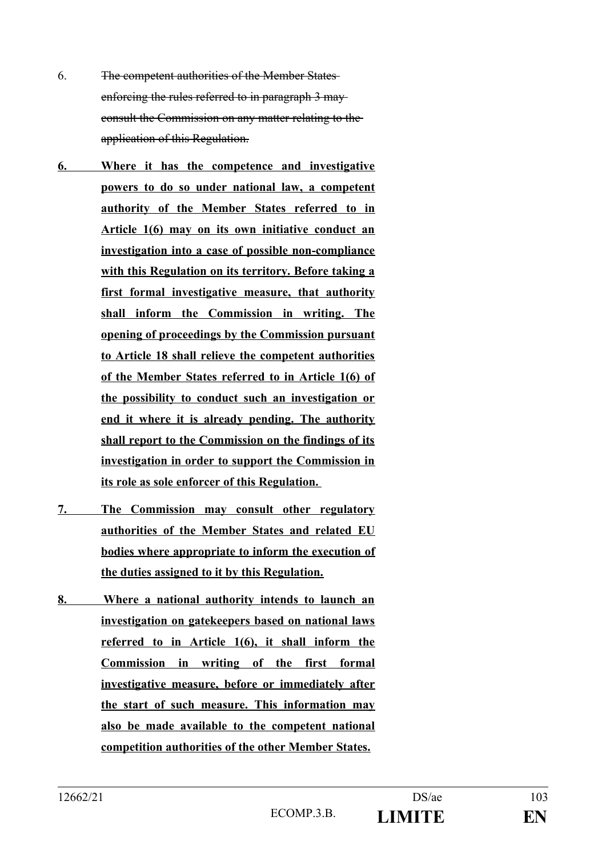- 6. The competent authorities of the Member States enforcing the rules referred to in paragraph 3 may consult the Commission on any matter relating to the application of this Regulation.
- **6. Where it has the competence and investigative powers to do so under national law, a competent authority of the Member States referred to in Article 1(6) may on its own initiative conduct an investigation into a case of possible non-compliance with this Regulation on its territory. Before taking a first formal investigative measure, that authority shall inform the Commission in writing. The opening of proceedings by the Commission pursuant to Article 18 shall relieve the competent authorities of the Member States referred to in Article 1(6) of the possibility to conduct such an investigation or end it where it is already pending. The authority shall report to the Commission on the findings of its investigation in order to support the Commission in its role as sole enforcer of this Regulation.**
- **7. The Commission may consult other regulatory authorities of the Member States and related EU bodies where appropriate to inform the execution of the duties assigned to it by this Regulation.**
- **8. Where a national authority intends to launch an investigation on gatekeepers based on national laws referred to in Article 1(6), it shall inform the Commission in writing of the first formal investigative measure, before or immediately after the start of such measure. This information may also be made available to the competent national competition authorities of the other Member States.**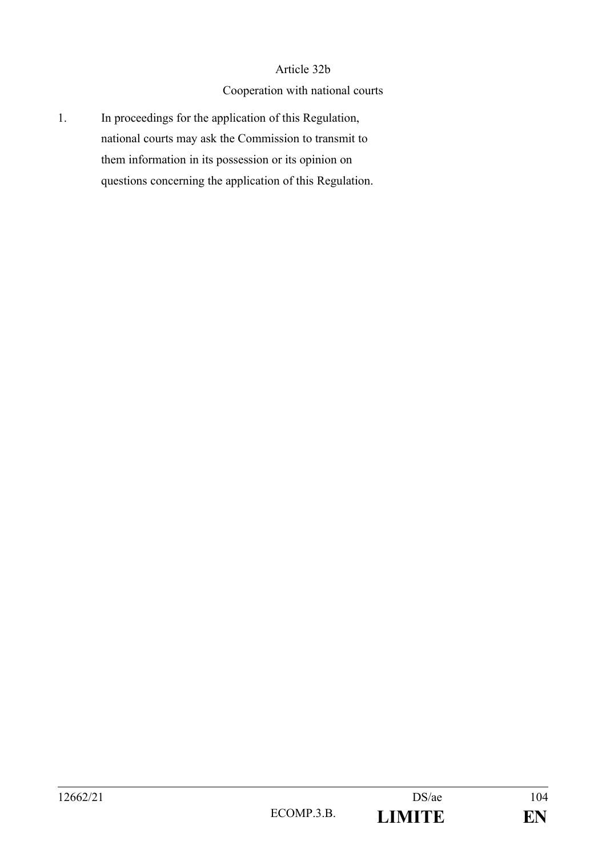#### Article 32b

#### Cooperation with national courts

1. In proceedings for the application of this Regulation, national courts may ask the Commission to transmit to them information in its possession or its opinion on questions concerning the application of this Regulation.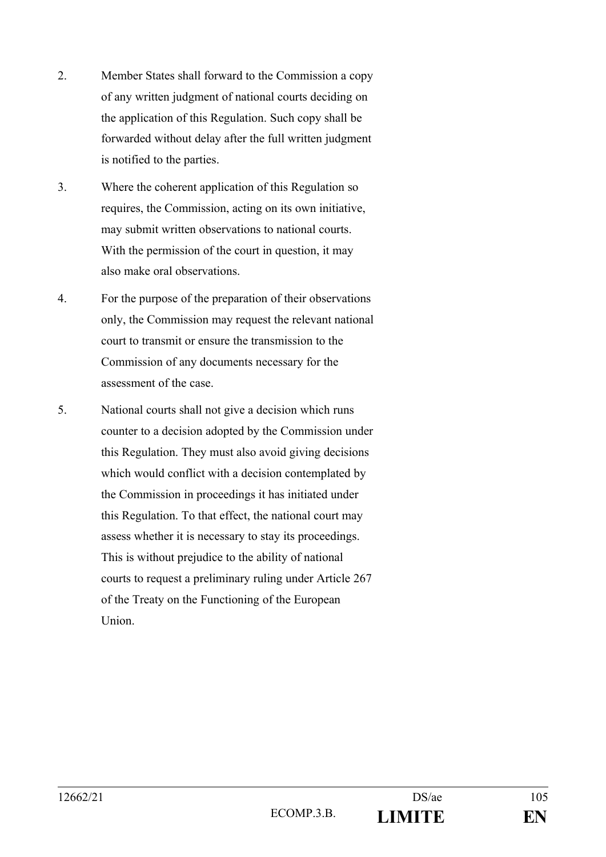- 2. Member States shall forward to the Commission a copy of any written judgment of national courts deciding on the application of this Regulation. Such copy shall be forwarded without delay after the full written judgment is notified to the parties.
- 3. Where the coherent application of this Regulation so requires, the Commission, acting on its own initiative, may submit written observations to national courts. With the permission of the court in question, it may also make oral observations.
- 4. For the purpose of the preparation of their observations only, the Commission may request the relevant national court to transmit or ensure the transmission to the Commission of any documents necessary for the assessment of the case.
- 5. National courts shall not give a decision which runs counter to a decision adopted by the Commission under this Regulation. They must also avoid giving decisions which would conflict with a decision contemplated by the Commission in proceedings it has initiated under this Regulation. To that effect, the national court may assess whether it is necessary to stay its proceedings. This is without prejudice to the ability of national courts to request a preliminary ruling under Article 267 of the Treaty on the Functioning of the European Union.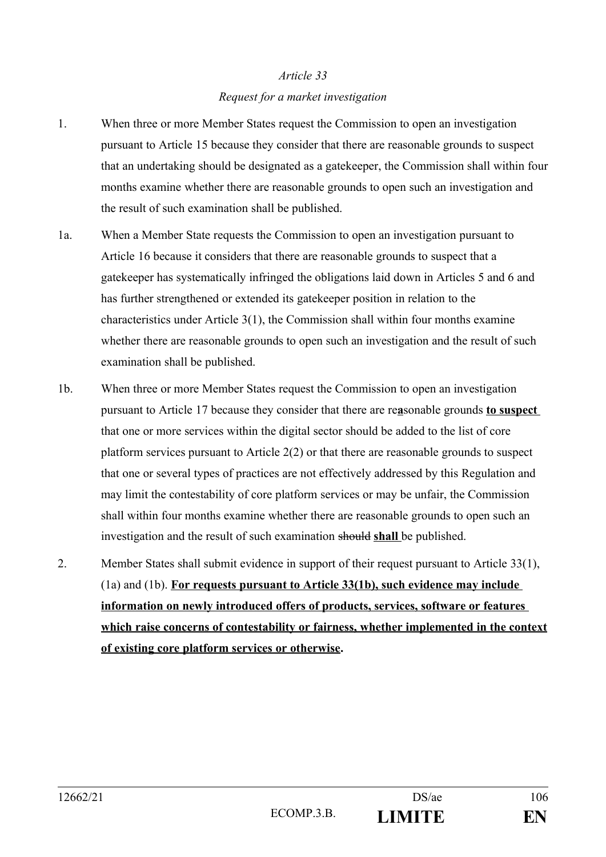# *Article 33 Request for a market investigation*

- 1. When three or more Member States request the Commission to open an investigation pursuant to Article 15 because they consider that there are reasonable grounds to suspect that an undertaking should be designated as a gatekeeper, the Commission shall within four months examine whether there are reasonable grounds to open such an investigation and the result of such examination shall be published.
- 1a. When a Member State requests the Commission to open an investigation pursuant to Article 16 because it considers that there are reasonable grounds to suspect that a gatekeeper has systematically infringed the obligations laid down in Articles 5 and 6 and has further strengthened or extended its gatekeeper position in relation to the characteristics under Article  $3(1)$ , the Commission shall within four months examine whether there are reasonable grounds to open such an investigation and the result of such examination shall be published.
- 1b. When three or more Member States request the Commission to open an investigation pursuant to Article 17 because they consider that there are re**a**sonable grounds **to suspect**  that one or more services within the digital sector should be added to the list of core platform services pursuant to Article 2(2) or that there are reasonable grounds to suspect that one or several types of practices are not effectively addressed by this Regulation and may limit the contestability of core platform services or may be unfair, the Commission shall within four months examine whether there are reasonable grounds to open such an investigation and the result of such examination should **shall** be published.
- 2. Member States shall submit evidence in support of their request pursuant to Article 33(1), (1a) and (1b). **For requests pursuant to Article 33(1b), such evidence may include information on newly introduced offers of products, services, software or features which raise concerns of contestability or fairness, whether implemented in the context of existing core platform services or otherwise.**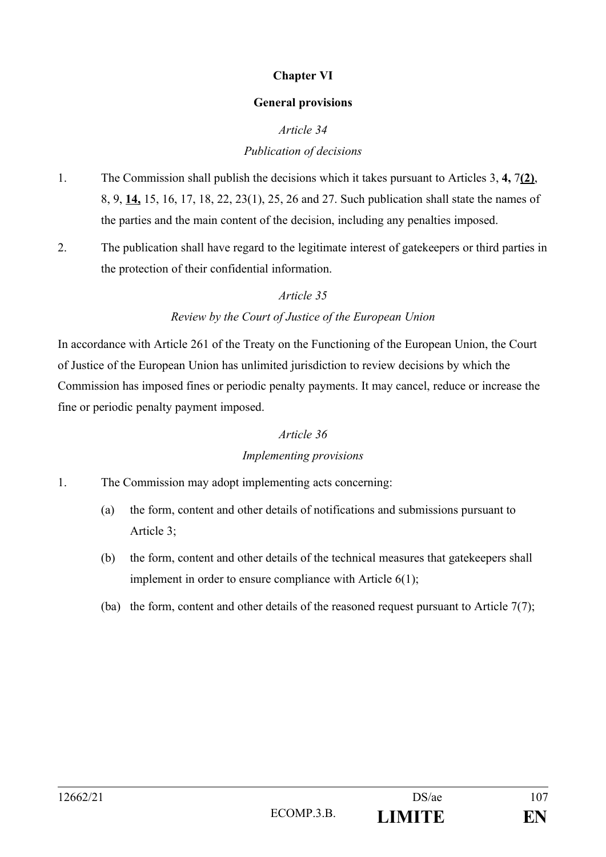## **Chapter VI**

#### **General provisions**

# *Article 34*

## *Publication of decisions*

- 1. The Commission shall publish the decisions which it takes pursuant to Articles 3, **4,** 7**(2)**, 8, 9, **14,** 15, 16, 17, 18, 22, 23(1), 25, 26 and 27. Such publication shall state the names of the parties and the main content of the decision, including any penalties imposed.
- 2. The publication shall have regard to the legitimate interest of gatekeepers or third parties in the protection of their confidential information.

## *Article 35*

# *Review by the Court of Justice of the European Union*

In accordance with Article 261 of the Treaty on the Functioning of the European Union, the Court of Justice of the European Union has unlimited jurisdiction to review decisions by which the Commission has imposed fines or periodic penalty payments. It may cancel, reduce or increase the fine or periodic penalty payment imposed.

#### *Article 36*

#### *Implementing provisions*

- 1. The Commission may adopt implementing acts concerning:
	- (a) the form, content and other details of notifications and submissions pursuant to Article 3;
	- (b) the form, content and other details of the technical measures that gatekeepers shall implement in order to ensure compliance with Article 6(1);
	- (ba) the form, content and other details of the reasoned request pursuant to Article  $7(7)$ ;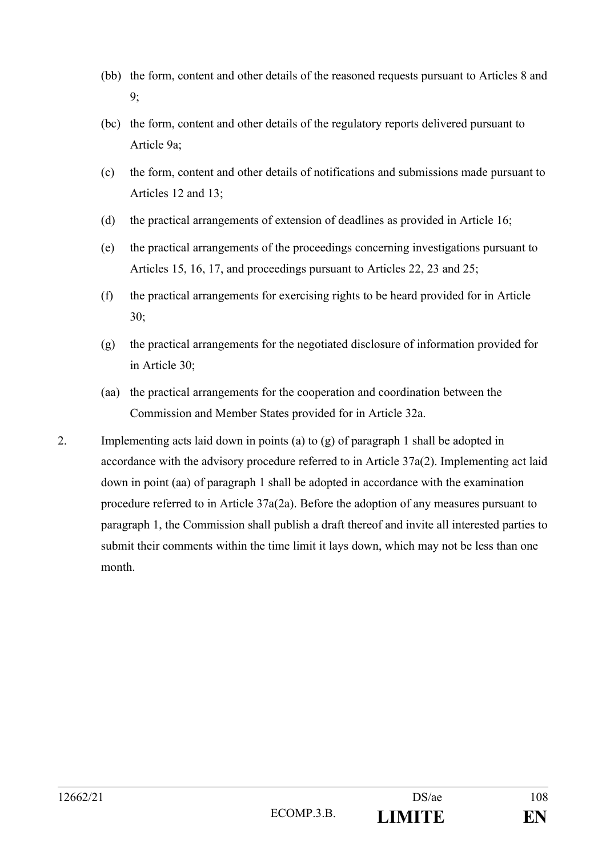- (bb) the form, content and other details of the reasoned requests pursuant to Articles 8 and 9;
- (bc) the form, content and other details of the regulatory reports delivered pursuant to Article 9a;
- (c) the form, content and other details of notifications and submissions made pursuant to Articles 12 and 13;
- (d) the practical arrangements of extension of deadlines as provided in Article 16;
- (e) the practical arrangements of the proceedings concerning investigations pursuant to Articles 15, 16, 17, and proceedings pursuant to Articles 22, 23 and 25;
- (f) the practical arrangements for exercising rights to be heard provided for in Article 30;
- (g) the practical arrangements for the negotiated disclosure of information provided for in Article 30;
- (aa) the practical arrangements for the cooperation and coordination between the Commission and Member States provided for in Article 32a.
- 2. Implementing acts laid down in points (a) to (g) of paragraph 1 shall be adopted in accordance with the advisory procedure referred to in Article 37a(2). Implementing act laid down in point (aa) of paragraph 1 shall be adopted in accordance with the examination procedure referred to in Article 37a(2a). Before the adoption of any measures pursuant to paragraph 1, the Commission shall publish a draft thereof and invite all interested parties to submit their comments within the time limit it lays down, which may not be less than one month.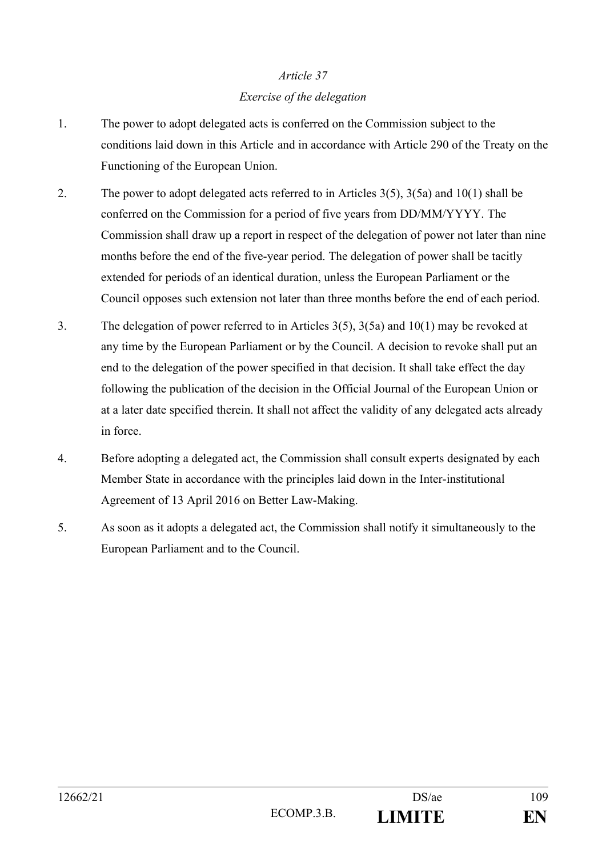# *Article 37 Exercise of the delegation*

- 1. The power to adopt delegated acts is conferred on the Commission subject to the conditions laid down in this Article and in accordance with Article 290 of the Treaty on the Functioning of the European Union.
- 2. The power to adopt delegated acts referred to in Articles 3(5), 3(5a) and 10(1) shall be conferred on the Commission for a period of five years from DD/MM/YYYY. The Commission shall draw up a report in respect of the delegation of power not later than nine months before the end of the five-year period. The delegation of power shall be tacitly extended for periods of an identical duration, unless the European Parliament or the Council opposes such extension not later than three months before the end of each period.
- 3. The delegation of power referred to in Articles 3(5), 3(5a) and 10(1) may be revoked at any time by the European Parliament or by the Council. A decision to revoke shall put an end to the delegation of the power specified in that decision. It shall take effect the day following the publication of the decision in the Official Journal of the European Union or at a later date specified therein. It shall not affect the validity of any delegated acts already in force.
- 4. Before adopting a delegated act, the Commission shall consult experts designated by each Member State in accordance with the principles laid down in the Inter-institutional Agreement of 13 April 2016 on Better Law-Making.
- 5. As soon as it adopts a delegated act, the Commission shall notify it simultaneously to the European Parliament and to the Council.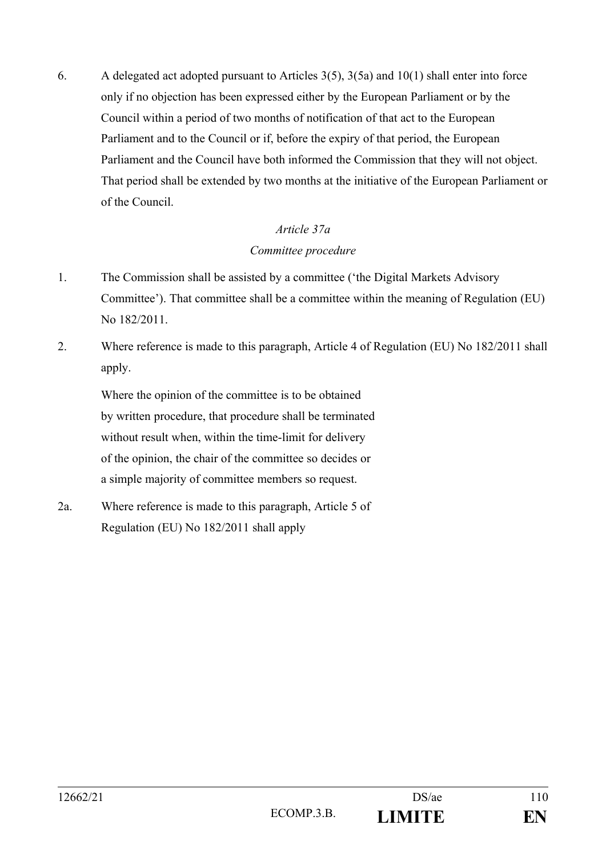6. A delegated act adopted pursuant to Articles  $3(5)$ ,  $3(5a)$  and  $10(1)$  shall enter into force only if no objection has been expressed either by the European Parliament or by the Council within a period of two months of notification of that act to the European Parliament and to the Council or if, before the expiry of that period, the European Parliament and the Council have both informed the Commission that they will not object. That period shall be extended by two months at the initiative of the European Parliament or of the Council.

### *Article 37a*

# *Committee procedure*

- 1. The Commission shall be assisted by a committee ('the Digital Markets Advisory Committee'). That committee shall be a committee within the meaning of Regulation (EU) No 182/2011.
- 2. Where reference is made to this paragraph, Article 4 of Regulation (EU) No 182/2011 shall apply.

Where the opinion of the committee is to be obtained by written procedure, that procedure shall be terminated without result when, within the time-limit for delivery of the opinion, the chair of the committee so decides or a simple majority of committee members so request.

2a. Where reference is made to this paragraph, Article 5 of Regulation (EU) No 182/2011 shall apply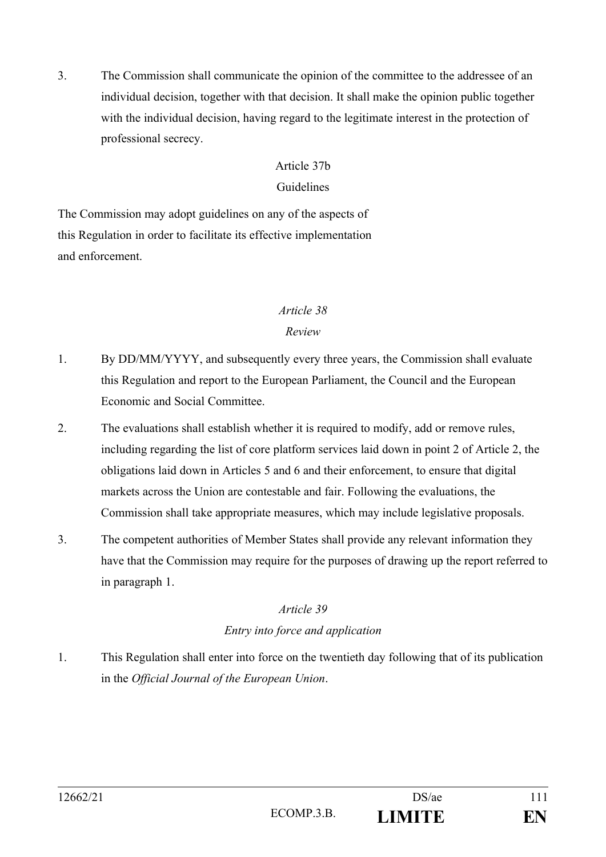3. The Commission shall communicate the opinion of the committee to the addressee of an individual decision, together with that decision. It shall make the opinion public together with the individual decision, having regard to the legitimate interest in the protection of professional secrecy.

## Article 37b

### Guidelines

The Commission may adopt guidelines on any of the aspects of this Regulation in order to facilitate its effective implementation and enforcement.

#### *Article 38*

#### *Review*

- 1. By DD/MM/YYYY, and subsequently every three years, the Commission shall evaluate this Regulation and report to the European Parliament, the Council and the European Economic and Social Committee.
- 2. The evaluations shall establish whether it is required to modify, add or remove rules, including regarding the list of core platform services laid down in point 2 of Article 2, the obligations laid down in Articles 5 and 6 and their enforcement, to ensure that digital markets across the Union are contestable and fair. Following the evaluations, the Commission shall take appropriate measures, which may include legislative proposals.
- 3. The competent authorities of Member States shall provide any relevant information they have that the Commission may require for the purposes of drawing up the report referred to in paragraph 1.

# *Article 39*

# *Entry into force and application*

1. This Regulation shall enter into force on the twentieth day following that of its publication in the *Official Journal of the European Union*.